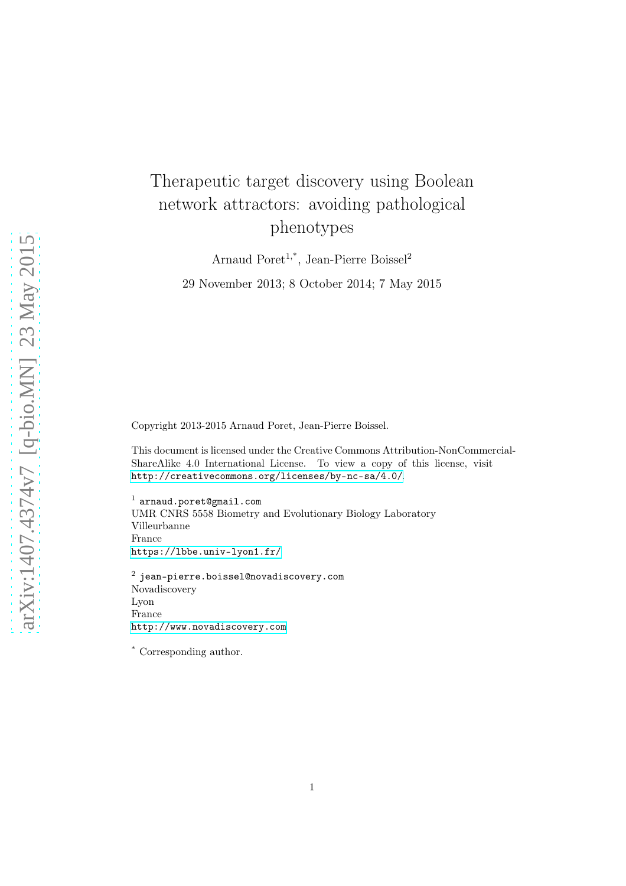# Therapeutic target discovery using Boolean network attractors: avoiding pathological phenotypes

Arnaud Poret<sup>1,\*</sup>, Jean-Pierre Boissel<sup>2</sup>

29 November 2013; 8 October 2014; 7 May 2015

Copyright 2013-2015 Arnaud Poret, Jean-Pierre Boissel.

This document is licensed under the Creative Commons Attribution-NonCommercial-ShareAlike 4.0 International License. To view a copy of this license, visit <http://creativecommons.org/licenses/by-nc-sa/4.0/>.

<sup>1</sup> arnaud.poret@gmail.com UMR CNRS 5558 Biometry and Evolutionary Biology Laboratory Villeurbanne France <https://lbbe.univ-lyon1.fr/>

<sup>2</sup> jean-pierre.boissel@novadiscovery.com Novadiscovery Lyon France <http://www.novadiscovery.com>

\* Corresponding author.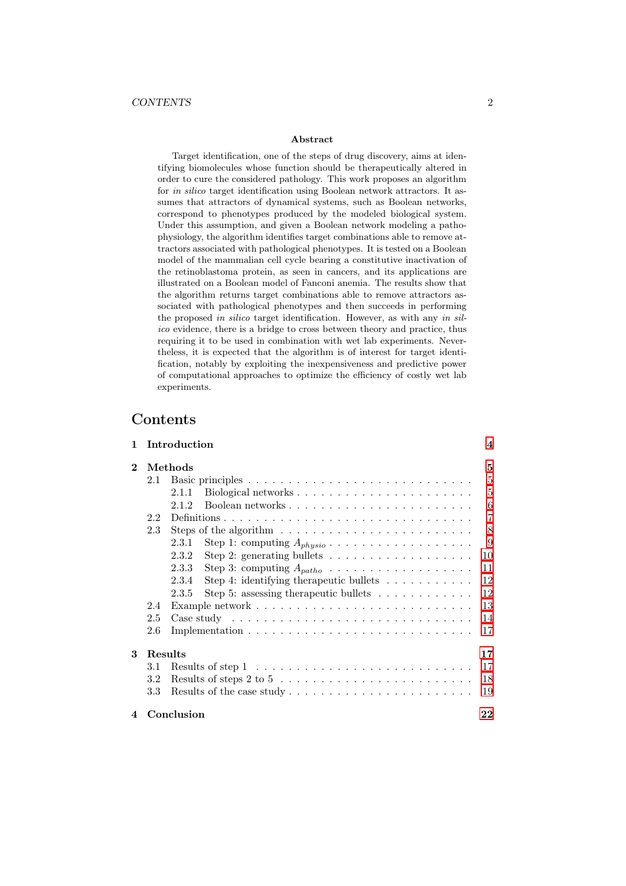#### Abstract

Target identification, one of the steps of drug discovery, aims at identifying biomolecules whose function should be therapeutically altered in order to cure the considered pathology. This work proposes an algorithm for in silico target identification using Boolean network attractors. It assumes that attractors of dynamical systems, such as Boolean networks, correspond to phenotypes produced by the modeled biological system. Under this assumption, and given a Boolean network modeling a pathophysiology, the algorithm identifies target combinations able to remove attractors associated with pathological phenotypes. It is tested on a Boolean model of the mammalian cell cycle bearing a constitutive inactivation of the retinoblastoma protein, as seen in cancers, and its applications are illustrated on a Boolean model of Fanconi anemia. The results show that the algorithm returns target combinations able to remove attractors associated with pathological phenotypes and then succeeds in performing the proposed in silico target identification. However, as with any in silico evidence, there is a bridge to cross between theory and practice, thus requiring it to be used in combination with wet lab experiments. Nevertheless, it is expected that the algorithm is of interest for target identification, notably by exploiting the inexpensiveness and predictive power of computational approaches to optimize the efficiency of costly wet lab experiments.

# Contents

| $\mathbf{1}$ |     | Introduction                                                                               |                |  |  |  |  |  |  |  |  |
|--------------|-----|--------------------------------------------------------------------------------------------|----------------|--|--|--|--|--|--|--|--|
| $\bf{2}$     |     | Methods                                                                                    |                |  |  |  |  |  |  |  |  |
|              | 2.1 |                                                                                            | 5              |  |  |  |  |  |  |  |  |
|              |     | 2.1.1                                                                                      | $\overline{5}$ |  |  |  |  |  |  |  |  |
|              |     | 2.1.2                                                                                      | 6              |  |  |  |  |  |  |  |  |
|              | 2.2 |                                                                                            | $\overline{7}$ |  |  |  |  |  |  |  |  |
|              | 2.3 | Steps of the algorithm $\ldots \ldots \ldots \ldots \ldots \ldots \ldots$                  | 8              |  |  |  |  |  |  |  |  |
|              |     | 2.3.1                                                                                      | 9              |  |  |  |  |  |  |  |  |
|              |     | 2.3.2<br>Step 2: generating bullets $\dots \dots \dots \dots \dots \dots$                  | 10             |  |  |  |  |  |  |  |  |
|              |     | 2.3.3<br>Step 3: computing $A_{patho}$                                                     | 11             |  |  |  |  |  |  |  |  |
|              |     | Step 4: identifying the rapeutic bullets $\ldots \ldots \ldots$<br>2.3.4                   | 12             |  |  |  |  |  |  |  |  |
|              |     | Step 5: assessing the<br>rapeutic bullets $\ldots \ldots \ldots \ldots$<br>2.3.5           | 12             |  |  |  |  |  |  |  |  |
|              | 2.4 |                                                                                            | 13             |  |  |  |  |  |  |  |  |
|              | 2.5 | Case study $\dots \dots \dots \dots \dots \dots \dots \dots \dots \dots \dots \dots \dots$ | 14             |  |  |  |  |  |  |  |  |
|              | 2.6 |                                                                                            | 17             |  |  |  |  |  |  |  |  |
| Results<br>3 |     |                                                                                            | 17             |  |  |  |  |  |  |  |  |
|              | 3.1 | Results of step $1 \ldots \ldots \ldots \ldots \ldots \ldots \ldots \ldots$                | 17             |  |  |  |  |  |  |  |  |
|              | 3.2 |                                                                                            | 18             |  |  |  |  |  |  |  |  |
|              | 3.3 | Results of the case study $\dots \dots \dots \dots \dots \dots \dots \dots \dots$          | 19             |  |  |  |  |  |  |  |  |
|              |     | 4 Conclusion                                                                               | 22             |  |  |  |  |  |  |  |  |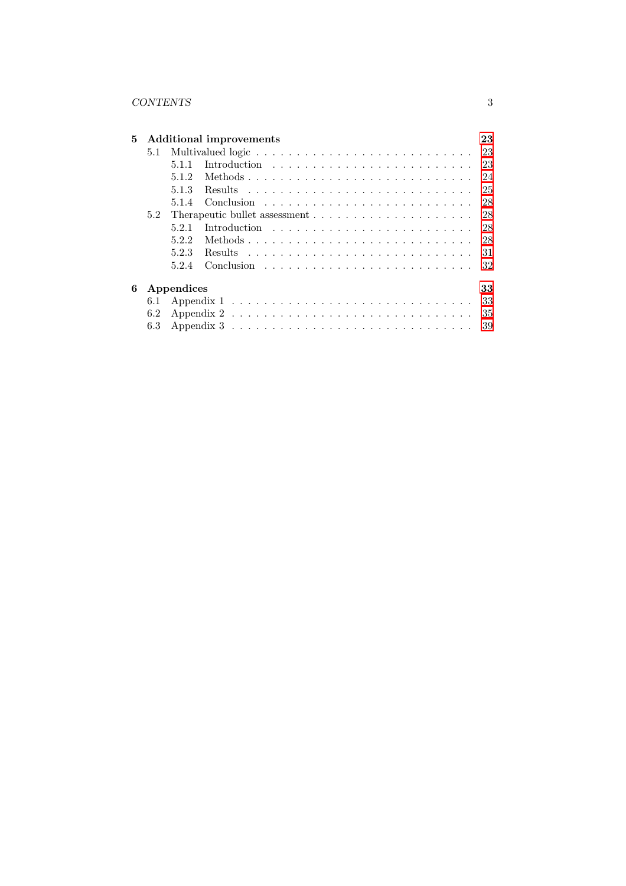|     |     |            | 5 Additional improvements                                                          | 23  |  |  |  |  |
|-----|-----|------------|------------------------------------------------------------------------------------|-----|--|--|--|--|
|     |     |            |                                                                                    |     |  |  |  |  |
|     |     |            |                                                                                    | 23  |  |  |  |  |
|     |     | 5.1.2      |                                                                                    | 24  |  |  |  |  |
|     |     | 5.1.3      |                                                                                    | 25  |  |  |  |  |
|     |     | 5.1.4      |                                                                                    | 28  |  |  |  |  |
| 5.2 |     |            |                                                                                    |     |  |  |  |  |
|     |     | 5.2.1      |                                                                                    | 28  |  |  |  |  |
|     |     | 5.2.2      | Methods $\ldots \ldots \ldots \ldots \ldots \ldots \ldots \ldots \ldots \ldots$    | 28  |  |  |  |  |
|     |     | 5.2.3      |                                                                                    | -31 |  |  |  |  |
|     |     | 5.2.4      |                                                                                    | 32  |  |  |  |  |
| 6   |     | Appendices |                                                                                    | 33  |  |  |  |  |
|     |     |            |                                                                                    | -33 |  |  |  |  |
|     | 6.2 |            | Appendix $2 \ldots \ldots \ldots \ldots \ldots \ldots \ldots \ldots \ldots \ldots$ | 35  |  |  |  |  |
|     | 6.3 |            |                                                                                    | 39  |  |  |  |  |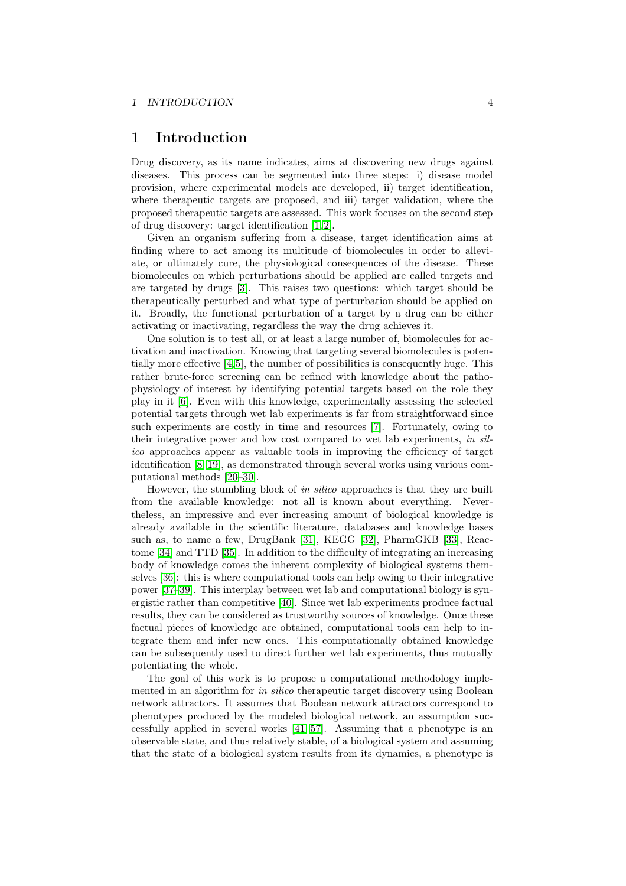# <span id="page-3-0"></span>1 Introduction

Drug discovery, as its name indicates, aims at discovering new drugs against diseases. This process can be segmented into three steps: i) disease model provision, where experimental models are developed, ii) target identification, where therapeutic targets are proposed, and iii) target validation, where the proposed therapeutic targets are assessed. This work focuses on the second step of drug discovery: target identification [\[1,](#page-40-0) [2\]](#page-40-1).

Given an organism suffering from a disease, target identification aims at finding where to act among its multitude of biomolecules in order to alleviate, or ultimately cure, the physiological consequences of the disease. These biomolecules on which perturbations should be applied are called targets and are targeted by drugs [\[3\]](#page-40-2). This raises two questions: which target should be therapeutically perturbed and what type of perturbation should be applied on it. Broadly, the functional perturbation of a target by a drug can be either activating or inactivating, regardless the way the drug achieves it.

One solution is to test all, or at least a large number of, biomolecules for activation and inactivation. Knowing that targeting several biomolecules is potentially more effective [\[4,](#page-40-3)[5\]](#page-40-4), the number of possibilities is consequently huge. This rather brute-force screening can be refined with knowledge about the pathophysiology of interest by identifying potential targets based on the role they play in it [\[6\]](#page-40-5). Even with this knowledge, experimentally assessing the selected potential targets through wet lab experiments is far from straightforward since such experiments are costly in time and resources [\[7\]](#page-40-6). Fortunately, owing to their integrative power and low cost compared to wet lab experiments, *in silico* approaches appear as valuable tools in improving the efficiency of target identification [\[8](#page-40-7)[–19\]](#page-41-0), as demonstrated through several works using various computational methods [\[20–](#page-41-1)[30\]](#page-42-0).

However, the stumbling block of *in silico* approaches is that they are built from the available knowledge: not all is known about everything. Nevertheless, an impressive and ever increasing amount of biological knowledge is already available in the scientific literature, databases and knowledge bases such as, to name a few, DrugBank [\[31\]](#page-42-1), KEGG [\[32\]](#page-42-2), PharmGKB [\[33\]](#page-42-3), Reactome [\[34\]](#page-42-4) and TTD [\[35\]](#page-42-5). In addition to the difficulty of integrating an increasing body of knowledge comes the inherent complexity of biological systems themselves [\[36\]](#page-42-6): this is where computational tools can help owing to their integrative power [\[37–](#page-42-7)[39\]](#page-42-8). This interplay between wet lab and computational biology is synergistic rather than competitive [\[40\]](#page-43-0). Since wet lab experiments produce factual results, they can be considered as trustworthy sources of knowledge. Once these factual pieces of knowledge are obtained, computational tools can help to integrate them and infer new ones. This computationally obtained knowledge can be subsequently used to direct further wet lab experiments, thus mutually potentiating the whole.

The goal of this work is to propose a computational methodology implemented in an algorithm for *in silico* therapeutic target discovery using Boolean network attractors. It assumes that Boolean network attractors correspond to phenotypes produced by the modeled biological network, an assumption successfully applied in several works [\[41](#page-43-1)[–57\]](#page-44-0). Assuming that a phenotype is an observable state, and thus relatively stable, of a biological system and assuming that the state of a biological system results from its dynamics, a phenotype is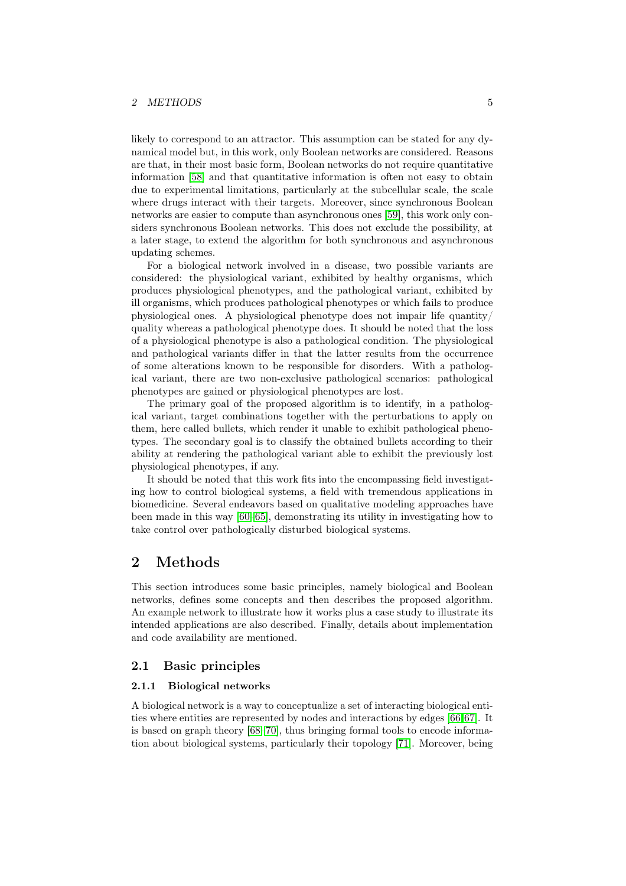likely to correspond to an attractor. This assumption can be stated for any dynamical model but, in this work, only Boolean networks are considered. Reasons are that, in their most basic form, Boolean networks do not require quantitative information [\[58\]](#page-44-1) and that quantitative information is often not easy to obtain due to experimental limitations, particularly at the subcellular scale, the scale where drugs interact with their targets. Moreover, since synchronous Boolean networks are easier to compute than asynchronous ones [\[59\]](#page-44-2), this work only considers synchronous Boolean networks. This does not exclude the possibility, at a later stage, to extend the algorithm for both synchronous and asynchronous updating schemes.

For a biological network involved in a disease, two possible variants are considered: the physiological variant, exhibited by healthy organisms, which produces physiological phenotypes, and the pathological variant, exhibited by ill organisms, which produces pathological phenotypes or which fails to produce physiological ones. A physiological phenotype does not impair life quantity/ quality whereas a pathological phenotype does. It should be noted that the loss of a physiological phenotype is also a pathological condition. The physiological and pathological variants differ in that the latter results from the occurrence of some alterations known to be responsible for disorders. With a pathological variant, there are two non-exclusive pathological scenarios: pathological phenotypes are gained or physiological phenotypes are lost.

The primary goal of the proposed algorithm is to identify, in a pathological variant, target combinations together with the perturbations to apply on them, here called bullets, which render it unable to exhibit pathological phenotypes. The secondary goal is to classify the obtained bullets according to their ability at rendering the pathological variant able to exhibit the previously lost physiological phenotypes, if any.

It should be noted that this work fits into the encompassing field investigating how to control biological systems, a field with tremendous applications in biomedicine. Several endeavors based on qualitative modeling approaches have been made in this way [\[60](#page-44-3)[–65\]](#page-44-4), demonstrating its utility in investigating how to take control over pathologically disturbed biological systems.

# <span id="page-4-0"></span>2 Methods

This section introduces some basic principles, namely biological and Boolean networks, defines some concepts and then describes the proposed algorithm. An example network to illustrate how it works plus a case study to illustrate its intended applications are also described. Finally, details about implementation and code availability are mentioned.

### <span id="page-4-2"></span><span id="page-4-1"></span>2.1 Basic principles

#### 2.1.1 Biological networks

A biological network is a way to conceptualize a set of interacting biological entities where entities are represented by nodes and interactions by edges [\[66,](#page-45-0)[67\]](#page-45-1). It is based on graph theory [\[68–](#page-45-2)[70\]](#page-45-3), thus bringing formal tools to encode information about biological systems, particularly their topology [\[71\]](#page-45-4). Moreover, being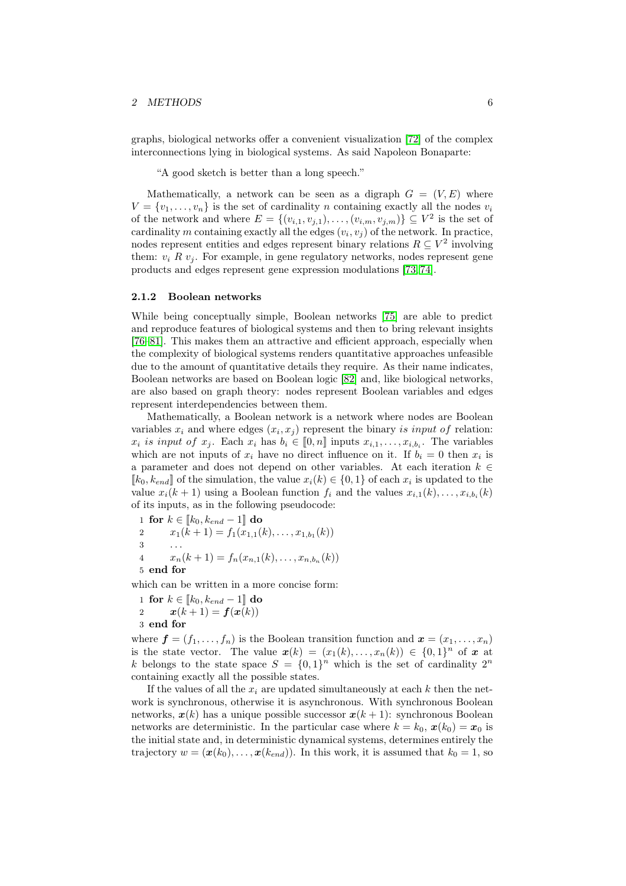graphs, biological networks offer a convenient visualization [\[72\]](#page-45-5) of the complex interconnections lying in biological systems. As said Napoleon Bonaparte:

"A good sketch is better than a long speech."

Mathematically, a network can be seen as a digraph  $G = (V, E)$  where  $V = \{v_1, \ldots, v_n\}$  is the set of cardinality n containing exactly all the nodes  $v_i$ of the network and where  $E = \{(v_{i,1}, v_{j,1}), \ldots, (v_{i,m}, v_{j,m})\} \subseteq V^2$  is the set of cardinality m containing exactly all the edges  $(v_i, v_j)$  of the network. In practice, nodes represent entities and edges represent binary relations  $R \subseteq V^2$  involving them:  $v_i R v_j$ . For example, in gene regulatory networks, nodes represent gene products and edges represent gene expression modulations [\[73,](#page-45-6) [74\]](#page-45-7).

#### <span id="page-5-0"></span>2.1.2 Boolean networks

While being conceptually simple, Boolean networks [\[75\]](#page-45-8) are able to predict and reproduce features of biological systems and then to bring relevant insights [\[76–](#page-45-9)[81\]](#page-46-0). This makes them an attractive and efficient approach, especially when the complexity of biological systems renders quantitative approaches unfeasible due to the amount of quantitative details they require. As their name indicates, Boolean networks are based on Boolean logic [\[82\]](#page-46-1) and, like biological networks, are also based on graph theory: nodes represent Boolean variables and edges represent interdependencies between them.

Mathematically, a Boolean network is a network where nodes are Boolean variables  $x_i$  and where edges  $(x_i, x_j)$  represent the binary is input of relation:  $x_i$  is input of  $x_j$ . Each  $x_i$  has  $b_i \in [0, n]$  inputs  $x_{i,1}, \ldots, x_{i,b_i}$ . The variables which are not inputs of  $x_i$  have no direct influence on it. If  $b_i = 0$  then  $x_i$  is a parameter and does not depend on other variables. At each iteration  $k \in$  $[[k_0, k_{end}]]$  of the simulation, the value  $x_i(k) \in \{0, 1\}$  of each  $x_i$  is updated to the value  $x_i(k+1)$  using a Boolean function  $f_i$  and the values  $x_{i,1}(k), \ldots, x_{i,b_i}(k)$ of its inputs, as in the following pseudocode:

1 for 
$$
k \in [k_0, k_{end} - 1]
$$
 do  
\n2  $x_1(k+1) = f_1(x_{1,1}(k), \ldots, x_{1,b_1}(k))$   
\n3  $\ldots$   
\n4  $x_n(k+1) = f_n(x_{n,1}(k), \ldots, x_{n,b_n}(k))$   
\n5 **end for**  
\n $x_n(k)$ 

which can be written in a more concise form:

- 1 for  $k \in \llbracket k_0, k_{end} 1 \rrbracket$  do
- 2  $x(k+1) = f(x(k))$
- 3 end for

where  $\mathbf{f} = (f_1, \ldots, f_n)$  is the Boolean transition function and  $\mathbf{x} = (x_1, \ldots, x_n)$ is the state vector. The value  $\mathbf{x}(k) = (x_1(k), \ldots, x_n(k)) \in \{0,1\}^n$  of x at k belongs to the state space  $S = \{0,1\}^n$  which is the set of cardinality  $2^n$ containing exactly all the possible states.

If the values of all the  $x_i$  are updated simultaneously at each k then the network is synchronous, otherwise it is asynchronous. With synchronous Boolean networks,  $x(k)$  has a unique possible successor  $x(k + 1)$ : synchronous Boolean networks are deterministic. In the particular case where  $k = k_0, x(k_0) = x_0$  is the initial state and, in deterministic dynamical systems, determines entirely the trajectory  $w = (\mathbf{x}(k_0), \ldots, \mathbf{x}(k_{end}))$ . In this work, it is assumed that  $k_0 = 1$ , so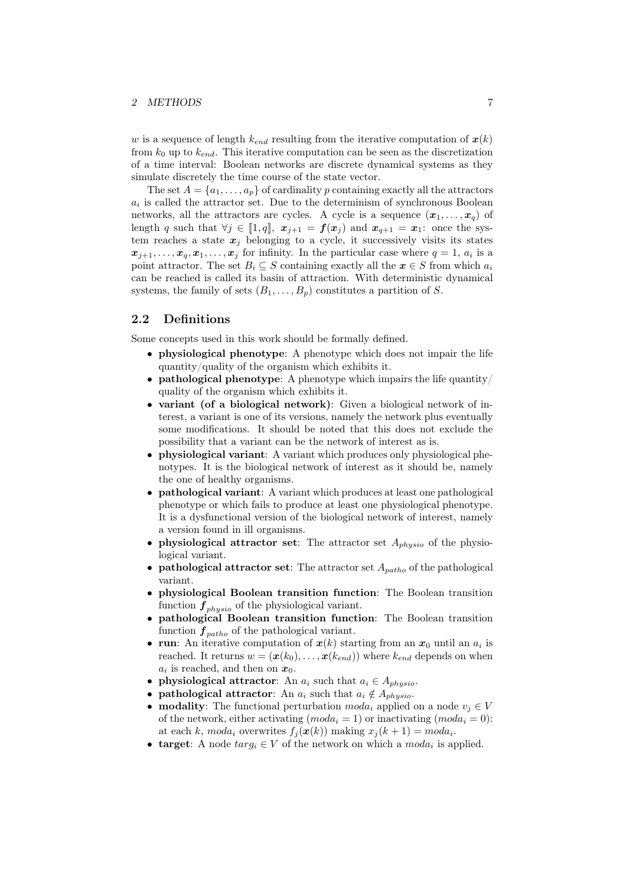w is a sequence of length  $k_{end}$  resulting from the iterative computation of  $x(k)$ from  $k_0$  up to  $k_{end}$ . This iterative computation can be seen as the discretization of a time interval: Boolean networks are discrete dynamical systems as they simulate discretely the time course of the state vector.

The set  $A = \{a_1, \ldots, a_p\}$  of cardinality p containing exactly all the attractors  $a_i$  is called the attractor set. Due to the determinism of synchronous Boolean networks, all the attractors are cycles. A cycle is a sequence  $(x_1, \ldots, x_n)$  of length q such that  $\forall j \in [1, q], \mathbf{x}_{j+1} = f(\mathbf{x}_j)$  and  $\mathbf{x}_{q+1} = \mathbf{x}_1$ : once the system reaches a state  $x_j$  belonging to a cycle, it successively visits its states  $x_{j+1}, \ldots, x_q, x_1, \ldots, x_j$  for infinity. In the particular case where  $q = 1, a_i$  is a point attractor. The set  $B_i \subseteq S$  containing exactly all the  $x \in S$  from which  $a_i$ can be reached is called its basin of attraction. With deterministic dynamical systems, the family of sets  $(B_1, \ldots, B_p)$  constitutes a partition of S.

# <span id="page-6-0"></span>2.2 Definitions

Some concepts used in this work should be formally defined.

- physiological phenotype: A phenotype which does not impair the life quantity/quality of the organism which exhibits it.
- pathological phenotype: A phenotype which impairs the life quantity/ quality of the organism which exhibits it.
- variant (of a biological network): Given a biological network of interest, a variant is one of its versions, namely the network plus eventually some modifications. It should be noted that this does not exclude the possibility that a variant can be the network of interest as is.
- physiological variant: A variant which produces only physiological phenotypes. It is the biological network of interest as it should be, namely the one of healthy organisms.
- pathological variant: A variant which produces at least one pathological phenotype or which fails to produce at least one physiological phenotype. It is a dysfunctional version of the biological network of interest, namely a version found in ill organisms.
- **physiological attractor set**: The attractor set  $A_{physio}$  of the physiological variant.
- pathological attractor set: The attractor set  $A_{patho}$  of the pathological variant.
- physiological Boolean transition function: The Boolean transition function  $f_{physio}$  of the physiological variant.
- pathological Boolean transition function: The Boolean transition function  $f_{patho}$  of the pathological variant.
- run: An iterative computation of  $x(k)$  starting from an  $x_0$  until an  $a_i$  is reached. It returns  $w = (\boldsymbol{x}(k_0), \ldots, \boldsymbol{x}(k_{end}))$  where  $k_{end}$  depends on when  $a_i$  is reached, and then on  $x_0$ .
- physiological attractor: An  $a_i$  such that  $a_i \in A_{physio}$ .
- **pathological attractor:** An  $a_i$  such that  $a_i \notin A_{physio}$ .
- modality: The functional perturbation  $\text{mod} a_i$  applied on a node  $v_j \in V$ of the network, either activating  $(mod a_i = 1)$  or inactivating  $(mod a_i = 0)$ : at each k, moda<sub>i</sub> overwrites  $f_j(\boldsymbol{x}(k))$  making  $x_j(k+1) = mod a_i$ .
- target: A node  $targ_i \in V$  of the network on which a  $moda_i$  is applied.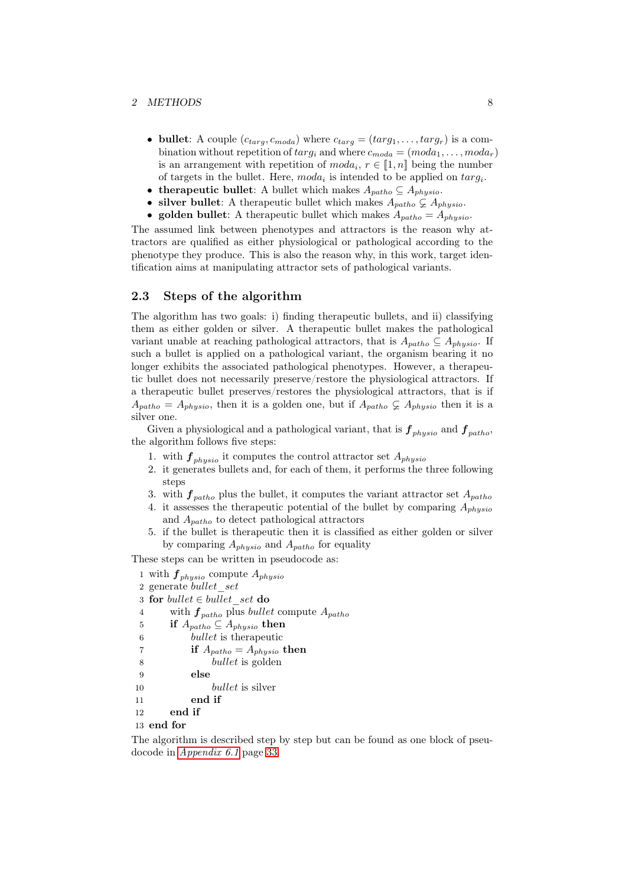- bullet: A couple  $(c_{targ}, c_{moda})$  where  $c_{targ} = (targ_1, \ldots, targ_r)$  is a combination without repetition of  $targ_i$  and where  $c_{mod a} = (mod a_1, \ldots, mod a_r)$ is an arrangement with repetition of  $\text{mod} a_i$ ,  $r \in [1, n]$  being the number of targets in the bullet. Here,  $\text{mod}a_i$  is intended to be applied on  $\text{targ}_i$ .
- therapeutic bullet: A bullet which makes  $A_{patho} \subseteq A_{physio}$ .
- silver bullet: A therapeutic bullet which makes  $A_{patho} \subsetneq A_{physio}$ .
- golden bullet: A therapeutic bullet which makes  $A_{patho} = A_{physio}$ .

The assumed link between phenotypes and attractors is the reason why attractors are qualified as either physiological or pathological according to the phenotype they produce. This is also the reason why, in this work, target identification aims at manipulating attractor sets of pathological variants.

# <span id="page-7-0"></span>2.3 Steps of the algorithm

The algorithm has two goals: i) finding therapeutic bullets, and ii) classifying them as either golden or silver. A therapeutic bullet makes the pathological variant unable at reaching pathological attractors, that is  $A_{\text{math}} \subseteq A_{\text{physical}}$ . If such a bullet is applied on a pathological variant, the organism bearing it no longer exhibits the associated pathological phenotypes. However, a therapeutic bullet does not necessarily preserve/restore the physiological attractors. If a therapeutic bullet preserves/restores the physiological attractors, that is if  $A_{patho} = A_{physio}$ , then it is a golden one, but if  $A_{patho} \subsetneq A_{physio}$  then it is a silver one.

Given a physiological and a pathological variant, that is  $f_{physio}$  and  $f_{patho}$ , the algorithm follows five steps:

- 1. with  $f_{physio}$  it computes the control attractor set  $A_{physio}$
- 2. it generates bullets and, for each of them, it performs the three following steps
- 3. with  $f_{patho}$  plus the bullet, it computes the variant attractor set  $A_{patho}$
- 4. it assesses the therapeutic potential of the bullet by comparing  $A_{physio}$ and  $A_{patho}$  to detect pathological attractors
- 5. if the bullet is therapeutic then it is classified as either golden or silver by comparing  $A_{physio}$  and  $A_{patho}$  for equality

These steps can be written in pseudocode as:

1 with  $f_{physio}$  compute  $A_{physio}$ 2 generate bullet\_set 3 for  $bullet \in bullet\_set$  do 4 with  $f_{patho}$  plus *bullet* compute  $A_{patho}$ 5 if  $A_{patho} \subseteq A_{physio}$  then 6 bullet is therapeutic 7 if  $A_{patho} = A_{physio}$  then 8 bullet is golden  $9 \qquad \qquad$ else 10 bullet is silver 11 end if 12 end if

13 end for

The algorithm is described step by step but can be found as one block of pseudocode in *[Appendix 6.1](#page-32-1)* page [33.](#page-32-1)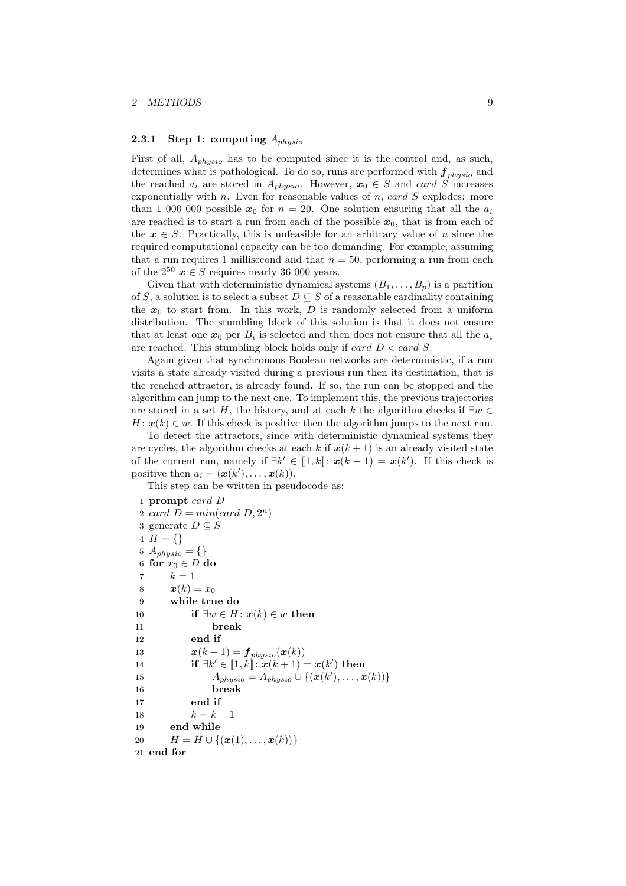#### <span id="page-8-0"></span>**2.3.1** Step 1: computing  $A_{physio}$

First of all, Aphysio has to be computed since it is the control and, as such, determines what is pathological. To do so, runs are performed with  $f_{physio}$  and the reached  $a_i$  are stored in  $A_{physio}$ . However,  $x_0 \in S$  and card S increases exponentially with n. Even for reasonable values of n, card  $S$  explodes: more than 1 000 000 possible  $x_0$  for  $n = 20$ . One solution ensuring that all the  $a_i$ are reached is to start a run from each of the possible  $x_0$ , that is from each of the  $x \in S$ . Practically, this is unfeasible for an arbitrary value of n since the required computational capacity can be too demanding. For example, assuming that a run requires 1 millisecond and that  $n = 50$ , performing a run from each of the  $2^{50}$   $x \in S$  requires nearly 36 000 years.

Given that with deterministic dynamical systems  $(B_1, \ldots, B_p)$  is a partition of S, a solution is to select a subset  $D \subseteq S$  of a reasonable cardinality containing the  $x_0$  to start from. In this work, D is randomly selected from a uniform distribution. The stumbling block of this solution is that it does not ensure that at least one  $x_0$  per  $B_i$  is selected and then does not ensure that all the  $a_i$ are reached. This stumbling block holds only if card  $D < \text{card } S$ .

Again given that synchronous Boolean networks are deterministic, if a run visits a state already visited during a previous run then its destination, that is the reached attractor, is already found. If so, the run can be stopped and the algorithm can jump to the next one. To implement this, the previous trajectories are stored in a set H, the history, and at each k the algorithm checks if  $\exists w \in \mathbb{R}$  $H: \mathbf{x}(k) \in \mathbf{w}$ . If this check is positive then the algorithm jumps to the next run.

To detect the attractors, since with deterministic dynamical systems they are cycles, the algorithm checks at each k if  $x(k+1)$  is an already visited state of the current run, namely if  $\exists k' \in [1, k] : \mathbf{x}(k+1) = \mathbf{x}(k')$ . If this check is positive then  $a_i = (\boldsymbol{x}(k'), \ldots, \boldsymbol{x}(k)).$ 

This step can be written in pseudocode as:

1 prompt card D 2 card  $D = min(card D, 2<sup>n</sup>)$ 3 generate  $D \subseteq S$ 4  $H = \{\}$ 5  $A_{physio} = \{\}$ 6 for  $x_0 \in D$  do 7  $k = 1$ 8  $\mathbf{x}(k) = x_0$ 9 while true do 10 if  $\exists w \in H : x(k) \in w$  then 11 break 12 end if 13  $\boldsymbol{x}(k+1) = \boldsymbol{f}_{physio}(\boldsymbol{x}(k))$ 14 if  $\exists k' \in [\![1,k]\!]$ :  $\mathbf{x}(k+1) = \mathbf{x}(k')$  then 15  $A_{physio} = A_{physio} \cup \{(\boldsymbol{x}(k'), \dots, \boldsymbol{x}(k))\}$ 16 break 17 end if 18  $k = k + 1$ 19 end while 20  $H = H \cup \{(\mathbf{x}(1), \dots, \mathbf{x}(k))\}$ 21 end for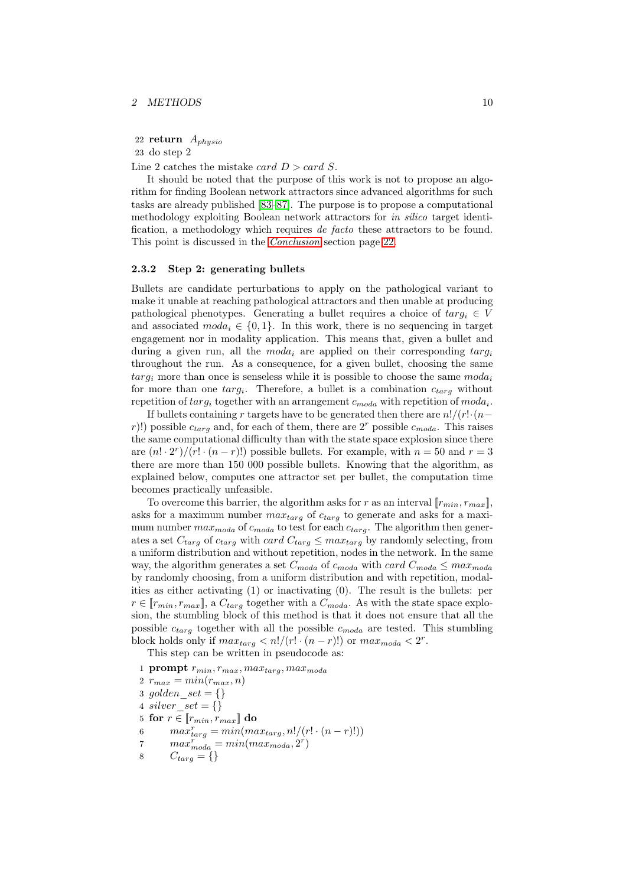22 return  $A_{physio}$ 23 do step 2

Line 2 catches the mistake card  $D > \text{card } S$ .

It should be noted that the purpose of this work is not to propose an algorithm for finding Boolean network attractors since advanced algorithms for such tasks are already published [\[83](#page-46-2)[–87\]](#page-46-3). The purpose is to propose a computational methodology exploiting Boolean network attractors for *in silico* target identification, a methodology which requires *de facto* these attractors to be found. This point is discussed in the *[Conclusion](#page-21-0)* section page [22.](#page-21-0)

#### <span id="page-9-0"></span>2.3.2 Step 2: generating bullets

Bullets are candidate perturbations to apply on the pathological variant to make it unable at reaching pathological attractors and then unable at producing pathological phenotypes. Generating a bullet requires a choice of  $targ_i \in V$ and associated  $\text{mod} a_i \in \{0, 1\}$ . In this work, there is no sequencing in target engagement nor in modality application. This means that, given a bullet and during a given run, all the  $\text{mod}a_i$  are applied on their corresponding  $\text{targ}_i$ throughout the run. As a consequence, for a given bullet, choosing the same  $targ_i$  more than once is senseless while it is possible to choose the same  $moda_i$ for more than one  $targ_i$ . Therefore, a bullet is a combination  $c_{targ}$  without repetition of  $targ_i$  together with an arrangement  $c_{moda}$  with repetition of  $moda_i$ .

If bullets containing r targets have to be generated then there are  $n!/(r! \cdot (n$ r)!) possible  $c_{targ}$  and, for each of them, there are  $2<sup>r</sup>$  possible  $c_{moda}$ . This raises the same computational difficulty than with the state space explosion since there are  $(n! \cdot 2^r)/(r! \cdot (n-r)!)$  possible bullets. For example, with  $n = 50$  and  $r = 3$ there are more than 150 000 possible bullets. Knowing that the algorithm, as explained below, computes one attractor set per bullet, the computation time becomes practically unfeasible.

To overcome this barrier, the algorithm asks for r as an interval  $[r_{min}, r_{max}]$ , asks for a maximum number  $max_{targ}$  of  $c_{targ}$  to generate and asks for a maximum number  $max_{moda}$  of  $c_{moda}$  to test for each  $c_{targ}$ . The algorithm then generates a set  $C_{targ}$  of  $c_{targ}$  with card  $C_{targ} \leq max_{targ}$  by randomly selecting, from a uniform distribution and without repetition, nodes in the network. In the same way, the algorithm generates a set  $C_{\text{mod}a}$  of  $c_{\text{mod}a}$  with card  $C_{\text{mod}a} \leq \text{max}_{\text{mod}a}$ by randomly choosing, from a uniform distribution and with repetition, modalities as either activating (1) or inactivating (0). The result is the bullets: per  $r \in [r_{min}, r_{max}]$ , a  $C_{targ}$  together with a  $C_{moda}$ . As with the state space explosion, the stumbling block of this method is that it does not ensure that all the possible  $c_{targ}$  together with all the possible  $c_{moda}$  are tested. This stumbling block holds only if  $max_{targ} < n!/(r! \cdot (n-r)!)$  or  $max_{moda} < 2^r$ .

This step can be written in pseudocode as:

1 prompt  $r_{min}, r_{max}, max_{targ}, max_{mod a}$ 2  $r_{max} = min(r_{max}, n)$ 3 golden  $set = \{\}$ 4 silver  $set = \{\}$ 5 for  $r \in [r_{min}, r_{max}]$  do 6  $max_{targ}^r = min(max_{targ}, n!/(r! \cdot (n-r)!))$ 7  $max_{moda}^r = min(max_{moda}, 2^r)$ 8  $C_{tara} = \{\}$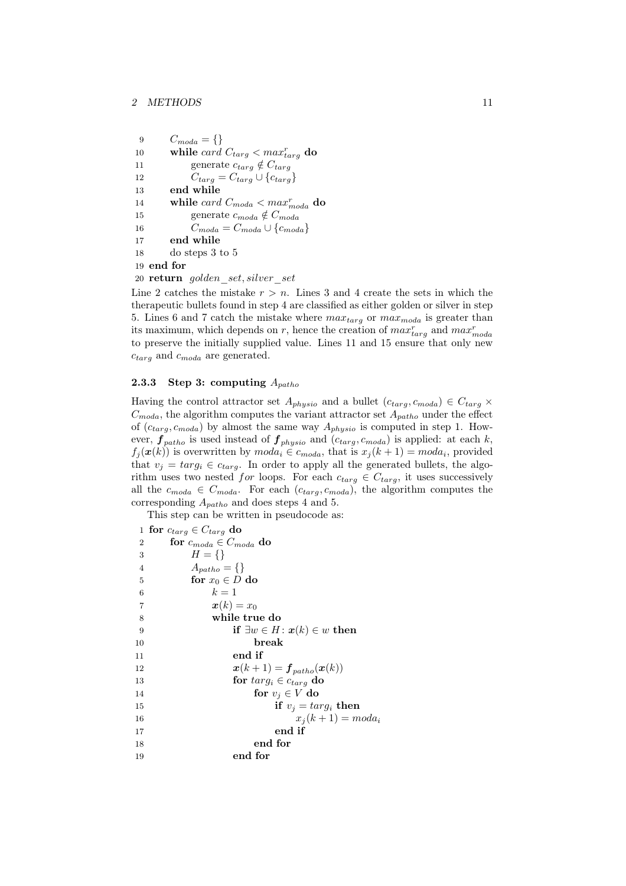| 9  | $C_{moda} = \{\}\$                       |
|----|------------------------------------------|
| 10 | while card $C_{targ} < max_{targ}^r$ do  |
| 11 | generate $c_{targ} \notin C_{targ}$      |
| 12 | $C_{targ} = C_{targ} \cup \{c_{targ}\}\$ |
| 13 | end while                                |
| 14 | while card $C_{moda} < max_{moda}^r$ do  |
| 15 | generate $c_{moda} \notin C_{moda}$      |
| 16 | $C_{moda} = C_{moda} \cup \{c_{moda}\}\$ |
| 17 | end while                                |
| 18 | do steps 3 to 5                          |
|    | 19 end for                               |

20 return golden\_set, silver\_set

Line 2 catches the mistake  $r > n$ . Lines 3 and 4 create the sets in which the therapeutic bullets found in step 4 are classified as either golden or silver in step 5. Lines 6 and 7 catch the mistake where  $max_{targ}$  or  $max_{moda}$  is greater than its maximum, which depends on r, hence the creation of  $max_{targ}^{r}$  and  $max_{moda}^{r}$ to preserve the initially supplied value. Lines 11 and 15 ensure that only new  $c_{targ}$  and  $c_{moda}$  are generated.

### <span id="page-10-0"></span>2.3.3 Step 3: computing  $A_{patho}$

Having the control attractor set  $A_{physio}$  and a bullet  $(c_{targ}, c_{moda}) \in C_{targ} \times$  $C_{moda}$ , the algorithm computes the variant attractor set  $A_{patho}$  under the effect of  $(c_{targ}, c_{moda})$  by almost the same way  $A_{physio}$  is computed in step 1. However,  $f_{patho}$  is used instead of  $f_{physio}$  and  $(c_{targ}, c_{model})$  is applied: at each k,  $f_j(\boldsymbol{x}(k))$  is overwritten by  $\mathit{mod} a_i \in c_{\mathit{mod} a_i}$ , that is  $x_j(k+1) = \mathit{mod} a_i$ , provided that  $v_j = \text{targ}_i \in c_{\text{targ}}$ . In order to apply all the generated bullets, the algorithm uses two nested for loops. For each  $c_{targ} \in C_{targ}$ , it uses successively all the  $c_{moda} \in C_{moda}$ . For each  $(c_{targ}, c_{moda})$ , the algorithm computes the corresponding  $A_{patho}$  and does steps 4 and 5.

This step can be written in pseudocode as:

1 for  $c_{targ} \in C_{targ}$  do 2 for  $c_{moda} \in C_{moda}$  do 3  $H = \{\}$ 4  $A_{patho} = \{\}$ 5 for  $x_0 \in D$  do 6  $k = 1$ 7  $\mathbf{x}(k) = x_0$ 8 while true do 9 if  $\exists w \in H : \mathbf{x}(k) \in w$  then 10 break 11 end if 12  $\bm{x}(k+1) = \bm{f}_{patho}(\bm{x}(k))$ 13 for  $targ_i \in c_{targ}$  do 14 for  $v_i \in V$  do 15 if  $v_j = \text{targ}_i$  then 16  $x_j (k + 1) = mod a_i$ 17 end if 18 end for 19 end for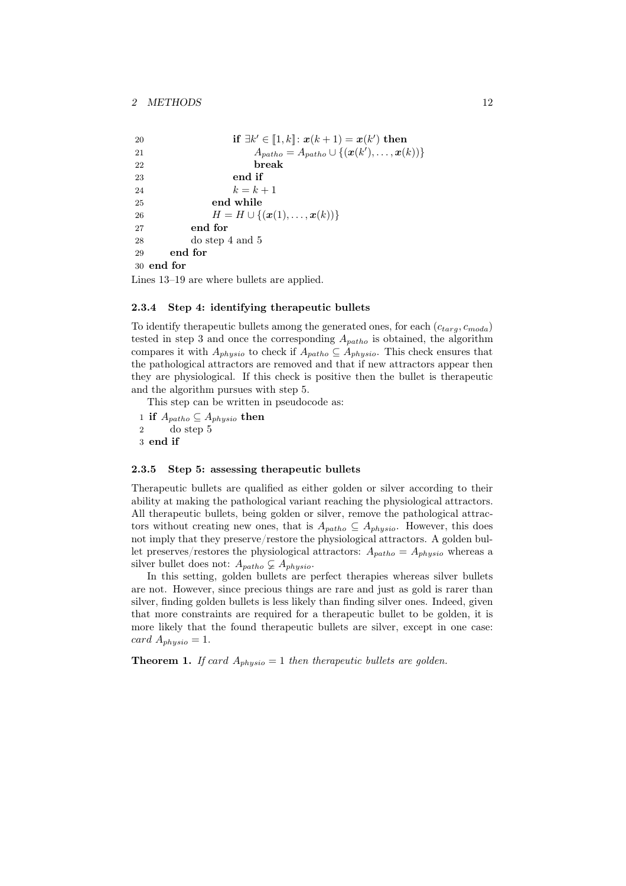| 20 | if $\exists k' \in [1, k] : x(k+1) = x(k')$ then                                   |
|----|------------------------------------------------------------------------------------|
| 21 | $A_{patho} = A_{patho} \cup \{ (\boldsymbol{x}(k'), \ldots, \boldsymbol{x}(k)) \}$ |
| 22 | break                                                                              |
| 23 | end if                                                                             |
| 24 | $k=k+1$                                                                            |
| 25 | end while                                                                          |
| 26 | $H = H \cup \{(\mathbf{x}(1), \ldots, \mathbf{x}(k))\}$                            |
| 27 | end for                                                                            |
| 28 | $\omega$ step 4 and 5                                                              |
| 29 | end for                                                                            |
|    | $30$ end for                                                                       |

Lines 13–19 are where bullets are applied.

### <span id="page-11-0"></span>2.3.4 Step 4: identifying therapeutic bullets

To identify therapeutic bullets among the generated ones, for each  $(c_{targ}, c_{moda})$ tested in step 3 and once the corresponding  $A_{patho}$  is obtained, the algorithm compares it with  $A_{physio}$  to check if  $A_{patho} \subseteq A_{physio}$ . This check ensures that the pathological attractors are removed and that if new attractors appear then they are physiological. If this check is positive then the bullet is therapeutic and the algorithm pursues with step 5.

This step can be written in pseudocode as:

1 if  $A_{patho} \subseteq A_{physio}$  then 2 do step 5 3 end if

#### <span id="page-11-1"></span>2.3.5 Step 5: assessing therapeutic bullets

Therapeutic bullets are qualified as either golden or silver according to their ability at making the pathological variant reaching the physiological attractors. All therapeutic bullets, being golden or silver, remove the pathological attractors without creating new ones, that is  $A_{patho} \subseteq A_{physio}$ . However, this does not imply that they preserve/restore the physiological attractors. A golden bullet preserves/restores the physiological attractors:  $A_{patho} = A_{physio}$  whereas a silver bullet does not:  $A_{patho} \subsetneq A_{physio}$ .

In this setting, golden bullets are perfect therapies whereas silver bullets are not. However, since precious things are rare and just as gold is rarer than silver, finding golden bullets is less likely than finding silver ones. Indeed, given that more constraints are required for a therapeutic bullet to be golden, it is more likely that the found therapeutic bullets are silver, except in one case: card  $A_{\text{thusion}} = 1$ .

<span id="page-11-2"></span>**Theorem 1.** *If* card  $A_{physio} = 1$  *then therapeutic bullets are golden.*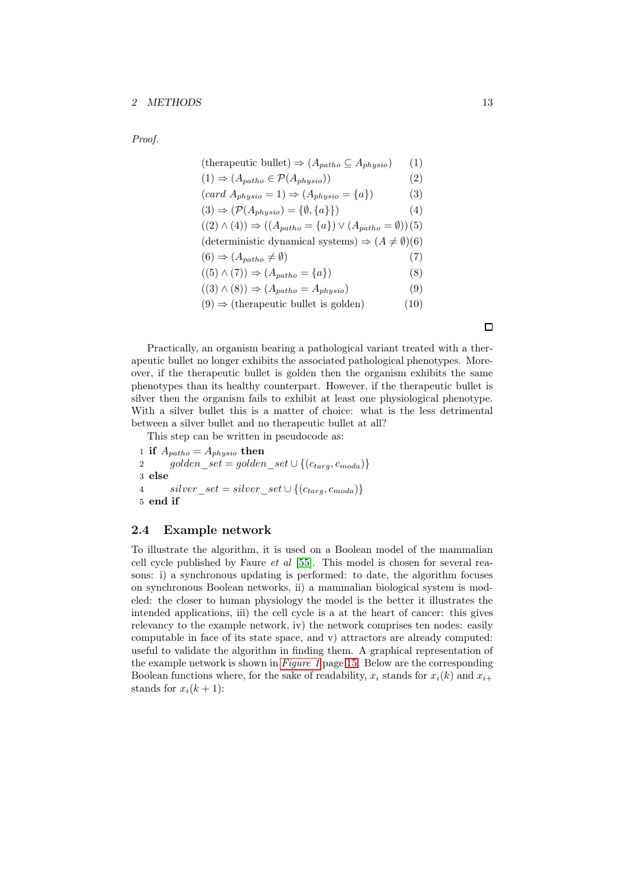*Proof.*

| (therapeutic bullet) $\Rightarrow$ $(A_{patho} \subseteq A_{physio})$                 | (1)  |
|---------------------------------------------------------------------------------------|------|
| $(1) \Rightarrow (A_{patho} \in \mathcal{P}(A_{physio}))$                             | (2)  |
| $(card A_{physio} = 1) \Rightarrow (A_{physio} = \{a\})$                              | (3)  |
| $(3) \Rightarrow (\mathcal{P}(A_{physio}) = {\emptyset, \{a\}\})$                     | (4)  |
| $((2) \wedge (4)) \Rightarrow ((A_{patho} = \{a\}) \vee (A_{patho} = \emptyset))$ (5) |      |
| (deterministic dynamical systems) $\Rightarrow (A \neq \emptyset)(6)$                 |      |
| $(6) \Rightarrow (A_{patho} \neq \emptyset)$                                          | (7)  |
| $((5) \wedge (7)) \Rightarrow (A_{patho} = \{a\})$                                    | (8)  |
| $((3) \wedge (8)) \Rightarrow (A_{patho} = A_{physio})$                               | (9)  |
| $(9) \Rightarrow$ (therapeutic bullet is golden)                                      | (10) |

Practically, an organism bearing a pathological variant treated with a therapeutic bullet no longer exhibits the associated pathological phenotypes. Moreover, if the therapeutic bullet is golden then the organism exhibits the same phenotypes than its healthy counterpart. However, if the therapeutic bullet is silver then the organism fails to exhibit at least one physiological phenotype. With a silver bullet this is a matter of choice: what is the less detrimental between a silver bullet and no therapeutic bullet at all?

This step can be written in pseudocode as:

1 if  $A_{patho} = A_{physio}$  then 2 golden\_set = golden\_set ∪ { $(c_{targ}, c_{moda})$ } 3 else 4  $silver\_set = silver\_set \cup \{(c_{targ}, c_{model})\}$ 5 end if

# <span id="page-12-0"></span>2.4 Example network

To illustrate the algorithm, it is used on a Boolean model of the mammalian cell cycle published by Faure *et al* [\[55\]](#page-44-5). This model is chosen for several reasons: i) a synchronous updating is performed: to date, the algorithm focuses on synchronous Boolean networks, ii) a mammalian biological system is modeled: the closer to human physiology the model is the better it illustrates the intended applications, iii) the cell cycle is a at the heart of cancer: this gives relevancy to the example network, iv) the network comprises ten nodes: easily computable in face of its state space, and v) attractors are already computed: useful to validate the algorithm in finding them. A graphical representation of the example network is shown in *[Figure 1](#page-14-0)* page [15.](#page-14-0) Below are the corresponding Boolean functions where, for the sake of readability,  $x_i$  stands for  $x_i(k)$  and  $x_{i+1}$ stands for  $x_i(k+1)$ :

 $\Box$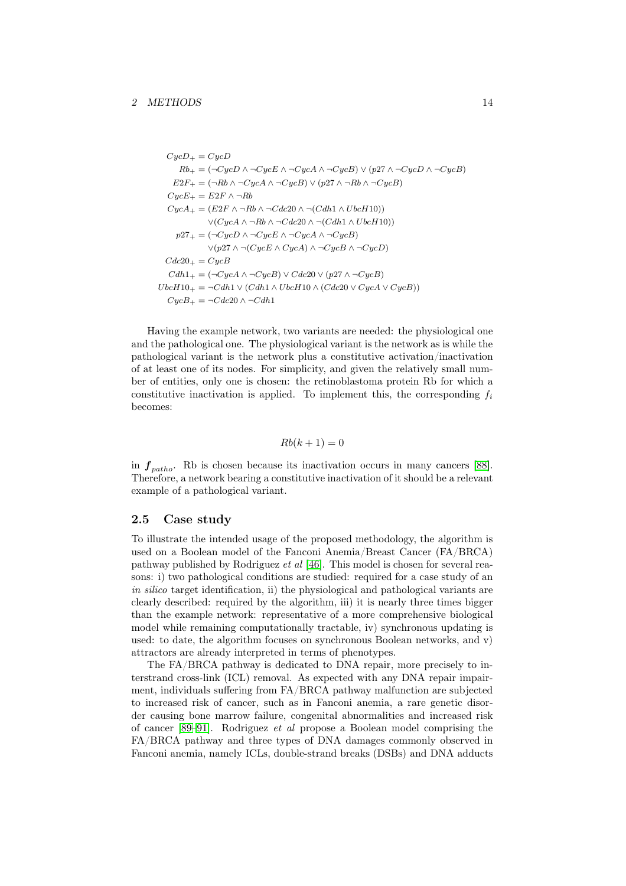```
CycD_+ = CycDRb_{+} = (\neg CycD \land \neg CycE \land \neg CycA \land \neg CycB) \lor (p27 \land \neg CycD \land \neg CycB)E2F_{+} = (\neg Rb \land \neg CycA \land \neg CycB) \lor (p27 \land \neg Rb \land \neg CycB)CycE_{+} = E2F \wedge \neg RbCycA_+ = (E2F \wedge \neg Rb \wedge \neg Cdc20 \wedge \neg (Cdh1 \wedge UbcH10))\vee(CycA ∧ ¬Rb ∧ ¬Cdc20 ∧ ¬(Cdh1 ∧ UbcH10))
      p27_{+} = (\neg CycD \land \neg CycE \land \neg CycA \land \neg CycB)\vee (p27 \wedge \neg (CycE \wedge CycA) \wedge \neg CycB \wedge \neg CycD)Cdc20_+ = CycBCdh1_+ = (\neg CycA \wedge \neg CycB) \vee Cdc20 \vee (p27 \wedge \neg CycB)UbcH10<sub>+</sub> = \neg Cdh1 \vee (Cdh1 \wedge UbcH10 \wedge (Cdc20 \vee CycA \vee CycB))CycB_+ = \neg Cdc20 \wedge \neg Cdh1
```
Having the example network, two variants are needed: the physiological one and the pathological one. The physiological variant is the network as is while the pathological variant is the network plus a constitutive activation/inactivation of at least one of its nodes. For simplicity, and given the relatively small number of entities, only one is chosen: the retinoblastoma protein Rb for which a constitutive inactivation is applied. To implement this, the corresponding  $f_i$ becomes:

### $Rb(k + 1) = 0$

in  $f_{patho}$ . Rb is chosen because its inactivation occurs in many cancers [\[88\]](#page-46-4). Therefore, a network bearing a constitutive inactivation of it should be a relevant example of a pathological variant.

#### <span id="page-13-0"></span>2.5 Case study

To illustrate the intended usage of the proposed methodology, the algorithm is used on a Boolean model of the Fanconi Anemia/Breast Cancer (FA/BRCA) pathway published by Rodriguez *et al* [\[46\]](#page-43-2). This model is chosen for several reasons: i) two pathological conditions are studied: required for a case study of an *in silico* target identification, ii) the physiological and pathological variants are clearly described: required by the algorithm, iii) it is nearly three times bigger than the example network: representative of a more comprehensive biological model while remaining computationally tractable, iv) synchronous updating is used: to date, the algorithm focuses on synchronous Boolean networks, and v) attractors are already interpreted in terms of phenotypes.

The FA/BRCA pathway is dedicated to DNA repair, more precisely to interstrand cross-link (ICL) removal. As expected with any DNA repair impairment, individuals suffering from FA/BRCA pathway malfunction are subjected to increased risk of cancer, such as in Fanconi anemia, a rare genetic disorder causing bone marrow failure, congenital abnormalities and increased risk of cancer [\[89](#page-46-5)[–91\]](#page-46-6). Rodriguez *et al* propose a Boolean model comprising the FA/BRCA pathway and three types of DNA damages commonly observed in Fanconi anemia, namely ICLs, double-strand breaks (DSBs) and DNA adducts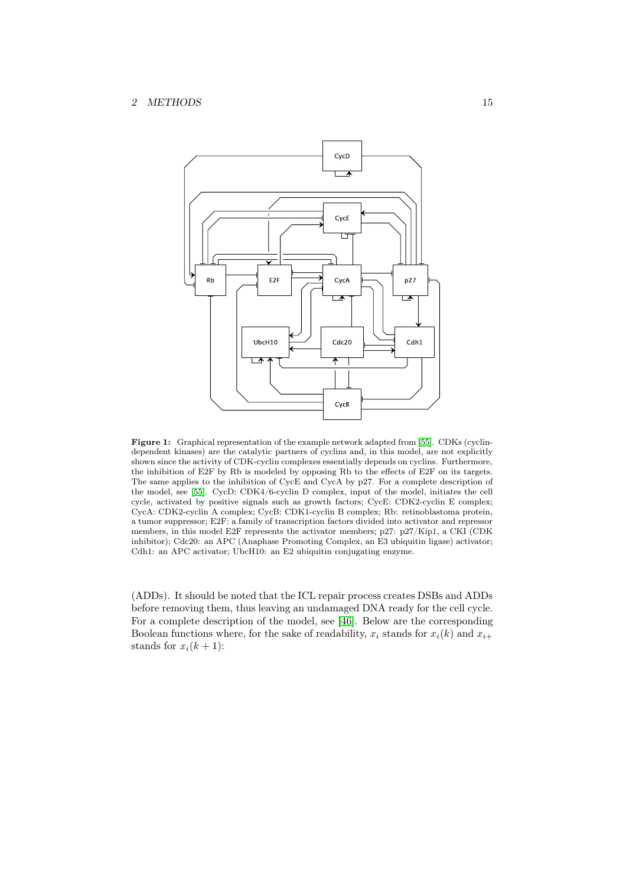<span id="page-14-0"></span>

Figure 1: Graphical representation of the example network adapted from [\[55\]](#page-44-5). CDKs (cyclindependent kinases) are the catalytic partners of cyclins and, in this model, are not explicitly shown since the activity of CDK-cyclin complexes essentially depends on cyclins. Furthermore, the inhibition of E2F by Rb is modeled by opposing Rb to the effects of E2F on its targets. The same applies to the inhibition of CycE and CycA by p27. For a complete description of the model, see [\[55\]](#page-44-5). CycD: CDK4/6-cyclin D complex, input of the model, initiates the cell cycle, activated by positive signals such as growth factors; CycE: CDK2-cyclin E complex; CycA: CDK2-cyclin A complex; CycB: CDK1-cyclin B complex; Rb: retinoblastoma protein, a tumor suppressor; E2F: a family of transcription factors divided into activator and repressor members, in this model E2F represents the activator members; p27: p27/Kip1, a CKI (CDK inhibitor); Cdc20: an APC (Anaphase Promoting Complex, an E3 ubiquitin ligase) activator; Cdh1: an APC activator; UbcH10: an E2 ubiquitin conjugating enzyme.

(ADDs). It should be noted that the ICL repair process creates DSBs and ADDs before removing them, thus leaving an undamaged DNA ready for the cell cycle. For a complete description of the model, see [\[46\]](#page-43-2). Below are the corresponding Boolean functions where, for the sake of readability,  $x_i$  stands for  $x_i(k)$  and  $x_{i+1}$ stands for  $x_i(k+1)$ :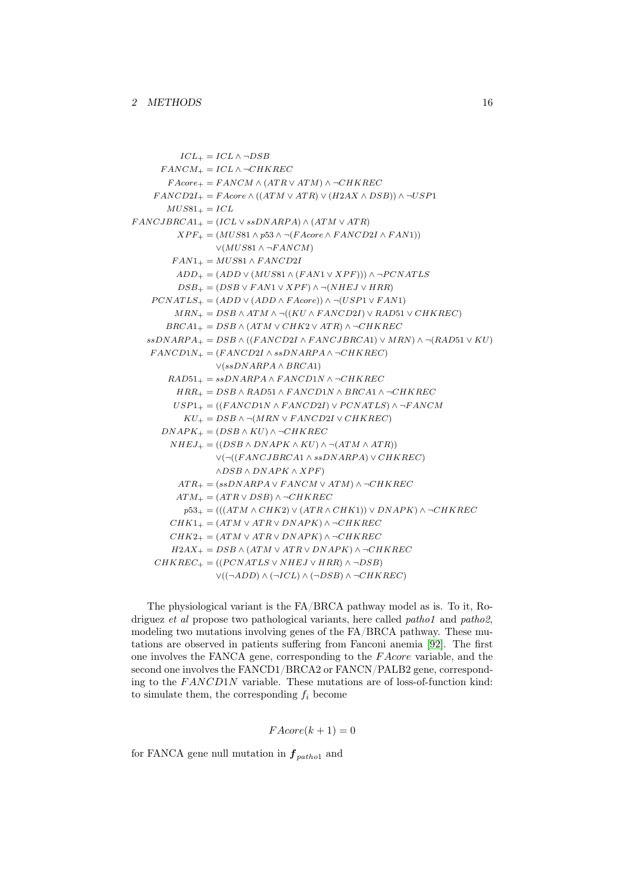$ICL_{+} = ICL \wedge \neg DSB$  $FANCM_{+} = ICL \wedge \neg CHKREC$  $FAcore_+ = FANCM \wedge (ATR \vee ATM) \wedge \neg CHKREC$  $FANCD2I_{+} = FAcore \wedge ((ATM \vee ATR) \vee (H2AX \wedge DSB)) \wedge \neg USP1$  $MUS81_+ = ICL$  $FANCJBRCA1<sub>+</sub> = (ICL \vee ssDNARPA) \wedge (ATM \vee ATR)$  $XPF_+ = (MUS81 \land p53 \land \neg (FAcore \land FANCD2I \land FAN1))$  $\vee$ (*MUS*81 ∧ ¬*FANCM*)  $FAN1_+ = MUS81 \wedge FANCD2I$  $ADD_+ = (ADD \vee (MUS81 \wedge (FAN1 \vee XPF))) \wedge \neg PCNATLS$  $DSB_+ = (DSB \vee FAN1 \vee XPF) \wedge \neg (NHEJ \vee HRR)$  $PCNATLS_{+} = (ADD \vee (ADD \wedge FAcore)) \wedge \neg (USP1 \vee FAN1)$  $MRN_+ = DSB \wedge ATM \wedge \neg((KU \wedge FANCD2I) \vee RAD51 \vee CHKREC)$  $B RCA1_+ = DSB \wedge (ATM \vee CHK2 \vee ATR) \wedge \neg CHKREC$ ssDNARP $A_+ = DSB \wedge ((FANCD2I \wedge FANCJBRCA1) \vee MRN) \wedge \neg (RAD51 \vee KU)$  $FANCD1N_{+} = (FANCD2I \wedge ssDNARPA \wedge \neg CHKREC)$  $\vee$ (ssDNARPA  $\wedge$  BRCA1)  $RAD51<sub>+</sub> = ssDNARPA \wedge FANCD1N \wedge \neg CHKREC$  $HRR_+ = DSB \wedge RAD51 \wedge FANCD1N \wedge BRCA1 \wedge \neg CHKREC$  $USP1_+ = ((FANCD1N \wedge FANCD2I) \vee PCNATLS) \wedge \neg FANCM$  $KU_+ = DSB \wedge \neg (MRN \vee FANCD2I \vee CHKREC)$  $DNAPK<sub>+</sub> = (DSB \wedge KU) \wedge \neg CHKREC$  $NHEJ_{+} = ((DSB \wedge DNAPK \wedge KU) \wedge \neg (ATM \wedge ATR))$  $\vee (¬((FANCJBRCA1 ∧ ssDNARPA) ∨ CHKREC))$  $\wedge DSB \wedge DNAPK \wedge XPF$  $ATR_+ = (ssDNARPA \vee FANCM \vee ATM) \wedge \neg CHKREC$  $ATM_+ = (ATR \vee DSB) \wedge \neg CHKREC$  $p53_+ = (((ATM \wedge CHK2) \vee (ATR \wedge CHK1)) \vee DNAPK) \wedge \neg CHKREC$  $CHK1_+ = (ATM \vee ATR \vee DNAPK) \wedge \neg CHKREC$  $CHK2_+ = (ATM \vee ATR \vee DNAPK) \wedge \neg CHKREC$  $H2AX_+ = DSB \wedge (ATM \vee ATR \vee DNAPK) \wedge \neg CHKREC$  $CHKREC_{+} = ((PCNATLS \vee NHEJ \vee HRR) \wedge \neg DSB)$  $\vee ((\neg ADD) \wedge (\neg ICL) \wedge (\neg DSB) \wedge \neg CHKREC)$ 

The physiological variant is the FA/BRCA pathway model as is. To it, Rodriguez *et al* propose two pathological variants, here called *patho1* and *patho2*, modeling two mutations involving genes of the FA/BRCA pathway. These mutations are observed in patients suffering from Fanconi anemia [\[92\]](#page-46-7). The first one involves the FANCA gene, corresponding to the F Acore variable, and the second one involves the FANCD1/BRCA2 or FANCN/PALB2 gene, corresponding to the  $FANCD1N$  variable. These mutations are of loss-of-function kind: to simulate them, the corresponding  $f_i$  become

 $FAcore(k+1)=0$ 

for FANCA gene null mutation in  $f_{patho1}$  and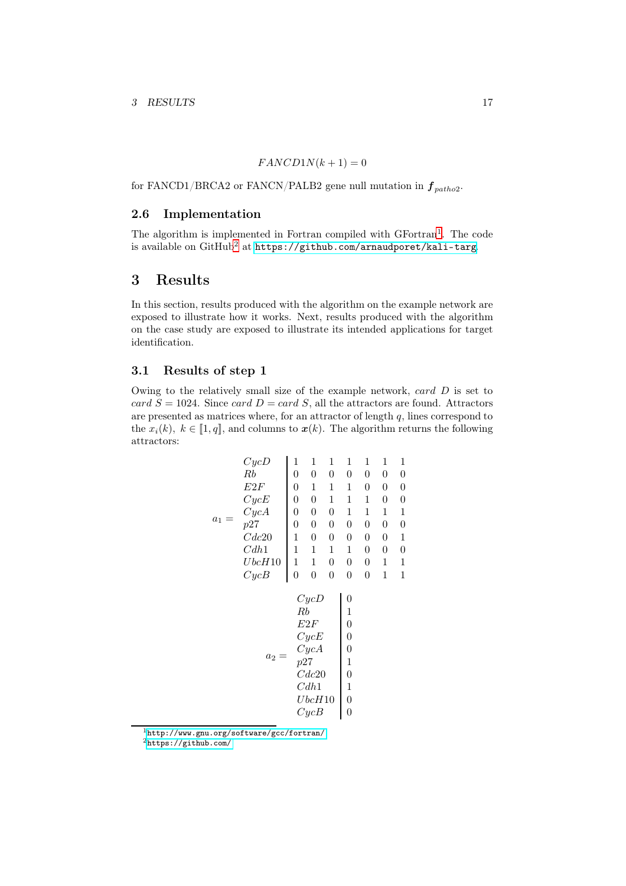#### $FANCD1N(k+1) = 0$

for FANCD1/BRCA2 or FANCN/PALB2 gene null mutation in  $\boldsymbol{f}_{patho2}$ .

# <span id="page-16-0"></span>2.6 Implementation

The algorithm is implemented in Fortran compiled with GFortran<sup>[1](#page-16-3)</sup>. The code is available on  $GitHub<sup>2</sup>$  $GitHub<sup>2</sup>$  $GitHub<sup>2</sup>$  at  $https://github.com/arnaudport/kali-target$ 

# <span id="page-16-1"></span>3 Results

In this section, results produced with the algorithm on the example network are exposed to illustrate how it works. Next, results produced with the algorithm on the case study are exposed to illustrate its intended applications for target identification.

# <span id="page-16-2"></span>3.1 Results of step 1

Owing to the relatively small size of the example network, card D is set to card  $S = 1024$ . Since card  $D = card S$ , all the attractors are found. Attractors are presented as matrices where, for an attractor of length  $q$ , lines correspond to the  $x_i(k)$ ,  $k \in [1, q]$ , and columns to  $x(k)$ . The algorithm returns the following attractors:

| $CycD$                                                                                   | 1 | 1 | 1 | 1 | 1 | 1 |   |   |
|------------------------------------------------------------------------------------------|---|---|---|---|---|---|---|---|
| $Rb$                                                                                     | 0 | 0 | 0 | 0 | 0 | 0 |   |   |
| $CycE$                                                                                   | 0 | 1 | 1 | 1 | 0 | 0 |   |   |
| $CycA$                                                                                   | 0 | 0 | 1 | 1 | 1 | 0 | 0 |   |
| $Cdc20$                                                                                  | 0 | 0 | 0 | 1 | 1 | 1 | 1 |   |
| $Cdc20$                                                                                  | 1 | 0 | 0 | 0 | 0 | 0 | 0 |   |
| $Cdc20$                                                                                  | 1 | 0 | 0 | 0 | 0 | 0 | 1 |   |
| $CbcH10$                                                                                 | 1 | 1 | 1 | 0 | 0 | 0 | 1 | 1 |
| $CycD$                                                                                   | 0 | 0 | 0 | 0 | 1 | 1 |   |   |
| $E2F$                                                                                    | 0 |   |   |   |   |   |   |   |
| $Rb$                                                                                     | 1 | 1 |   |   |   |   |   |   |
| $E2F$                                                                                    | 0 |   |   |   |   |   |   |   |
| $CycE$                                                                                   | 0 |   |   |   |   |   |   |   |
| $a_2 = \begin{array}{c} CycA \\ p27 \\ p27 \\ r2620 \\ cdc20 \\ cdc41 \\ 1 \\ 1 \\ 1 \\$ |   |   |   |   |   |   |   |   |

<span id="page-16-4"></span><span id="page-16-3"></span><sup>1</sup><http://www.gnu.org/software/gcc/fortran/> <sup>2</sup><https://github.com/>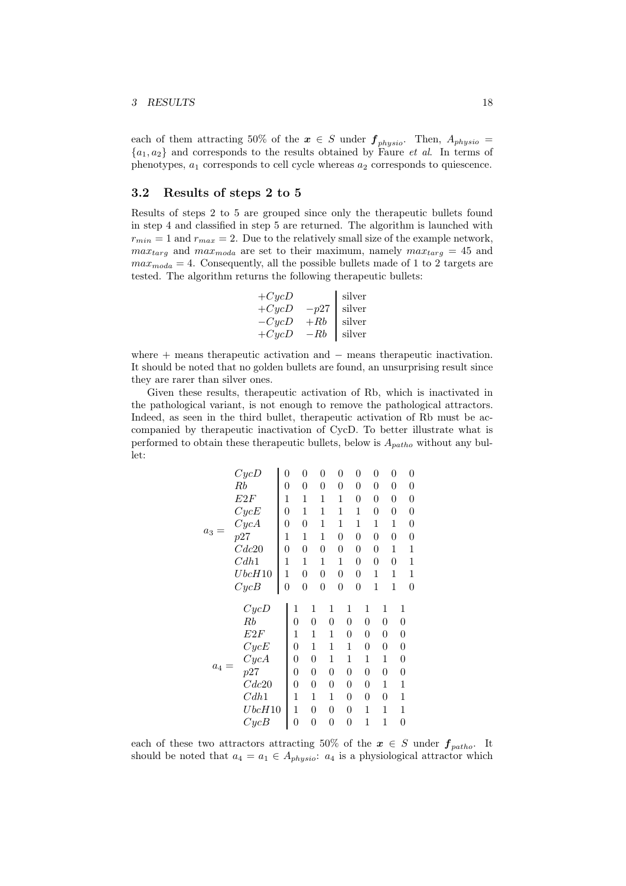each of them attracting 50% of the  $x \in S$  under  $f_{physio}$ . Then,  $A_{physio} =$ {a1, a2} and corresponds to the results obtained by Faure *et al*. In terms of phenotypes,  $a_1$  corresponds to cell cycle whereas  $a_2$  corresponds to quiescence.

### <span id="page-17-0"></span>3.2 Results of steps 2 to 5

Results of steps 2 to 5 are grouped since only the therapeutic bullets found in step 4 and classified in step 5 are returned. The algorithm is launched with  $r_{min} = 1$  and  $r_{max} = 2$ . Due to the relatively small size of the example network,  $max_{targ}$  and  $max_{moda}$  are set to their maximum, namely  $max_{targ} = 45$  and  $max_{moda} = 4$ . Consequently, all the possible bullets made of 1 to 2 targets are tested. The algorithm returns the following therapeutic bullets:

| $+ CycD$ |        | silver |
|----------|--------|--------|
| $+ CycD$ | $-p27$ | silver |
| $-CycD$  | $+ Rb$ | silver |
| $+CucD$  | $-Rb$  | silver |

where + means therapeutic activation and − means therapeutic inactivation. It should be noted that no golden bullets are found, an unsurprising result since they are rarer than silver ones.

Given these results, therapeutic activation of Rb, which is inactivated in the pathological variant, is not enough to remove the pathological attractors. Indeed, as seen in the third bullet, therapeutic activation of Rb must be accompanied by therapeutic inactivation of CycD. To better illustrate what is performed to obtain these therapeutic bullets, below is  $A_{patho}$  without any bullet:

|         | CycD   | 0                | 0                | 0                | 0                |                | 0                | 0                | 0                | 0                |
|---------|--------|------------------|------------------|------------------|------------------|----------------|------------------|------------------|------------------|------------------|
|         | Rb     | 0                | 0                | 0                | 0                |                | 0                | 0                | 0                | 0                |
|         | E2F    | 1                | 1                | 1                | 1                |                | 0                | $\overline{0}$   | $\overline{0}$   | $\boldsymbol{0}$ |
|         | CycE   | $\overline{0}$   | 1                | 1                | 1                |                | 1                | $\overline{0}$   | $\overline{0}$   | $\boldsymbol{0}$ |
|         | CycA   | 0                | $\overline{0}$   | $\mathbf{1}$     | 1                |                | 1                | 1                | 1                | $\boldsymbol{0}$ |
| $a_3 =$ | p27    | 1                | 1                | 1                | $\boldsymbol{0}$ |                | 0                | $\boldsymbol{0}$ | $\boldsymbol{0}$ | $\boldsymbol{0}$ |
|         | Cdc20  | $\boldsymbol{0}$ | $\overline{0}$   | 0                | $\overline{0}$   |                | 0                | $\overline{0}$   | 1                | 1                |
|         | Cdh1   | 1                | 1                | 1                | 1                |                | 0                | $\overline{0}$   | $\overline{0}$   | 1                |
|         | UbcH10 | 1                | $\boldsymbol{0}$ | $\boldsymbol{0}$ | $\boldsymbol{0}$ |                | 0                | 1                | 1                | 1                |
|         | CycB   | $\overline{0}$   | $\overline{0}$   | $\overline{0}$   | $\overline{0}$   |                | $\overline{0}$   | 1                | 1                | $\overline{0}$   |
|         | CycD   |                  | 1                | 1                | 1                | 1              | 1                | 1                | 1                |                  |
|         | Rb     |                  | $\boldsymbol{0}$ | 0                | $\overline{0}$   | 0              | $\boldsymbol{0}$ | $\boldsymbol{0}$ | $\boldsymbol{0}$ |                  |
|         | E2F    |                  | $\mathbf 1$      | 1                | 1                | 0              | $\overline{0}$   | 0                | $\boldsymbol{0}$ |                  |
|         |        |                  |                  |                  |                  |                |                  |                  |                  |                  |
|         | CycE   |                  | $\boldsymbol{0}$ | 1                | 1                | 1              | $\overline{0}$   | 0                | $\boldsymbol{0}$ |                  |
| $a_4 =$ | CycA   |                  | 0                | 0                | 1                | 1              | 1                | 1                | 0                |                  |
|         | p27    |                  | $\boldsymbol{0}$ | 0                | $\overline{0}$   | 0              | $\overline{0}$   | $\boldsymbol{0}$ | $\boldsymbol{0}$ |                  |
|         | Cdc20  |                  | $\boldsymbol{0}$ | 0                | $\overline{0}$   | $\overline{0}$ | $\overline{0}$   | 1                | 1                |                  |
|         | Cdh1   |                  | 1                | 1                | 1                | $\overline{0}$ | $\boldsymbol{0}$ | $\boldsymbol{0}$ | $\mathbf 1$      |                  |
|         | UbcH10 |                  | 1                | 0                | $\overline{0}$   | 0              | 1                | 1                | $\mathbf{1}$     |                  |
|         | CycB   |                  | $\overline{0}$   | 0                | $\overline{0}$   | $\overline{0}$ | 1                | 1                | $\boldsymbol{0}$ |                  |

each of these two attractors attracting 50% of the  $x \in S$  under  $f_{patho}$ . It should be noted that  $a_4 = a_1 \in A_{physio}: a_4$  is a physiological attractor which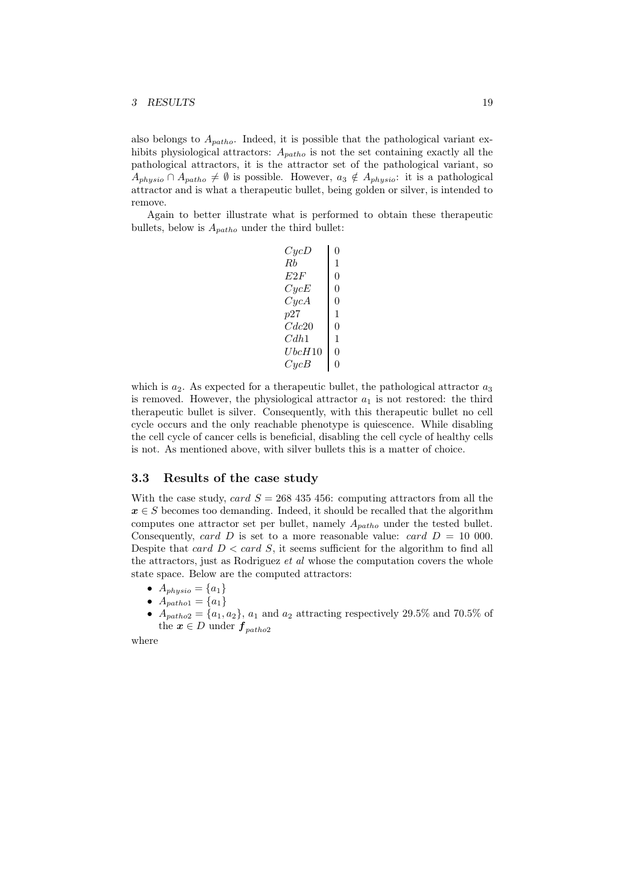also belongs to  $A_{patho}$ . Indeed, it is possible that the pathological variant exhibits physiological attractors:  $A_{patho}$  is not the set containing exactly all the pathological attractors, it is the attractor set of the pathological variant, so  $A_{physio} \cap A_{patho} \neq \emptyset$  is possible. However,  $a_3 \notin A_{physio}$ : it is a pathological attractor and is what a therapeutic bullet, being golden or silver, is intended to remove.

Again to better illustrate what is performed to obtain these therapeutic bullets, below is  $A_{patho}$  under the third bullet:

```
CucDRb 1
E2F \qquad \qquad 0CycE \qquad 0CycA \qquad \qquad \vert \; 0p27 1
Cdc20 \quad | \quad 0Cdh1 | 1
UbcH10 0
CycB \t 0
```
which is  $a_2$ . As expected for a therapeutic bullet, the pathological attractor  $a_3$ is removed. However, the physiological attractor  $a_1$  is not restored: the third therapeutic bullet is silver. Consequently, with this therapeutic bullet no cell cycle occurs and the only reachable phenotype is quiescence. While disabling the cell cycle of cancer cells is beneficial, disabling the cell cycle of healthy cells is not. As mentioned above, with silver bullets this is a matter of choice.

### <span id="page-18-0"></span>3.3 Results of the case study

With the case study, card  $S = 268 435 456$ : computing attractors from all the  $x \in S$  becomes too demanding. Indeed, it should be recalled that the algorithm computes one attractor set per bullet, namely  $A_{patho}$  under the tested bullet. Consequently, card D is set to a more reasonable value: card  $D = 10000$ . Despite that card  $D < \text{card } S$ , it seems sufficient for the algorithm to find all the attractors, just as Rodriguez *et al* whose the computation covers the whole state space. Below are the computed attractors:

- $A_{physio} = \{a_1\}$
- $A_{patho1} = \{a_1\}$
- $A_{patho2} = \{a_1, a_2\}$ ,  $a_1$  and  $a_2$  attracting respectively 29.5% and 70.5% of the  $x \in D$  under  $\mathbf{f}_{patho2}$

where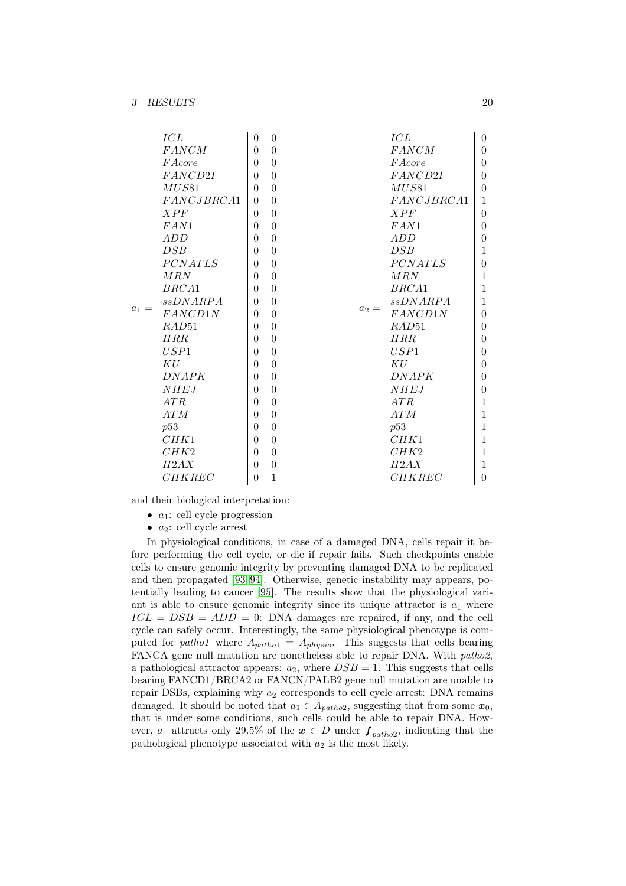|         | ICL             | $\theta$       | $\theta$       |         | ICL             | $\boldsymbol{0}$ |
|---------|-----------------|----------------|----------------|---------|-----------------|------------------|
|         | $FANCM$         | $\theta$       | $\overline{0}$ |         | <b>FANCM</b>    | $\theta$         |
|         | <i>F Acore</i>  | $\Omega$       | $\overline{0}$ |         | <i>F</i> Acore  | $\theta$         |
|         | FANCD2I         | $\theta$       | $\theta$       |         | FANCD2I         | $\theta$         |
|         | <i>MUS8</i> 1   | $\theta$       | $\theta$       |         | $MUS81$         | $\Omega$         |
|         | FANCJBRCA1      | $\theta$       | $\overline{0}$ |         | FANCJBRCA1      | 1                |
|         | XPF             | $\theta$       | $\overline{0}$ |         | XPF             | $\overline{0}$   |
|         | FAN1            | $\theta$       | $\theta$       |         | FAN1            | $\Omega$         |
|         | ADD             | $\Omega$       | $\overline{0}$ |         | ADD             | $\theta$         |
|         | DSB             | $\theta$       | $\overline{0}$ |         | DSB             | $\mathbf{1}$     |
|         | <b>PCNATLS</b>  | $\Omega$       | $\overline{0}$ |         | <b>PCNATLS</b>  | $\Omega$         |
|         | MRN             | $\theta$       | $\theta$       |         | MRN             | $\mathbf{1}$     |
|         | BRCA1           | $\theta$       | $\theta$       |         | BRCA1           | $\mathbf{1}$     |
|         | <i>ssDNARPA</i> | $\theta$       | $\theta$       |         | <i>ssDNARPA</i> | $\mathbf{1}$     |
| $a_1 =$ | FANCD1N         | $\Omega$       | $\overline{0}$ | $a_2 =$ | FANCD1N         | $\theta$         |
|         | RAD51           | $\theta$       | $\theta$       |         | RAD51           | $\theta$         |
|         | HRR             | $\theta$       | $\overline{0}$ |         | HRR             | $\overline{0}$   |
|         | USP1            | $\Omega$       | $\overline{0}$ |         | USP1            | $\theta$         |
|         | KU              | $\theta$       | $\theta$       |         | KU              | $\theta$         |
|         | DNAPK           | $\theta$       | $\overline{0}$ |         | DNAPK           | $\theta$         |
|         | NHEJ            | $\theta$       | $\overline{0}$ |         | NHEJ            | $\overline{0}$   |
|         | ATR             | $\theta$       | $\overline{0}$ |         | ATR             | $\mathbf{1}$     |
|         | ATM             | $\theta$       | $\overline{0}$ |         | ATM             | $\mathbf{1}$     |
|         | p53             | $\Omega$       | $\overline{0}$ |         | p53             | $\mathbf{1}$     |
|         | CHK1            | $\theta$       | $\theta$       |         | CHK1            | $\mathbf{1}$     |
|         | CHK2            | $\theta$       | $\theta$       |         | CHK2            | $\mathbf{1}$     |
|         | H2AX            | $\theta$       | $\overline{0}$ |         | H2AX            | $\mathbf{1}$     |
|         | <b>CHKREC</b>   | $\overline{0}$ | $\mathbf{1}$   |         | <b>CHKREC</b>   | $\boldsymbol{0}$ |

and their biological interpretation:

- $a_1$ : cell cycle progression
- $a_2$ : cell cycle arrest

In physiological conditions, in case of a damaged DNA, cells repair it before performing the cell cycle, or die if repair fails. Such checkpoints enable cells to ensure genomic integrity by preventing damaged DNA to be replicated and then propagated [\[93,](#page-46-8) [94\]](#page-46-9). Otherwise, genetic instability may appears, potentially leading to cancer [\[95\]](#page-47-0). The results show that the physiological variant is able to ensure genomic integrity since its unique attractor is  $a_1$  where  $ICL = DSB = ADD = 0$ : DNA damages are repaired, if any, and the cell cycle can safely occur. Interestingly, the same physiological phenotype is computed for *patho1* where  $A_{patho1} = A_{physio}$ . This suggests that cells bearing FANCA gene null mutation are nonetheless able to repair DNA. With *patho2*, a pathological attractor appears:  $a_2$ , where  $DSB = 1$ . This suggests that cells bearing FANCD1/BRCA2 or FANCN/PALB2 gene null mutation are unable to repair DSBs, explaining why  $a_2$  corresponds to cell cycle arrest: DNA remains damaged. It should be noted that  $a_1 \in A_{patho2}$ , suggesting that from some  $x_0$ , that is under some conditions, such cells could be able to repair DNA. However,  $a_1$  attracts only 29.5% of the  $x \in D$  under  $f_{patho2}$ , indicating that the pathological phenotype associated with  $a_2$  is the most likely.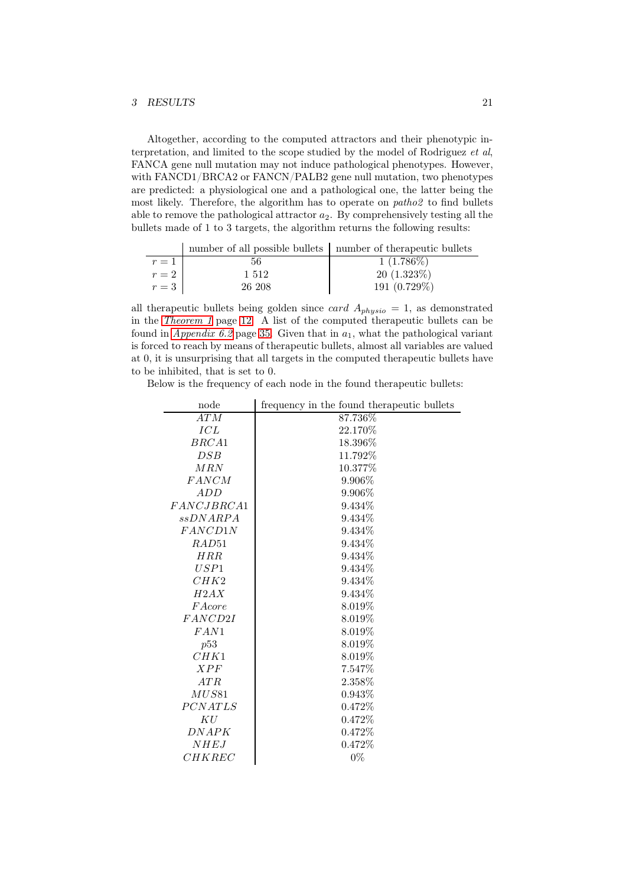#### 3 RESULTS 21

Altogether, according to the computed attractors and their phenotypic interpretation, and limited to the scope studied by the model of Rodriguez *et al*, FANCA gene null mutation may not induce pathological phenotypes. However, with FANCD1/BRCA2 or FANCN/PALB2 gene null mutation, two phenotypes are predicted: a physiological one and a pathological one, the latter being the most likely. Therefore, the algorithm has to operate on *patho2* to find bullets able to remove the pathological attractor  $a_2$ . By comprehensively testing all the bullets made of 1 to 3 targets, the algorithm returns the following results:

|       | number of all possible bullets   number of the rapeutic bullets |                 |
|-------|-----------------------------------------------------------------|-----------------|
| $r=1$ | 56                                                              | $1(1.786\%)$    |
| $r=2$ | 1.512                                                           | $20(1.323\%)$   |
| $r=3$ | 26 208                                                          | 191 $(0.729\%)$ |

all therapeutic bullets being golden since *card*  $A_{physio} = 1$ , as demonstrated in the *[Theorem 1](#page-11-2)* page [12.](#page-11-2) A list of the computed therapeutic bullets can be found in *[Appendix 6.2](#page-34-0)* page [35.](#page-34-0) Given that in  $a_1$ , what the pathological variant is forced to reach by means of therapeutic bullets, almost all variables are valued at 0, it is unsurprising that all targets in the computed therapeutic bullets have to be inhibited, that is set to 0.

Below is the frequency of each node in the found therapeutic bullets:

| node             | frequency in the found therapeutic bullets |
|------------------|--------------------------------------------|
| $\overline{ATM}$ | 87.736\%                                   |
| ICL              | 22.170\%                                   |
| BRCA1            | 18.396%                                    |
| DSB              | 11.792%                                    |
| MRN              | 10.377%                                    |
| <b>FANCM</b>     | 9.906%                                     |
| ADD              | 9.906%                                     |
| FANCJBRCA1       | $9.434\%$                                  |
| ssDNARPA         | 9.434\%                                    |
| FANCD1N          | 9.434\%                                    |
| RAD51            | 9.434\%                                    |
| HRR              | 9.434\%                                    |
| USP1             | 9.434\%                                    |
| CHK2             | 9.434\%                                    |
| H2AX             | 9.434\%                                    |
| <i>F Acore</i>   | 8.019%                                     |
| FANCD2I          | 8.019\%                                    |
| FAN1             | 8.019\%                                    |
| p53              | 8.019%                                     |
| CHK1             | 8.019\%                                    |
| XPF              | 7.547%                                     |
| ATR              | 2.358\%                                    |
| MUS81            | $0.943\%$                                  |
| <b>PCNATLS</b>   | 0.472\%                                    |
| ΚU               | $0.472\%$                                  |
| DNAPK            | 0.472%                                     |
| <i>NHEJ</i>      | $0.472\%$                                  |
| <b>CHKREC</b>    | $0\%$                                      |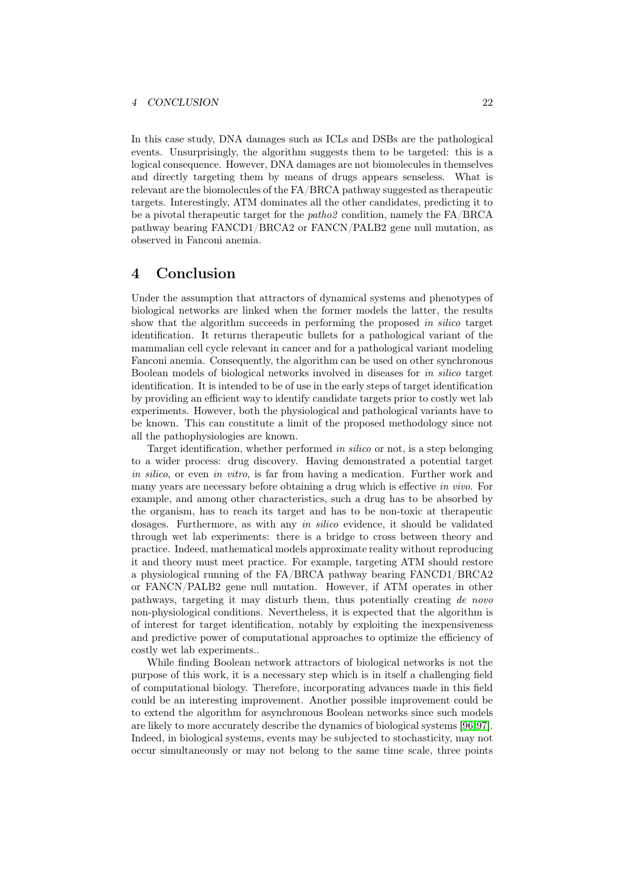In this case study, DNA damages such as ICLs and DSBs are the pathological events. Unsurprisingly, the algorithm suggests them to be targeted: this is a logical consequence. However, DNA damages are not biomolecules in themselves and directly targeting them by means of drugs appears senseless. What is relevant are the biomolecules of the FA/BRCA pathway suggested as therapeutic targets. Interestingly, ATM dominates all the other candidates, predicting it to be a pivotal therapeutic target for the *patho2* condition, namely the FA/BRCA pathway bearing FANCD1/BRCA2 or FANCN/PALB2 gene null mutation, as observed in Fanconi anemia.

# <span id="page-21-0"></span>4 Conclusion

Under the assumption that attractors of dynamical systems and phenotypes of biological networks are linked when the former models the latter, the results show that the algorithm succeeds in performing the proposed *in silico* target identification. It returns therapeutic bullets for a pathological variant of the mammalian cell cycle relevant in cancer and for a pathological variant modeling Fanconi anemia. Consequently, the algorithm can be used on other synchronous Boolean models of biological networks involved in diseases for *in silico* target identification. It is intended to be of use in the early steps of target identification by providing an efficient way to identify candidate targets prior to costly wet lab experiments. However, both the physiological and pathological variants have to be known. This can constitute a limit of the proposed methodology since not all the pathophysiologies are known.

Target identification, whether performed *in silico* or not, is a step belonging to a wider process: drug discovery. Having demonstrated a potential target *in silico*, or even *in vitro*, is far from having a medication. Further work and many years are necessary before obtaining a drug which is effective *in vivo*. For example, and among other characteristics, such a drug has to be absorbed by the organism, has to reach its target and has to be non-toxic at therapeutic dosages. Furthermore, as with any *in silico* evidence, it should be validated through wet lab experiments: there is a bridge to cross between theory and practice. Indeed, mathematical models approximate reality without reproducing it and theory must meet practice. For example, targeting ATM should restore a physiological running of the FA/BRCA pathway bearing FANCD1/BRCA2 or FANCN/PALB2 gene null mutation. However, if ATM operates in other pathways, targeting it may disturb them, thus potentially creating *de novo* non-physiological conditions. Nevertheless, it is expected that the algorithm is of interest for target identification, notably by exploiting the inexpensiveness and predictive power of computational approaches to optimize the efficiency of costly wet lab experiments..

While finding Boolean network attractors of biological networks is not the purpose of this work, it is a necessary step which is in itself a challenging field of computational biology. Therefore, incorporating advances made in this field could be an interesting improvement. Another possible improvement could be to extend the algorithm for asynchronous Boolean networks since such models are likely to more accurately describe the dynamics of biological systems [\[96,](#page-47-1)[97\]](#page-47-2). Indeed, in biological systems, events may be subjected to stochasticity, may not occur simultaneously or may not belong to the same time scale, three points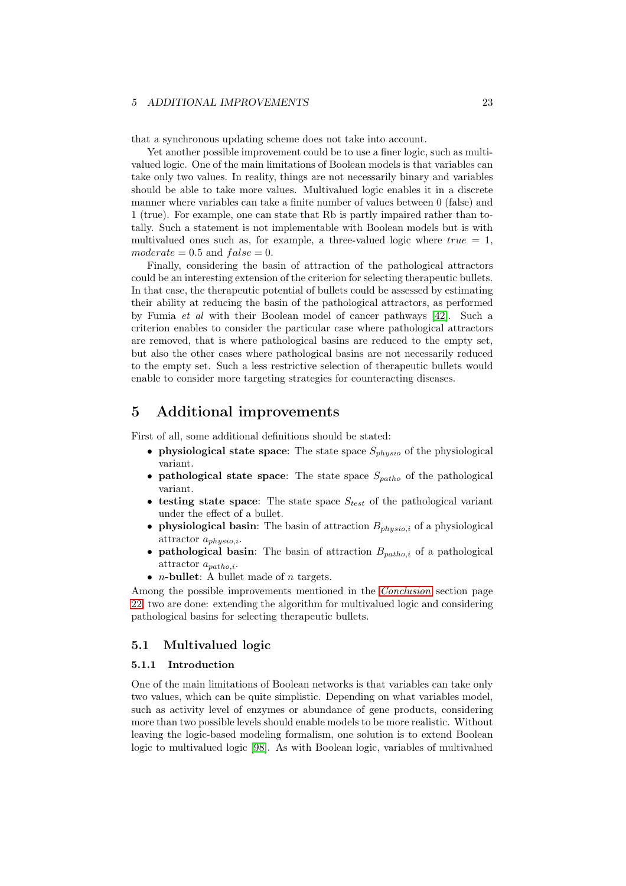#### 5 ADDITIONAL IMPROVEMENTS 23

that a synchronous updating scheme does not take into account.

Yet another possible improvement could be to use a finer logic, such as multivalued logic. One of the main limitations of Boolean models is that variables can take only two values. In reality, things are not necessarily binary and variables should be able to take more values. Multivalued logic enables it in a discrete manner where variables can take a finite number of values between 0 (false) and 1 (true). For example, one can state that Rb is partly impaired rather than totally. Such a statement is not implementable with Boolean models but is with multivalued ones such as, for example, a three-valued logic where  $true = 1$ , moderate  $= 0.5$  and  $false = 0$ .

Finally, considering the basin of attraction of the pathological attractors could be an interesting extension of the criterion for selecting therapeutic bullets. In that case, the therapeutic potential of bullets could be assessed by estimating their ability at reducing the basin of the pathological attractors, as performed by Fumia *et al* with their Boolean model of cancer pathways [\[42\]](#page-43-3). Such a criterion enables to consider the particular case where pathological attractors are removed, that is where pathological basins are reduced to the empty set, but also the other cases where pathological basins are not necessarily reduced to the empty set. Such a less restrictive selection of therapeutic bullets would enable to consider more targeting strategies for counteracting diseases.

# <span id="page-22-0"></span>5 Additional improvements

First of all, some additional definitions should be stated:

- physiological state space: The state space  $S_{physio}$  of the physiological variant.
- pathological state space: The state space  $S_{patho}$  of the pathological variant.
- testing state space: The state space  $S_{test}$  of the pathological variant under the effect of a bullet.
- physiological basin: The basin of attraction  $B_{physio,i}$  of a physiological attractor  $a_{physio,i}$ .
- pathological basin: The basin of attraction  $B_{patho,i}$  of a pathological attractor apatho,i.
- *n*-bullet: A bullet made of *n* targets.

Among the possible improvements mentioned in the *[Conclusion](#page-21-0)* section page [22,](#page-21-0) two are done: extending the algorithm for multivalued logic and considering pathological basins for selecting therapeutic bullets.

# <span id="page-22-2"></span><span id="page-22-1"></span>5.1 Multivalued logic

#### 5.1.1 Introduction

One of the main limitations of Boolean networks is that variables can take only two values, which can be quite simplistic. Depending on what variables model, such as activity level of enzymes or abundance of gene products, considering more than two possible levels should enable models to be more realistic. Without leaving the logic-based modeling formalism, one solution is to extend Boolean logic to multivalued logic [\[98\]](#page-47-3). As with Boolean logic, variables of multivalued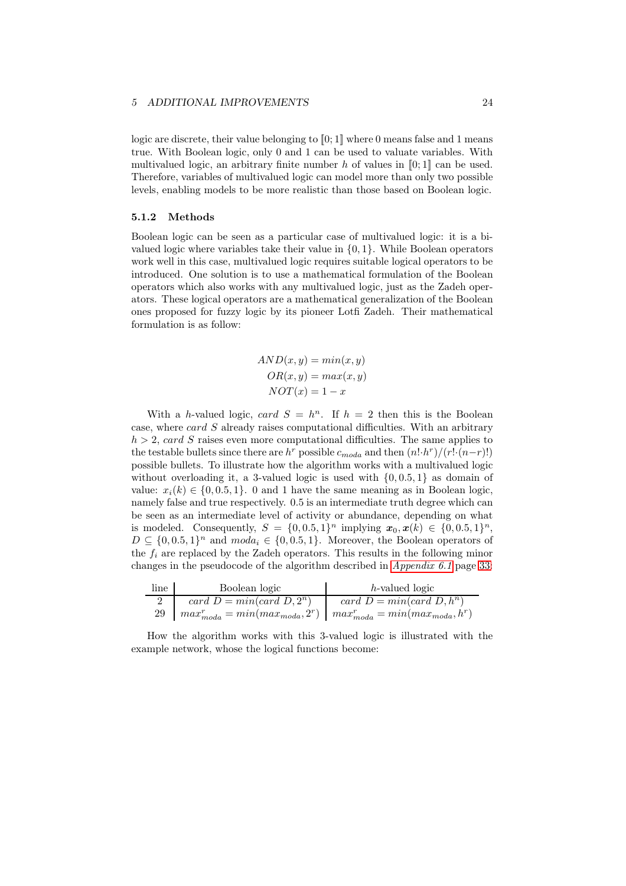#### 5 ADDITIONAL IMPROVEMENTS 24

logic are discrete, their value belonging to  $[0; 1]$  where 0 means false and 1 means true. With Boolean logic, only 0 and 1 can be used to valuate variables. With multivalued logic, an arbitrary finite number h of values in  $[0; 1]$  can be used. Therefore, variables of multivalued logic can model more than only two possible levels, enabling models to be more realistic than those based on Boolean logic.

#### <span id="page-23-0"></span>5.1.2 Methods

Boolean logic can be seen as a particular case of multivalued logic: it is a bivalued logic where variables take their value in  $\{0, 1\}$ . While Boolean operators work well in this case, multivalued logic requires suitable logical operators to be introduced. One solution is to use a mathematical formulation of the Boolean operators which also works with any multivalued logic, just as the Zadeh operators. These logical operators are a mathematical generalization of the Boolean ones proposed for fuzzy logic by its pioneer Lotfi Zadeh. Their mathematical formulation is as follow:

$$
AND(x, y) = min(x, y)
$$

$$
OR(x, y) = max(x, y)
$$

$$
NOT(x) = 1 - x
$$

With a *h*-valued logic, *card*  $S = h<sup>n</sup>$ . If  $h = 2$  then this is the Boolean case, where card S already raises computational difficulties. With an arbitrary  $h > 2$ , card S raises even more computational difficulties. The same applies to the testable bullets since there are  $h^r$  possible  $c_{moda}$  and then  $(n! \cdot h^r)/(r! \cdot (n-r)!)$ possible bullets. To illustrate how the algorithm works with a multivalued logic without overloading it, a 3-valued logic is used with  $\{0, 0.5, 1\}$  as domain of value:  $x_i(k) \in \{0, 0.5, 1\}$ . 0 and 1 have the same meaning as in Boolean logic, namely false and true respectively. 0.5 is an intermediate truth degree which can be seen as an intermediate level of activity or abundance, depending on what is modeled. Consequently,  $S = \{0, 0.5, 1\}^n$  implying  $\mathbf{x}_0, \mathbf{x}(k) \in \{0, 0.5, 1\}^n$ ,  $D \subseteq \{0, 0.5, 1\}^n$  and  $moda_i \in \{0, 0.5, 1\}$ . Moreover, the Boolean operators of the  $f_i$  are replaced by the Zadeh operators. This results in the following minor changes in the pseudocode of the algorithm described in *[Appendix 6.1](#page-32-1)* page [33:](#page-32-1)

| line <sub>1</sub> | Boolean logic                                                                      | h-valued logic              |
|-------------------|------------------------------------------------------------------------------------|-----------------------------|
| $\overline{2}$    | card $D = min(card D, 2n)$                                                         | card $D = min(card D, h^n)$ |
|                   | 29   $max_{moda}^r = min(max_{moda}, 2^r)$   $max_{moda}^r = min(max_{moda}, h^r)$ |                             |

How the algorithm works with this 3-valued logic is illustrated with the example network, whose the logical functions become: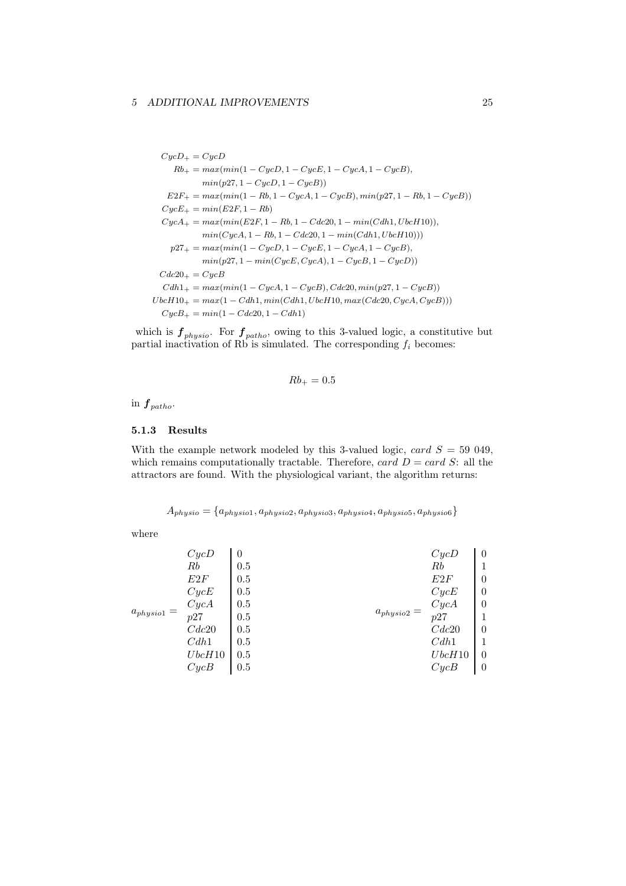```
CycD_+ = CycDRb_+ = max(min(1 - CycD, 1 - CycE, 1 - CycA, 1 - CycB),min(p27, 1 - CycD, 1 - CycB))E2F_+ = max(min(1 - Rb, 1 - CycA, 1 - CycB), min(p27, 1 - Rb, 1 - CycB))CycE_+ = min(E2F, 1 - Rb)CycA_+ = max(min(E2F, 1 - Rb, 1 - Cdc20, 1 - min(Cdh1, UbcH10)),min(CycA, 1 - Rb, 1 - Cdc20, 1 - min(Cdh1, UbcH10)))p27_{+} = max(min(1 - CycD, 1 - CycE, 1 - CycA, 1 - CycB),min(p27, 1 - min(CycE, CycA), 1 - CycB, 1 - CycD))Cdc20_+ = CycBCdh1_ + = max(min(1 - CycA, 1 - CycB), Cdc20, min(p27, 1 - CycB))UbcH10_{+} = max(1 - Cdh1, min(Cdh1, UbcH10, max(Cdc20, CycA, CycB)))CycB_+ = min(1 - Cdc20, 1 - Cdh1)
```
which is  $f_{\text{physio}}$ . For  $f_{\text{patho}}$ , owing to this 3-valued logic, a constitutive but partial inactivation of Rb is simulated. The corresponding  $f_i$  becomes:

$$
Rb_+ = 0.5
$$

in  $f_{\text{patho}}$ .

### <span id="page-24-0"></span>5.1.3 Results

With the example network modeled by this 3-valued logic, card  $S = 59049$ , which remains computationally tractable. Therefore, card  $D = card S$ : all the attractors are found. With the physiological variant, the algorithm returns:

 $A_{physio} = \{a_{physio1}, a_{physio2}, a_{physio3}, a_{physio4}, a_{physio5}, a_{physio6}\}$ 

where

|                 | CycD   | $\overline{0}$ |                 | CycD    | $\overline{0}$ |
|-----------------|--------|----------------|-----------------|---------|----------------|
|                 | Rb     | 0.5            | $a_{physio2} =$ | $_{Rb}$ |                |
|                 | E2F    | 0.5            |                 | E2F     | $\theta$       |
|                 | CycE   | 0.5            |                 | CycE    | $\theta$       |
|                 | CycA   | 0.5            |                 | CycA    | $\overline{0}$ |
| $a_{physio1} =$ | p27    | 0.5            |                 | p27     |                |
|                 | Cdc20  | 0.5            |                 | Cdc20   | $\overline{0}$ |
|                 | Cdh1   | 0.5            |                 | Cdh1    |                |
|                 | UbcH10 | 0.5            |                 | UbcH10  | $\overline{0}$ |
|                 | CycB   | 0.5            |                 | CycB    | $\theta$       |
|                 |        |                |                 |         |                |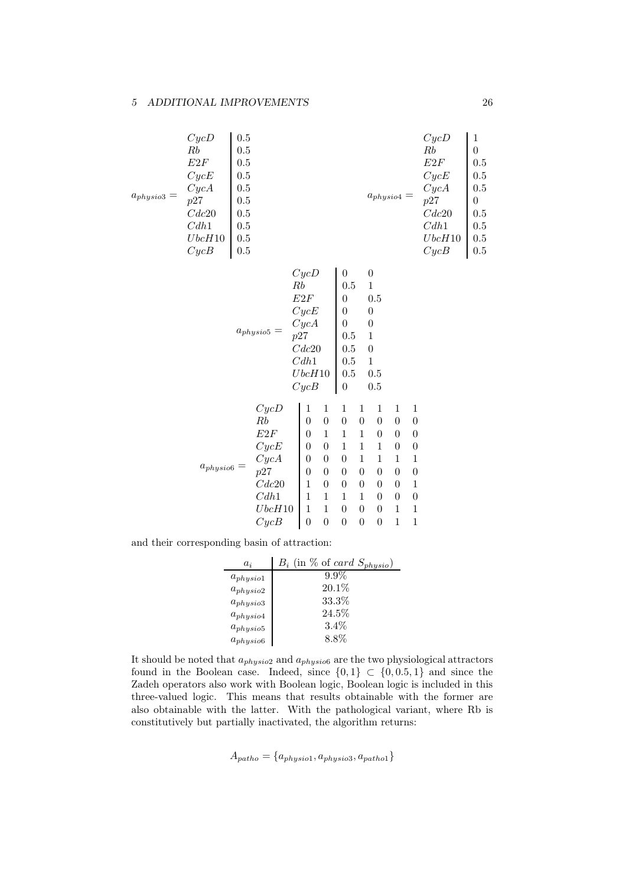| $a_{physio3} =$ | CycD<br>Rb<br>E2F<br>$CycE$<br>CycA<br>p27<br>Cdc20<br>Cdh1<br>UbcH10<br>CycB | 0.5<br>0.5<br>0.5<br>0.5<br>0.5<br>0.5<br>0.5<br>0.5<br>0.5<br>0.5 |                                                                             |           |                                                                                                                                                        |                                                                                                                                                 |                                                                                                                                                                           |                                                                                                                                                                        | $a_{physio4} =$                                                                                                                                                                        |                                                                                                                                                                                      |                                                                                                                                                                                 | CycD<br>Rb<br>E2F<br>CycE<br>CycA<br>p27<br>Cdc20<br>Cdh1<br>UbcH10<br>CycB | $\mathbf{1}$<br>$\boldsymbol{0}$<br>0.5<br>0.5<br>0.5<br>$\boldsymbol{0}$<br>0.5<br>0.5<br>0.5<br>0.5 |
|-----------------|-------------------------------------------------------------------------------|--------------------------------------------------------------------|-----------------------------------------------------------------------------|-----------|--------------------------------------------------------------------------------------------------------------------------------------------------------|-------------------------------------------------------------------------------------------------------------------------------------------------|---------------------------------------------------------------------------------------------------------------------------------------------------------------------------|------------------------------------------------------------------------------------------------------------------------------------------------------------------------|----------------------------------------------------------------------------------------------------------------------------------------------------------------------------------------|--------------------------------------------------------------------------------------------------------------------------------------------------------------------------------------|---------------------------------------------------------------------------------------------------------------------------------------------------------------------------------|-----------------------------------------------------------------------------|-------------------------------------------------------------------------------------------------------|
|                 |                                                                               |                                                                    | $a_{physio5} =$                                                             | Rb<br>p27 | CycD<br>E2F<br>$CycE$<br>CycA<br>Cdc20<br>Cdh1<br>UbcH10<br>CycB                                                                                       |                                                                                                                                                 | $\boldsymbol{0}$<br>0.5<br>$\theta$<br>$\overline{0}$<br>$\boldsymbol{0}$<br>0.5<br>0.5<br>0.5<br>0.5<br>$\boldsymbol{0}$                                                 |                                                                                                                                                                        | $\boldsymbol{0}$<br>$\,1\,$<br>0.5<br>$\boldsymbol{0}$<br>$\boldsymbol{0}$<br>$\mathbf{1}$<br>$\boldsymbol{0}$<br>$\mathbf{1}$<br>$0.5\,$<br>0.5                                       |                                                                                                                                                                                      |                                                                                                                                                                                 |                                                                             |                                                                                                       |
|                 | $a_{physio6} =$                                                               |                                                                    | CycD<br>Rb<br>E2F<br>CycE<br>CycA<br>p27<br>Cdc20<br>Cdh1<br>UbcH10<br>CycB |           | 1<br>$\boldsymbol{0}$<br>$\theta$<br>$\boldsymbol{0}$<br>$\boldsymbol{0}$<br>$\theta$<br>$\mathbf{1}$<br>$\mathbf 1$<br>$\mathbf{1}$<br>$\overline{0}$ | 1<br>$\boldsymbol{0}$<br>$\mathbf{1}$<br>$\theta$<br>$\boldsymbol{0}$<br>$\theta$<br>$\theta$<br>$\mathbf{1}$<br>$\mathbf{1}$<br>$\overline{0}$ | $\mathbf{1}$<br>$\boldsymbol{0}$<br>$\mathbf{1}$<br>$\mathbf{1}$<br>$\boldsymbol{0}$<br>$\theta$<br>$\boldsymbol{0}$<br>$\mathbf 1$<br>$\boldsymbol{0}$<br>$\overline{0}$ | $\mathbf{1}$<br>$\boldsymbol{0}$<br>$\mathbf{1}$<br>$\mathbf{1}$<br>$\mathbf{1}$<br>$\theta$<br>$\boldsymbol{0}$<br>$\mathbf{1}$<br>$\boldsymbol{0}$<br>$\overline{0}$ | $\mathbf{1}$<br>$\boldsymbol{0}$<br>$\boldsymbol{0}$<br>$\mathbf{1}$<br>$\mathbf{1}$<br>$\boldsymbol{0}$<br>$\boldsymbol{0}$<br>$\boldsymbol{0}$<br>$\boldsymbol{0}$<br>$\overline{0}$ | $\mathbf{1}$<br>$\boldsymbol{0}$<br>$\overline{0}$<br>$\boldsymbol{0}$<br>$\mathbf{1}$<br>$\boldsymbol{0}$<br>$\boldsymbol{0}$<br>$\boldsymbol{0}$<br>$\mathbf{1}$<br>$\overline{1}$ | $\mathbf 1$<br>$\boldsymbol{0}$<br>$\boldsymbol{0}$<br>$\boldsymbol{0}$<br>$\mathbf{1}$<br>$\boldsymbol{0}$<br>$\mathbf{1}$<br>$\boldsymbol{0}$<br>$\mathbf{1}$<br>$\mathbf{1}$ |                                                                             |                                                                                                       |

and their corresponding basin of attraction:

| $a_i$           | $B_i$ (in % of card $S_{physio}$ ) |
|-----------------|------------------------------------|
| $a_{physio1}$   | $9.9\%$                            |
| $a_{physio2}$   | $20.1\%$                           |
| $a_{physio3}$   | $33.3\%$                           |
| $a_{physio4}$   | 24.5%                              |
| $a_{physio5}\,$ | $3.4\%$                            |
| $a_{physio6}$   | 8.8%                               |

It should be noted that  $a_{physio2}$  and  $a_{physio6}$  are the two physiological attractors found in the Boolean case. Indeed, since  $\{0,1\} \subset \{0,0.5,1\}$  and since the Zadeh operators also work with Boolean logic, Boolean logic is included in this three-valued logic. This means that results obtainable with the former are also obtainable with the latter. With the pathological variant, where Rb is constitutively but partially inactivated, the algorithm returns:

 $A_{patho} = \{a_{physio1}, a_{physio3}, a_{patho1}\}$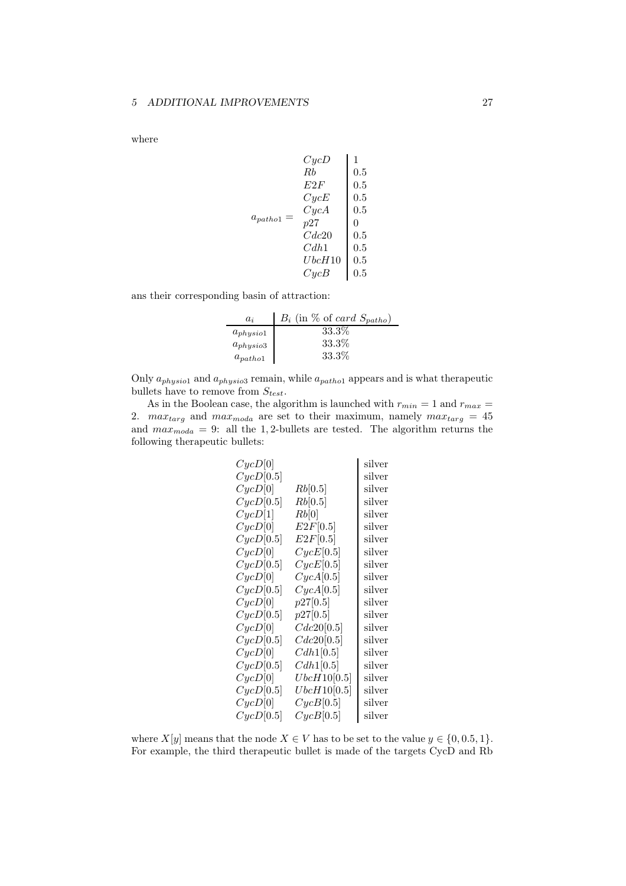where

$$
CycD \n\nRb \n\nCycE \n\n0.5\nCycE \n\n0.5\n0.6\n0.20\n0.6\n0.7\n0.6\n0.7\n0.8\n0.8\n0.9\n0.9\n0.9\n0.5\n0.9\n0.5\n0.9\n0.5\n0.6\n0.6\n0.7\n0.8\n0.9\n0.9\n0.8\n0.9\n0.9\n0.9\n0.9\n0.9\n0.9\n0.9\n0.9\n0.9\n0.9\n0.9\n0.9\n0.9\n0.9\n0.9\n0.9\n0.9\n0.9\n0.9\n0.9\n0.9\n0.9\n0.9\n0.9\n0.9\n0.9\n0.9\n0.9\n0.9\n0.9\n0.9\n0.9\n0.9\n0.9\n0.9\n0.9\n0.9\n0.9\n0.9\n0.9\n0.9\n0.9\n0.9\n0.9\n0.9\n0.9\n0.9\n0.9\n0.9\n0.9\n0.9\n0.9\n0.9\n0.9\n0.9\n0.9\n0.9\n0.9\n0.9\n0.9\n0.9\n0.9\n0.9\n0.9\n0.9\n0.9\n0.9\n0.9\n0.9\n0.9\n0.9\n0.9\n0.9\n0.9\n0.9\n0.9\n0.9\n0.9\n0.9\n0.9\n0.9\n0.9\n0.9\n0.9\n0.9\n0.9\n0.9\n0.9\n0.9\n0.9\n0.9\n0.9\n0.9\n0.9\n0.9\n0.9\n0
$$

ans their corresponding basin of attraction:

| $a_i$         | $B_i$ (in % of card $S_{patho}$ ) |
|---------------|-----------------------------------|
| $a_{physio1}$ | 33.3%                             |
| $a_{physio3}$ | 33.3\%                            |
| $a_{patho1}$  | 33.3%                             |

Only  $a_{physio1}$  and  $a_{physio3}$  remain, while  $a_{patho1}$  appears and is what therapeutic bullets have to remove from  $S_{test}$ .

As in the Boolean case, the algorithm is launched with  $r_{min} = 1$  and  $r_{max} =$ 2.  $max_{targ}$  and  $max_{moda}$  are set to their maximum, namely  $max_{targ} = 45$ and  $max_{\text{mod}a} = 9$ : all the 1,2-bullets are tested. The algorithm returns the following therapeutic bullets:

| CycD[0]   |             | silver |
|-----------|-------------|--------|
| CycD[0.5] |             | silver |
| CycD[0]   | Rb[0.5]     | silver |
| CycD[0.5] | Rb[0.5]     | silver |
| CycD[1]   | Rb[0]       | silver |
| CycD[0]   | E2F[0.5]    | silver |
| CycD[0.5] | E2F[0.5]    | silver |
| CycD[0]   | CycE[0.5]   | silver |
| CycD[0.5] | CycE[0.5]   | silver |
| CycD[0]   | CycA[0.5]   | silver |
| CycD[0.5] | CycA[0.5]   | silver |
| CycD[0]   | p27[0.5]    | silver |
| CycD[0.5] | p27[0.5]    | silver |
| CycD[0]   | Cdc20[0.5]  | silver |
| CycD[0.5] | Cdc20[0.5]  | silver |
| CycD[0]   | Cdh1[0.5]   | silver |
| CycD[0.5] | Cdh1[0.5]   | silver |
| CycD[0]   | UbcH10[0.5] | silver |
| CycD[0.5] | UbcH10[0.5] | silver |
| CycD[0]   | CycB[0.5]   | silver |
| CycD[0.5] | CycB[0.5]   | silver |
|           |             |        |

where  $X[y]$  means that the node  $X \in V$  has to be set to the value  $y \in \{0, 0.5, 1\}$ . For example, the third therapeutic bullet is made of the targets CycD and Rb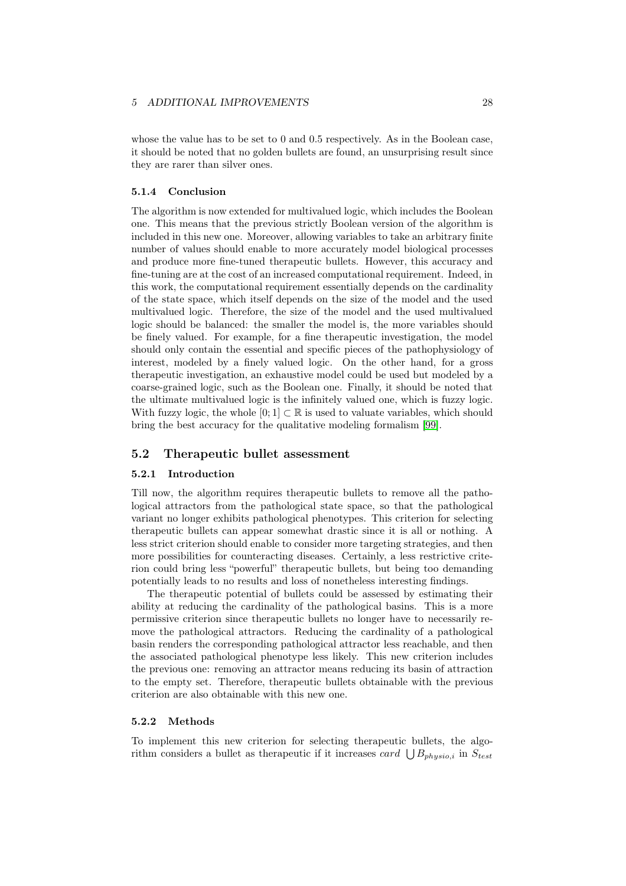#### 5 ADDITIONAL IMPROVEMENTS 28

whose the value has to be set to 0 and 0.5 respectively. As in the Boolean case, it should be noted that no golden bullets are found, an unsurprising result since they are rarer than silver ones.

#### <span id="page-27-0"></span>5.1.4 Conclusion

The algorithm is now extended for multivalued logic, which includes the Boolean one. This means that the previous strictly Boolean version of the algorithm is included in this new one. Moreover, allowing variables to take an arbitrary finite number of values should enable to more accurately model biological processes and produce more fine-tuned therapeutic bullets. However, this accuracy and fine-tuning are at the cost of an increased computational requirement. Indeed, in this work, the computational requirement essentially depends on the cardinality of the state space, which itself depends on the size of the model and the used multivalued logic. Therefore, the size of the model and the used multivalued logic should be balanced: the smaller the model is, the more variables should be finely valued. For example, for a fine therapeutic investigation, the model should only contain the essential and specific pieces of the pathophysiology of interest, modeled by a finely valued logic. On the other hand, for a gross therapeutic investigation, an exhaustive model could be used but modeled by a coarse-grained logic, such as the Boolean one. Finally, it should be noted that the ultimate multivalued logic is the infinitely valued one, which is fuzzy logic. With fuzzy logic, the whole  $[0; 1] \subset \mathbb{R}$  is used to valuate variables, which should bring the best accuracy for the qualitative modeling formalism [\[99\]](#page-47-4).

# <span id="page-27-2"></span><span id="page-27-1"></span>5.2 Therapeutic bullet assessment

#### 5.2.1 Introduction

Till now, the algorithm requires therapeutic bullets to remove all the pathological attractors from the pathological state space, so that the pathological variant no longer exhibits pathological phenotypes. This criterion for selecting therapeutic bullets can appear somewhat drastic since it is all or nothing. A less strict criterion should enable to consider more targeting strategies, and then more possibilities for counteracting diseases. Certainly, a less restrictive criterion could bring less "powerful" therapeutic bullets, but being too demanding potentially leads to no results and loss of nonetheless interesting findings.

The therapeutic potential of bullets could be assessed by estimating their ability at reducing the cardinality of the pathological basins. This is a more permissive criterion since therapeutic bullets no longer have to necessarily remove the pathological attractors. Reducing the cardinality of a pathological basin renders the corresponding pathological attractor less reachable, and then the associated pathological phenotype less likely. This new criterion includes the previous one: removing an attractor means reducing its basin of attraction to the empty set. Therefore, therapeutic bullets obtainable with the previous criterion are also obtainable with this new one.

### <span id="page-27-3"></span>5.2.2 Methods

To implement this new criterion for selecting therapeutic bullets, the algorithm considers a bullet as therapeutic if it increases card  $\bigcup B_{physio,i}$  in  $S_{test}$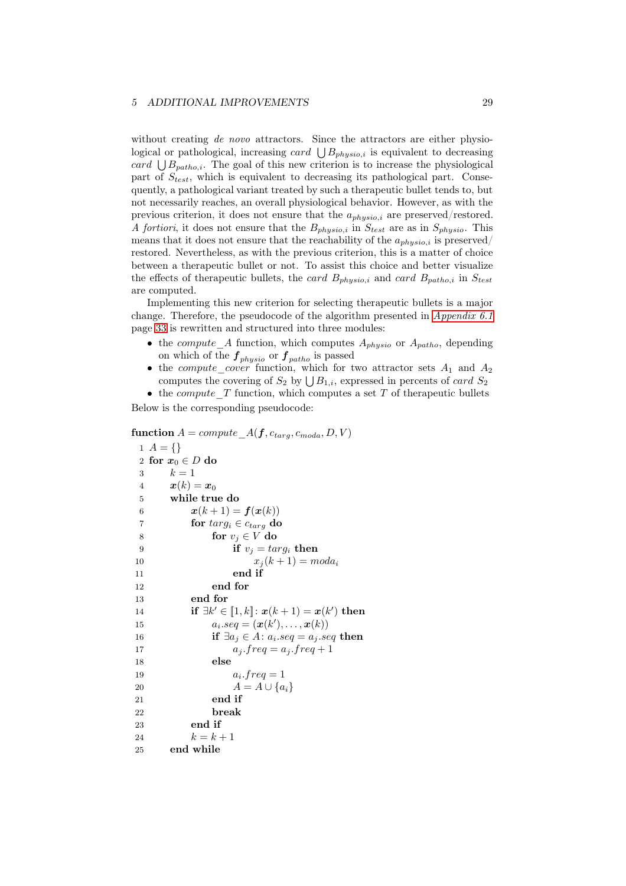without creating *de novo* attractors. Since the attractors are either physiological or pathological, increasing card  $\bigcup B_{physio,i}$  is equivalent to decreasing card  $\bigcup B_{patho,i}$ . The goal of this new criterion is to increase the physiological part of  $S_{test}$ , which is equivalent to decreasing its pathological part. Consequently, a pathological variant treated by such a therapeutic bullet tends to, but not necessarily reaches, an overall physiological behavior. However, as with the previous criterion, it does not ensure that the  $a_{physio,i}$  are preserved/restored. *A fortiori*, it does not ensure that the  $B_{physio,i}$  in  $S_{test}$  are as in  $S_{physio}$ . This means that it does not ensure that the reachability of the  $a_{physio,i}$  is  $\mathrm{preserved}/$ restored. Nevertheless, as with the previous criterion, this is a matter of choice between a therapeutic bullet or not. To assist this choice and better visualize the effects of therapeutic bullets, the card  $B_{physio,i}$  and card  $B_{patho,i}$  in  $S_{test}$ are computed.

Implementing this new criterion for selecting therapeutic bullets is a major change. Therefore, the pseudocode of the algorithm presented in *[Appendix 6.1](#page-32-1)* page [33](#page-32-1) is rewritten and structured into three modules:

- the *compute* A function, which computes  $A_{physio}$  or  $A_{patho}$ , depending on which of the  $f_{physio}$  or  $f_{patho}$  is passed
- the *compute* cover function, which for two attractor sets  $A_1$  and  $A_2$ computes the covering of  $S_2$  by  $\bigcup B_{1,i}$ , expressed in percents of *card*  $S_2$
- the *compute*  $T$  function, which computes a set  $T$  of therapeutic bullets Below is the corresponding pseudocode:

function  $A = compute A(f, c_{targ}, c_{moda}, D, V)$ 

```
1 \; A = \{\}2 for x_0 \in D do
3 k = 14 \boldsymbol{x}(k) = \boldsymbol{x}_05 while true do
6 x(k+1) = f(x(k))7 for targ_i \in c_{targ} do
8 for v_i \in V do
9 if v_i = \text{targ}_i then
10 x_i (k + 1) = mod a_i11 end if
12 end for
13 end for
14 if \exists k' \in [1, k] : \bm{x}(k+1) = \bm{x}(k') then
15 a_i \, seq = (\mathbf{x}(k'), \ldots, \mathbf{x}(k))16 if \exists a_j \in A: a_i-seq = a_j-seq then
17 a_j.freq = a_j.freq + 1
18 else
19 a_ia_i.freq = 1
20 A = A \cup \{a_i\}21 end if
22 break
23 end if
24 k = k + 125 end while
```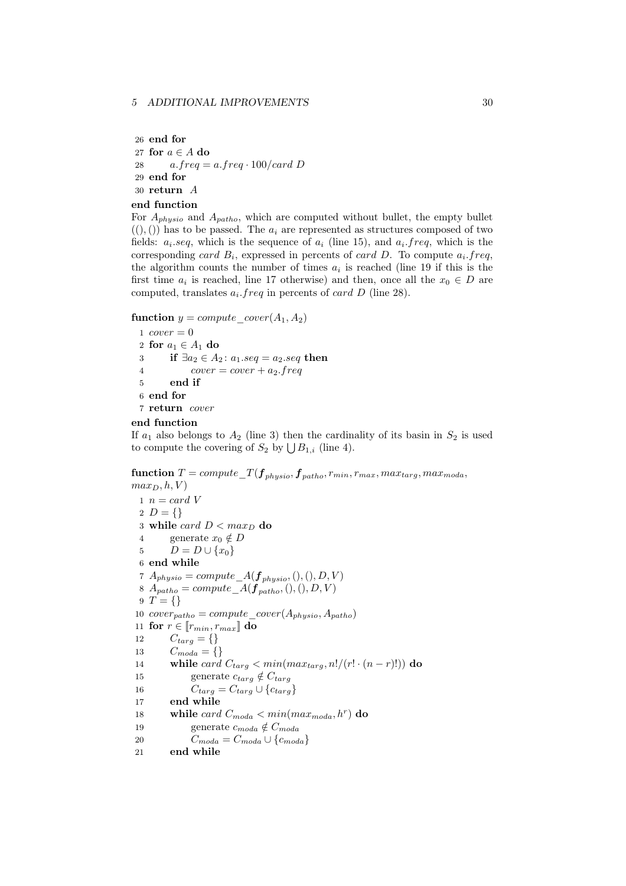#### 5 ADDITIONAL IMPROVEMENTS 30

26 end for

27 for  $a \in A$  do 28 a.freq = a.freq  $\cdot$  100/card D 29 end for 30 return A

### end function

For  $A_{physio}$  and  $A_{patho}$ , which are computed without bullet, the empty bullet  $((\cdot,))$  has to be passed. The  $a_i$  are represented as structures composed of two fields:  $a_i \, \text{seq}$ , which is the sequence of  $a_i$  (line 15), and  $a_i \, \text{freq}$ , which is the corresponding card  $B_i$ , expressed in percents of card D. To compute  $a_i$ . freq, the algorithm counts the number of times  $a_i$  is reached (line 19 if this is the first time  $a_i$  is reached, line 17 otherwise) and then, once all the  $x_0 \in D$  are computed, translates  $a_i$ . freq in percents of card D (line 28).

function  $y = compute \ cover(A_1, A_2)$ 

1  $cover = 0$ 2 for  $a_1 \in A_1$  do 3 if  $\exists a_2 \in A_2 : a_1 \text{.} seq = a_2 \text{.} seq$  then 4  $cover = cover + a_2. freq$ 5 end if 6 end for 7 return cover

#### end function

If  $a_1$  also belongs to  $A_2$  (line 3) then the cardinality of its basin in  $S_2$  is used to compute the covering of  $S_2$  by  $\bigcup B_{1,i}$  (line 4).

function  $T = compute\_T (\boldsymbol{f}_{physio}, \boldsymbol{f}_{patho}, r_{min}, r_{max}, max_{targ}, max_{moda},$ 

```
max_D, h, V1\,n = card\,V2 D = \{\}3 while card D < max_D do
 4 generate x_0 \notin D5 D = D \cup \{x_0\}6 end while
 7 A_{physio} = compute_A(f_{physio},(),(),D, V)8 A_{patho} = compute_A(f_{patho},(),(),D, V)9 T = \{\}10 cover_{patho} = compute\_cover(A_{physio}, A_{patho})11 for r \in [r_{min}, r_{max}] do
12 C_{targ} = \{\}13 C_{mod a} = \{\}\14 while card C_{targ} < min(max_{targ}, n!/(r! \cdot (n-r)!)) do
15 generate c_{targ} \notin C_{targ}16 C_{targ} = C_{targ} \cup \{c_{targ}\}17 end while
 18 while card C_{moda} < min(max_{moda}, h^r) do
19 generate c_{moda} \notin C_{moda}20 C_{moda} = C_{moda} \cup \{c_{moda}\}21 end while
```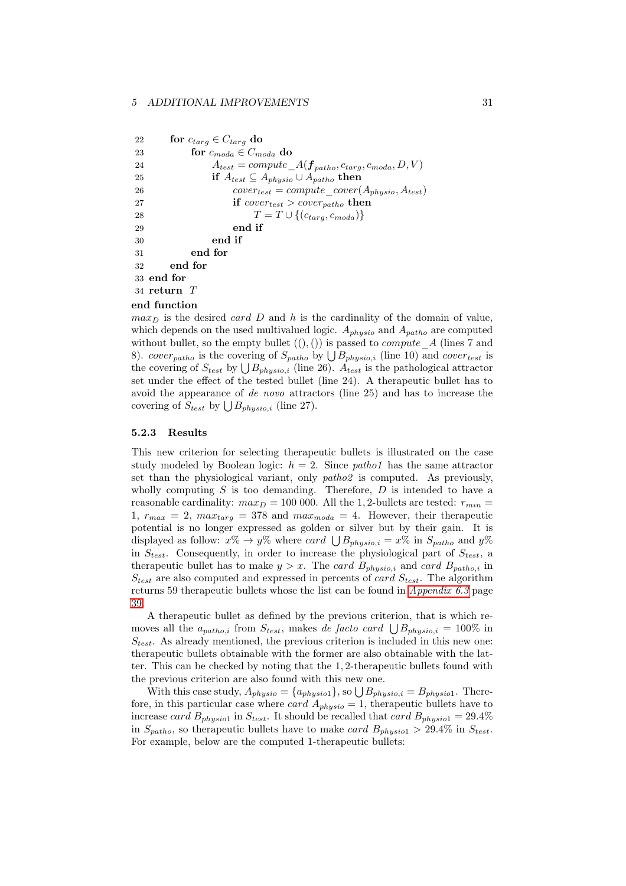#### 5 ADDITIONAL IMPROVEMENTS 31

| 22 | for $c_{targ} \in C_{targ}$ do                                             |  |
|----|----------------------------------------------------------------------------|--|
| 23 | for $c_{moda} \in C_{moda}$ do                                             |  |
| 24 | $A_{test} = compute\_A(\boldsymbol{f}_{patho}, c_{targ}, c_{model}, D, V)$ |  |
| 25 | if $A_{test} \subseteq A_{physio} \cup A_{patho}$ then                     |  |
| 26 | $cover_{test} = compute \ cover(A_{physio}, A_{test})$                     |  |
| 27 | if $cover_{test} > cover_{patho}$ then                                     |  |
| 28 | $T = T \cup \{(c_{targ}, c_{model})\}$                                     |  |
| 29 | end if                                                                     |  |
| 30 | end if                                                                     |  |
| 31 | end for                                                                    |  |
| 32 | end for                                                                    |  |
|    | 33 end for                                                                 |  |
|    | 34 return $T$                                                              |  |
|    | end function                                                               |  |

 $max_D$  is the desired *card* D and h is the cardinality of the domain of value, which depends on the used multivalued logic.  $A_{physio}$  and  $A_{patho}$  are computed without bullet, so the empty bullet  $((),))$  is passed to *compute*  $A$  (lines 7 and 8). cover<sub>patho</sub> is the covering of  $S_{patho}$  by  $\bigcup B_{physio,i}$  (line 10) and cover<sub>test</sub> is the covering of  $S_{test}$  by  $\bigcup B_{physio,i}$  (line 26).  $A_{test}$  is the pathological attractor set under the effect of the tested bullet (line 24). A therapeutic bullet has to avoid the appearance of *de novo* attractors (line 25) and has to increase the covering of  $S_{test}$  by  $\bigcup B_{physio,i}$  (line 27).

#### <span id="page-30-0"></span>5.2.3 Results

This new criterion for selecting therapeutic bullets is illustrated on the case study modeled by Boolean logic:  $h = 2$ . Since *patho1* has the same attractor set than the physiological variant, only *patho2* is computed. As previously, wholly computing  $S$  is too demanding. Therefore,  $D$  is intended to have a reasonable cardinality:  $max_D = 100 000$ . All the 1, 2-bullets are tested:  $r_{min} =$ 1,  $r_{max} = 2$ ,  $max_{targ} = 378$  and  $max_{mod} = 4$ . However, their therapeutic potential is no longer expressed as golden or silver but by their gain. It is displayed as follow:  $x\% \to y\%$  where card  $\bigcup B_{physio,i} = x\%$  in  $S_{patho}$  and  $y\%$ in  $S_{test}$ . Consequently, in order to increase the physiological part of  $S_{test}$ , a therapeutic bullet has to make  $y > x$ . The card  $B_{physio,i}$  and card  $B_{patho,i}$  in  $S_{test}$  are also computed and expressed in percents of *card*  $S_{test}$ . The algorithm returns 59 therapeutic bullets whose the list can be found in *[Appendix 6.3](#page-38-0)* page [39.](#page-38-0)

A therapeutic bullet as defined by the previous criterion, that is which removes all the  $a_{patho,i}$  from  $S_{test}$ , makes *de facto card*  $\bigcup B_{physio,i} = 100\%$  in  $S_{test}$ . As already mentioned, the previous criterion is included in this new one: therapeutic bullets obtainable with the former are also obtainable with the latter. This can be checked by noting that the 1, 2-therapeutic bullets found with the previous criterion are also found with this new one.

With this case study,  $A_{physio} = \{a_{physio1}\}\$ , so  $\bigcup B_{physio,i} = B_{physio1}$ . Therefore, in this particular case where *card*  $A_{physio} = 1$ , therapeutic bullets have to increase card  $B_{physio1}$  in  $S_{test}$ . It should be recalled that card  $B_{physio1} = 29.4\%$ in  $S_{patho}$ , so therapeutic bullets have to make card  $B_{physio1} > 29.4\%$  in  $S_{test}$ . For example, below are the computed 1-therapeutic bullets: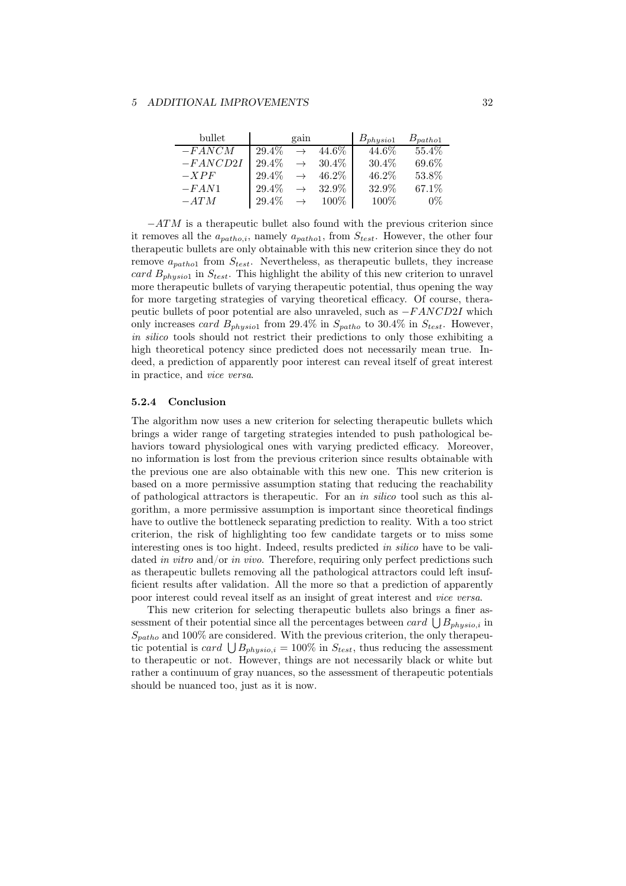| bullet     |          | gain |          | $B_{physio1}$ | $B_{patho1}$ |
|------------|----------|------|----------|---------------|--------------|
| $-FANCM$   | 29.4%    |      | 44.6\%   | 44.6\%        | 55.4\%       |
| $-FANCD2I$ | $29.4\%$ |      | $30.4\%$ | $30.4\%$      | 69.6%        |
| $-XPF$     | 29.4%    |      | $46.2\%$ | 46.2%         | 53.8%        |
| $-FAN1$    | 29.4%    |      | 32.9%    | 32.9%         | 67.1\%       |
| $-ATM$     | 29.4%    |      | $100\%$  | 100%          | $0\%$        |

 $-ATM$  is a therapeutic bullet also found with the previous criterion since it removes all the  $a_{patho,i}$ , namely  $a_{patho1}$ , from  $S_{test}$ . However, the other four therapeutic bullets are only obtainable with this new criterion since they do not remove  $a_{patho1}$  from  $S_{test}$ . Nevertheless, as therapeutic bullets, they increase card  $B_{physical}$  in  $S_{test}$ . This highlight the ability of this new criterion to unravel more therapeutic bullets of varying therapeutic potential, thus opening the way for more targeting strategies of varying theoretical efficacy. Of course, therapeutic bullets of poor potential are also unraveled, such as  $-FANCD2I$  which only increases card  $B_{physio1}$  from 29.4% in  $S_{patho}$  to 30.4% in  $S_{test}$ . However, *in silico* tools should not restrict their predictions to only those exhibiting a high theoretical potency since predicted does not necessarily mean true. Indeed, a prediction of apparently poor interest can reveal itself of great interest in practice, and *vice versa*.

#### <span id="page-31-0"></span>5.2.4 Conclusion

The algorithm now uses a new criterion for selecting therapeutic bullets which brings a wider range of targeting strategies intended to push pathological behaviors toward physiological ones with varying predicted efficacy. Moreover, no information is lost from the previous criterion since results obtainable with the previous one are also obtainable with this new one. This new criterion is based on a more permissive assumption stating that reducing the reachability of pathological attractors is therapeutic. For an *in silico* tool such as this algorithm, a more permissive assumption is important since theoretical findings have to outlive the bottleneck separating prediction to reality. With a too strict criterion, the risk of highlighting too few candidate targets or to miss some interesting ones is too hight. Indeed, results predicted *in silico* have to be validated *in vitro* and/or *in vivo*. Therefore, requiring only perfect predictions such as therapeutic bullets removing all the pathological attractors could left insufficient results after validation. All the more so that a prediction of apparently poor interest could reveal itself as an insight of great interest and *vice versa*.

This new criterion for selecting therapeutic bullets also brings a finer assessment of their potential since all the percentages between card  $\bigcup B_{physio,i}$  in  $S_{patho}$  and 100% are considered. With the previous criterion, the only therapeutic potential is *card*  $\bigcup B_{physio,i} = 100\%$  in  $S_{test}$ , thus reducing the assessment to therapeutic or not. However, things are not necessarily black or white but rather a continuum of gray nuances, so the assessment of therapeutic potentials should be nuanced too, just as it is now.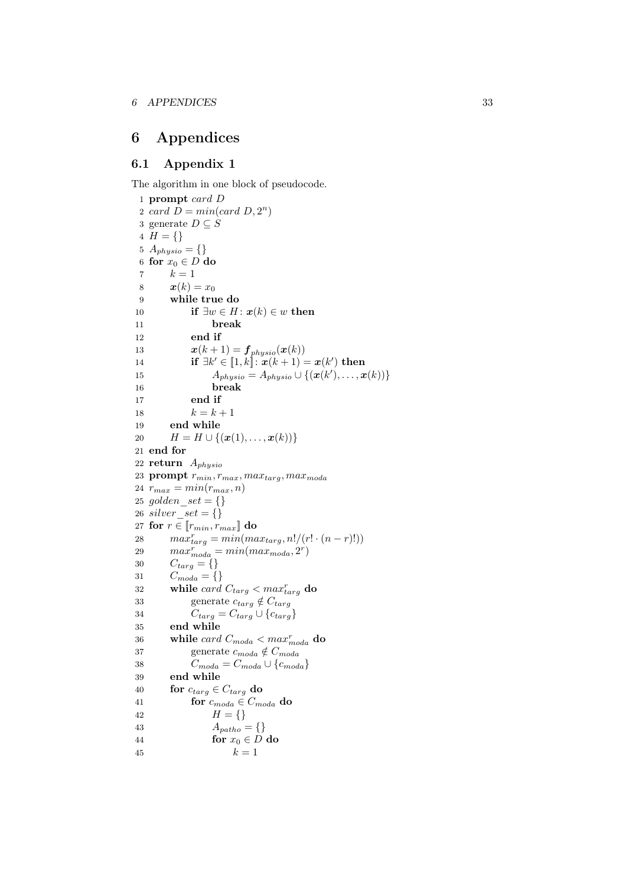# <span id="page-32-0"></span>6 Appendices

### <span id="page-32-1"></span>6.1 Appendix 1

The algorithm in one block of pseudocode.

```
1 prompt card D
 2 card D = min(card D, 2<sup>n</sup>)3 generate D \subseteq S4 H = \{\}5 A_{physio} = \{\}6 for x_0 \in D do
 7 k = 18 \boldsymbol{x}(k) = x_09 while true do
10 if \exists w \in H : \mathbf{x}(k) \in w then
11 break
12 end if
13 \boldsymbol{x}(k+1) = \boldsymbol{f}_{physio}(\boldsymbol{x}(k))14 if \exists k' \in [\![1,k]\!]: \mathbf{x}(k+1) = \mathbf{x}(k') then
15 A_{physio} = A_{physio} \cup \{(\boldsymbol{x}(k'), \dots, \boldsymbol{x}(k))\}16 break
17 end if
18 k = k + 119 end while
20 H = H \cup \{(\bm{x}(1), \dots, \bm{x}(k))\}21 end for
22 return A_{physio}23 prompt r_{min}, r_{max}, max_{targ}, max_{moda}24 r_{max} = min(r_{max}, n)25 \text{golden}\_\text{set} = \{\}26 silver\_set = \{\}27 for r \in [r_{min}, r_{max}] do
28 max_{targ}^r = min(max_{targ}, n!/(r! \cdot (n-r)!))29 max_{moda}^r = min(max_{moda}, 2^r)30 C_{targ} = \{\}31 C_{mod a} = \{\}32 while card C_{targ} < max_{targ}^r do
33 generate c_{targ} \notin C_{targ}34 C_{targ} = C_{targ} \cup \{c_{targ}\}35 end while
36 while card\ C_{moda} < max_{moda}^r do
37 generate c_{moda} \notin C_{moda}38 C_{moda} = C_{moda} \cup \{c_{moda}\}39 end while
40 for c_{targ} \in C_{targ} do
41 for c_{moda} \in C_{moda} do
42 H = \{\}43 A_{patho} = \{\}44 for x_0 \in D do
45 k = 1
```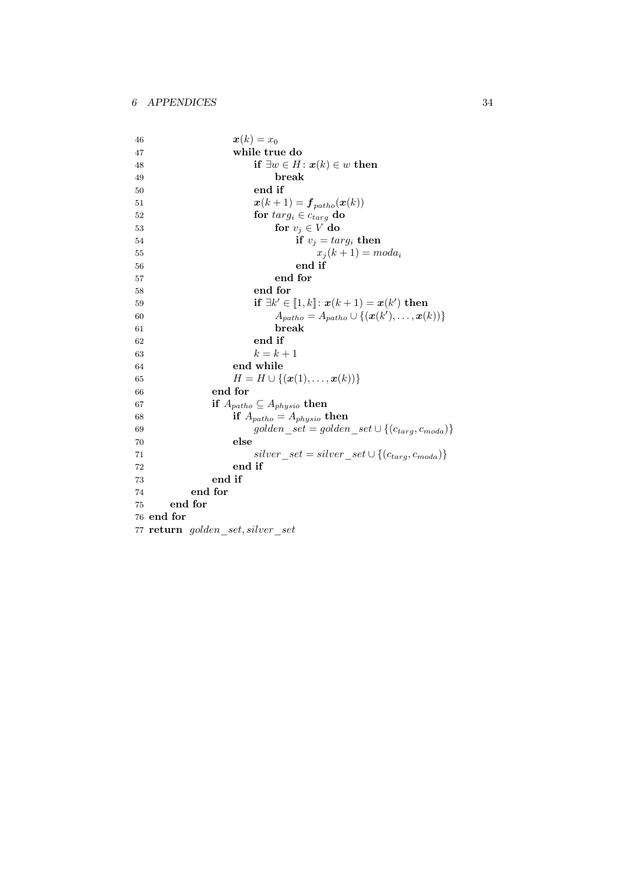| 46 | $\boldsymbol{x}(k) = x_0$                                                          |
|----|------------------------------------------------------------------------------------|
| 47 | while true do                                                                      |
| 48 | if $\exists w \in H : \boldsymbol{x}(k) \in w$ then                                |
| 49 | break                                                                              |
| 50 | end if                                                                             |
| 51 | $\boldsymbol{x}(k+1) = \boldsymbol{f}_{patho}(\boldsymbol{x}(k))$                  |
| 52 | for $targ_i \in c_{targ}$ do                                                       |
| 53 | for $v_j \in V$ do                                                                 |
| 54 | if $v_i = \text{targ}_i$ then                                                      |
| 55 | $x_i(k+1) = mod a_i$                                                               |
| 56 | end if                                                                             |
| 57 | end for                                                                            |
| 58 | end for                                                                            |
| 59 | if $\exists k' \in [1, k] : \mathbf{x}(k+1) = \mathbf{x}(k')$ then                 |
| 60 | $A_{patho} = A_{patho} \cup \{ (\boldsymbol{x}(k'), \ldots, \boldsymbol{x}(k)) \}$ |
| 61 | break                                                                              |
| 62 | end if                                                                             |
| 63 | $k=k+1$                                                                            |
| 64 | end while                                                                          |
| 65 | $H = H \cup \{(\bm{x}(1), \ldots, \bm{x}(k))\}$                                    |
| 66 | end for                                                                            |
| 67 | if $A_{patho} \subseteq A_{physio}$ then                                           |
| 68 | if $A_{patho} = A_{physio}$ then                                                   |
| 69 | golden set = golden set $\cup \{(c_{targ}, c_{moda})\}$                            |
| 70 | else                                                                               |
| 71 | silver $set = silver \ set \cup \{(c_{targ}, c_{moda})\}$                          |
| 72 | end if                                                                             |
| 73 | end if                                                                             |
| 74 | end for                                                                            |
| 75 | end for                                                                            |
|    | 76 end for                                                                         |
|    | 77 return golden set, silver set                                                   |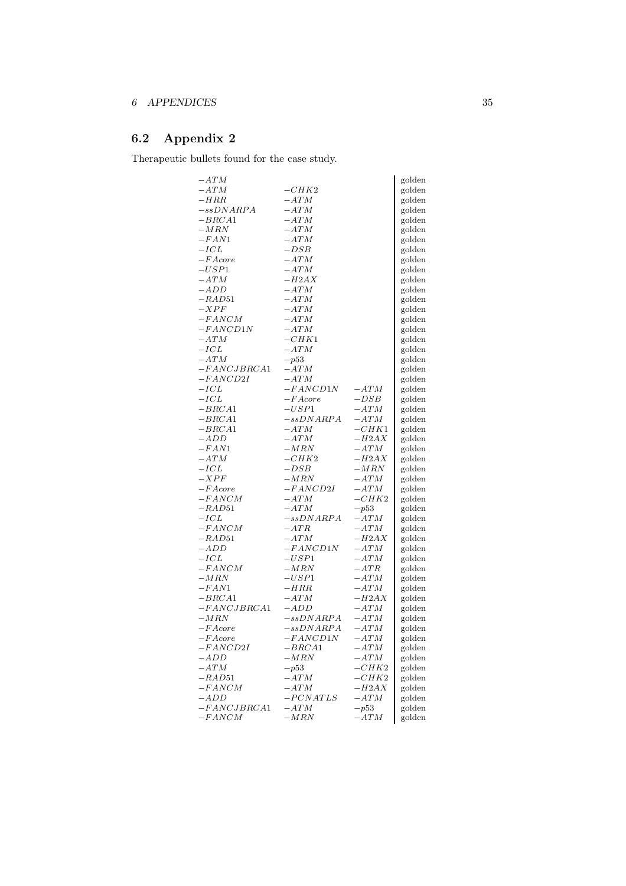# <span id="page-34-0"></span>6.2 Appendix 2

Therapeutic bullets found for the case study.

| $-ATM$        |             |         | golden |
|---------------|-------------|---------|--------|
| $-ATM$        | $-CHK2$     |         | golden |
| $-HRR$        | $-ATM$      |         | golden |
| $-ssDNARPA$   | $-ATM$      |         | golden |
| $-BRCA1$      | $-ATM$      |         | golden |
| $-MRN$        | $-ATM$      |         | golden |
| $-FAN1$       | $-ATM$      |         | golden |
| $-ICL$        | $-DSB$      |         | golden |
| $-FAcore$     | $-ATM$      |         | golden |
| $-USP1$       | $-ATM$      |         | golden |
| $-ATM$        | $-H2AX$     |         | golden |
| $-ADD$        | $-ATM$      |         | golden |
| $-RAD51$      | $-ATM$      |         | golden |
| $-XPF$        | $-ATM$      |         | golden |
| $-FANCM$      | $-ATM$      |         | golden |
| $-FANCD1N$    | $-ATM$      |         | golden |
| $-ATM$        | $-CHK1$     |         | golden |
| $-ICL$        | $-ATM$      |         | golden |
| $-ATM$        | $-p53$      |         | golden |
| $-FANCJBRCA1$ | $-ATM$      |         | golden |
| $-FANCD2I$    | $-ATM$      |         | golden |
| $-ICL$        | $-FANCD1N$  | $-ATM$  | golden |
| $-ICL$        | $-FAcore$   | $-DSB$  | golden |
| $-BRCA1$      | $-USP1$     | $-ATM$  |        |
| $-BRCA1$      | $-ssDNARPA$ | $-ATM$  | golden |
|               |             |         | golden |
| $-BRCA1$      | $-ATM$      | $-CHK1$ | golden |
| $-ADD$        | $-ATM$      | $-H2AX$ | golden |
| $-FAN1$       | $-MRN$      | $-ATM$  | golden |
| $-ATM$        | $-CHK2$     | $-H2AX$ | golden |
| $-ICL$        | $-DSB$      | $-MRN$  | golden |
| $-XPF$        | $-MRN$      | $-ATM$  | golden |
| $-FAcore$     | $-FANCD2I$  | $-ATM$  | golden |
| $-FANCM$      | $-ATM$      | $-CHK2$ | golden |
| $-RAD51$      | $-ATM$      | $-p53$  | golden |
| $-ICL$        | $-ssDNARPA$ | $-ATM$  | golden |
| $-FANCM$      | $-ATR$      | $-ATM$  | golden |
| $-RAD51$      | $-ATM$      | $-H2AX$ | golden |
| $-ADD$        | $-FANCD1N$  | $-ATM$  | golden |
| $-ICL$        | $-USP1$     | $-ATM$  | golden |
| $-FANCM$      | $-MRN$      | $-ATR$  | golden |
| $-MRN$        | $-USP1$     | $-ATM$  | golden |
| $-FAN1$       | $-HRR$      | $-ATM$  | golden |
| $-BRCA1$      | $-ATM$      | $-H2AX$ | golden |
| $-FANCJBRCA1$ | $-ADD$      | $-ATM$  | golden |
| $-MRN$        | $-ssDNARPA$ | $-ATM$  | golden |
| $-FAcore$     | $-ssDNARPA$ | $-ATM$  | golden |
| $-FAcore$     | $-FANCD1N$  | $-ATM$  | golden |
| $-FANCD2I$    | $-BRCA1$    | $-ATM$  | golden |
| $-ADD$        | $-MRN$      | $-ATM$  | golden |
| $-ATM$        | $-p53$      | $-CHK2$ | golden |
| $-RAD51$      | $-ATM$      | $-CHK2$ | golden |
| $-FANCM$      | $-ATM$      | $-H2AX$ | golden |
| $-ADD$        | $-PCNATLS$  | $-ATM$  | golden |
| $-FANCJBRCA1$ | $-ATM$      | $-p53$  | golden |
| $-FANCM$      | $-MRN$      | $-ATM$  | golden |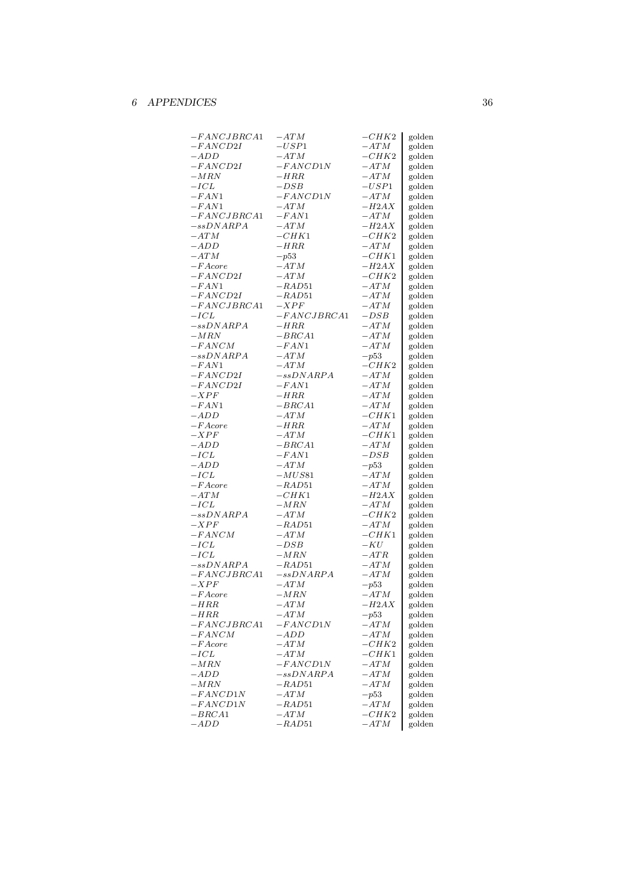| $-FANCJBRCA1$       | $-ATM$        | $-CHK2$                 | golden |
|---------------------|---------------|-------------------------|--------|
| $-FANCD2I$          | $-USP1$       | $-ATM$                  | golden |
| $-ADD$              | $-ATM$        | $-CHK2$                 | golden |
| $-FANCD2I$          | $-FANCD1N$    | $-ATM$                  | golden |
| $-MRN$              | $-HRR$        | $-ATM$                  | golden |
| $-ICL$              | $-DSB$        | $-USP1$                 | golden |
| $-FAN1$             | $-FANCD1N$    | $-ATM$                  | golden |
| $-FAN1$             | $-ATM$        | $-H2AX$                 | golden |
| $-FANCJBRCA1$       | $-FAN1$       | $-ATM$                  | golden |
| $-ssDNARPA$         | $-ATM$        | $-H2AX$                 | golden |
| $-ATM$              | $-CHK1$       | $-CHK2$                 | golden |
| $-ADD$              | $-HRR$        | $-ATM$                  | golden |
| $-ATM$              | $-p53$        | $-CHK1$                 | golden |
| $-FAcore$           | $-ATM$        | $-H2AX$                 | golden |
| $-FANCD2I$          | $-ATM$        | $-CHK2$                 | golden |
| $-FAN1$             | $-RAD51$      | $-ATM$                  | golden |
| $-FANCD2I$          | $-RAD51$      | $-ATM$                  | golden |
| $-FANCJBRCA1$       | $-XPF$        | $-ATM$                  | golden |
| $-ICL$              | $-FANCJBRCA1$ | $-DSB$                  | golden |
| $-ssDNARPA$         | $-HRR$        | $-ATM$                  | golden |
| $-MRN$              | $-BRCA1$      | $-ATM$                  | golden |
| $-FANCM$            | $-FAN1$       | $-ATM$                  | golden |
| $-ssDNARPA$         | $-ATM$        | $-p53$                  | golden |
| $-FAN1$             | $-ATM$        | $-CHK2$                 | golden |
| $-FANCD2I$          | $- s sDNARPA$ | $-ATM$                  | golden |
| $-FANCD2I$          | $-FAN1$       | $-ATM$                  | golden |
| $-XPF$              | $-HRR$        | $-ATM$                  | golden |
| $-FAN1$             | $-BRCA1$      | $-ATM$                  | golden |
| $-ADD$              | $-ATM$        | $-CHK1$                 | golden |
|                     |               |                         |        |
| $-FAcore$<br>$-XPF$ | $-HRR$        | $-ATM$                  | golden |
|                     | $-ATM$        | $-CHK1$                 | golden |
| $-ADD$              | $-BRCA1$      | $-ATM$                  | golden |
| $-ICL$              | $-FAN1$       | $-DSB$                  | golden |
| $-ADD$<br>$-ICL$    | $-ATM$        | $-p53$<br>$-A{\cal T}M$ | golden |
|                     | $-MUS81$      |                         | golden |
| $-FAcore$           | $-RAD51$      | $-ATM$                  | golden |
| $-ATM$              | $-CHK1$       | $-H2AX$                 | golden |
| $-ICL$              | $-MRN$        | $-ATM$                  | golden |
| $-ssDNARPA$         | $-ATM$        | $-CHK2$                 | golden |
| $-XPF$              | $-RAD51$      | $-ATM$                  | golden |
| $-FANCM$            | $-ATM$        | $-CHK1$                 | golden |
| $-ICL$              | $-DSB$        | $-KU$                   | golden |
| $-ICL$              | $-MRN$        | $-ATR$                  | golden |
| $-ssDNARPA$         | $-RAD51$      | $-ATM$                  | golden |
| $-FANCJBRCA1$       | $- s sDNARPA$ | $-ATM$                  | golden |
| $-XPF$              | $-ATM$        | $-p53$                  | golden |
| $-FAcore$           | $-MRN$        | $-ATM$                  | golden |
| $-HRR$              | $-ATM$        | $-H2AX$                 | golden |
| $-HRR$              | $-ATM$        | $-p53$                  | golden |
| $-FANCJBRCA1$       | $-FANCD1N$    | $-ATM$                  | golden |
| $-FANCM$            | $-ADD$        | $-ATM$                  | golden |
| $-FAcore$           | $-ATM$        | $-CHK2$                 | golden |
| $-ICL$              | $-ATM$        | $-CHK1$                 | golden |
| $-MRN$              | $-FANCD1N$    | $-ATM$                  | golden |
| $-ADD$              | $- s sDNARPA$ | $-ATM$                  | golden |
| $-MRN$              | $-RAD51$      | $-ATM$                  | golden |
| $-FANCD1N$          | $-ATM$        | $-p53$                  | golden |
| $-FANCD1N$          | $-RAD51$      | $-ATM$                  | golden |
| $-BRCA1$            | $-ATM$        | $-CHK2$                 | golden |
| $-ADD$              | $-RAD51$      | $-ATM$                  | golden |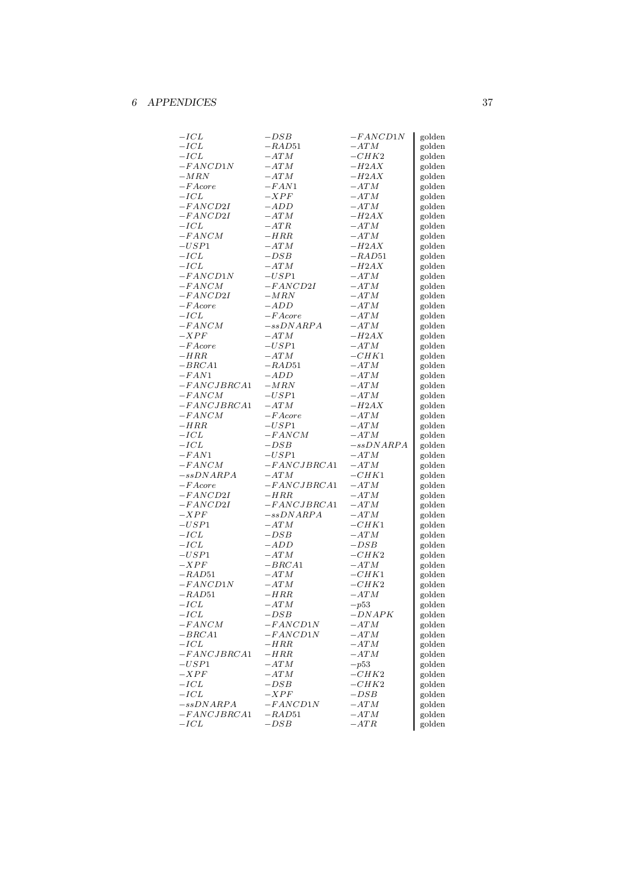| $-ICL$                  | $-DSB$             | $-FANCD1N$       | golden           |
|-------------------------|--------------------|------------------|------------------|
| $-ICL$                  | $-RAD51$           | $-ATM$           | golden           |
| $-ICL$                  | $-ATM$             | $-CHK2$          | golden           |
| $-FANCD1N$              | $-ATM$             | $-H2AX$          | golden           |
| $-MRN$                  | $-ATM$             | $-H2AX$          | golden           |
| $-FAcore$               | $-FAN1$            | $-ATM$           | golden           |
| $-ICL$                  | $-XPF$             | $-ATM$           | golden           |
| $-FANCD2I$              | $-ADD$             | $-ATM$           | golden           |
| $-FANCD2I$              | $-ATM$             | $-H2AX$          | golden           |
| $-ICL$                  | $-ATR$             | $-ATM$           | golden           |
| $-FANCM$                | $-HRR$             | $-ATM$           | golden           |
| $-USP1$                 | $-ATM$             | $-H2AX$          | golden           |
| $-ICL$                  | $-DSB$             | $-RAD51$         | golden           |
| $-ICL$                  | $-ATM$             | $-H2AX$          | golden           |
| $-FANCD1N$              | $-USP1$            | $-ATM$           | golden           |
| $-FANCM$                | $-FANCD2I$         | $-ATM$           | golden           |
| $-FANCD2I$              | $-MRN$             | $-ATM$           | golden           |
| $-FAcore$               | $-ADD$             | $-ATM$           | golden           |
| $-ICL$                  | $-FAcore$          | $-ATM$           | golden           |
| $-FANCM$                | $-ssDNARPA$        | $-ATM$           | golden           |
| $-XPF$                  | $-ATM$             | $-H2AX$          | golden           |
| $-FAcore$               | $-USP1$            | $-ATM$           | golden           |
| $-HRR$                  | $-ATM$             | $-CHK1$          | golden           |
| $-BRCA1$                | $-RAD51$           | $-ATM$           | golden           |
| $-FAN1$                 | $-ADD$             | $-ATM$           | golden           |
| $-FANCJBRCA1$           | $-MRN$             | $-ATM$           | golden           |
| $-FANCM$                | $-USP1$            | $-ATM$           | golden           |
| $-FANCJBRCA1$           | $-ATM$             | $-H2AX$          | golden           |
| $-FANCM$                | $-FAcore$          | $-ATM$           | golden           |
| $-HRR$                  | $-USP1$            | $-ATM$           | golden           |
| $-ICL$                  | $-FANCM$           | $-ATM$           | golden           |
|                         |                    |                  |                  |
|                         |                    |                  |                  |
| $-ICL$                  | $-DSB$             | $-ssDNARPA$      | golden           |
| $-FAN1$                 | $-USP1$            | $-ATM$           | golden           |
| $-FANCM$                | $-FANCJBRCA1$      | $-ATM$           | golden           |
| $-ssDNARPA$             | $-ATM$             | $-CHK1$          | golden           |
| $-FAcore$               | $-FANCJBRCA1$      | $-ATM$           | golden           |
| $-FANCD2I$              | $-HRR$             | $-ATM$           | golden           |
| $-FANCD2I$              | $-FANCJBRCA1$      | $-ATM$           | golden           |
| $-XPF$                  | $-ssDNARPA$        | $-ATM$           | golden           |
| $-USP1$                 | $-ATM$             | $-CHK1$          | golden           |
| $-ICL$                  | $-DSB$             | $-ATM$           | golden           |
| $-ICL$                  | $-ADD$             | $-DSB$           | golden           |
| $-USP1$                 | $-ATM$             | $-CHK2$          | golden           |
| $-XPF$                  | $-BRCA1$           | $-ATM$           | golden           |
| $-RAD51$                | $-ATM$             | $-CHK1$          | golden           |
| $-FANCD1N$              | $-ATM$             | $-CHK2$          | golden           |
| $-RAD51$                | $-HRR$             | $-ATM$           | golden           |
| $-ICL$                  | $-ATM$             | $-p53$           | golden           |
| $-ICL$                  | $-DSB$             | $-DNAPK$         | golden           |
| $-FANCM$                | $-FANCD1N$         | $-ATM$           | golden           |
| $-BRCA1$                | $-FANCD1N$         | $-ATM$           | golden           |
| $-ICL$                  | $-HRR$             | $-ATM$           | golden           |
| $-FANCJBRCA1$           | $-HRR$             | $-ATM$           | golden           |
| $-USP1$                 | $-ATM$             | $-p53$           | golden           |
| $-XPF$                  | $-ATM$             | $-CHK2$          | golden           |
| $-ICL$                  | $-DSB$             | $-CHK2$          | golden           |
| $-ICL$                  | $-XPF$             | $-DSB$           | golden           |
| $- s sDNARPA$           | $-FANCD1N$         | $-ATM$           | golden           |
| $-FANCJBRCA1$<br>$-ICL$ | $-RAD51$<br>$-DSB$ | $-ATM$<br>$-ATR$ | golden<br>golden |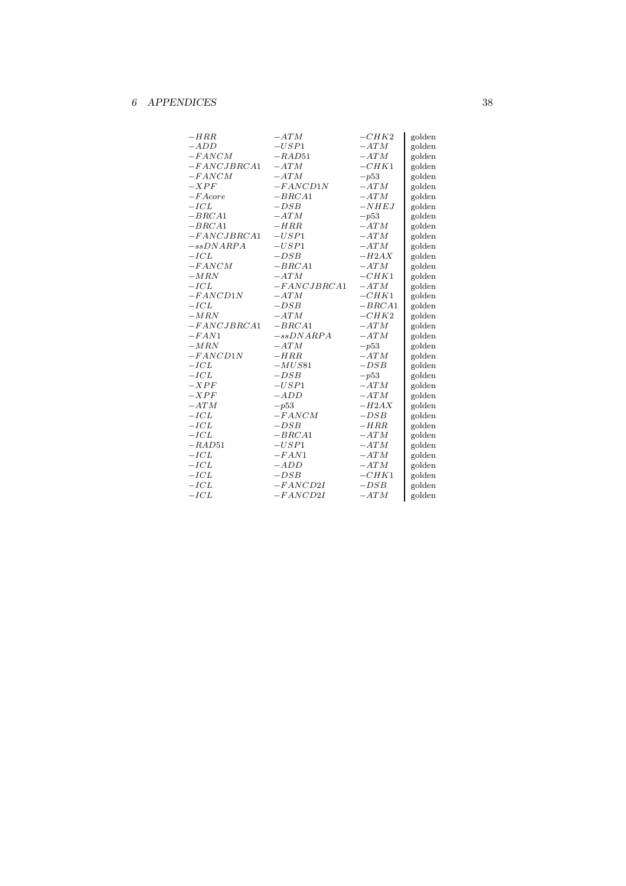| $-HRR$        | $-ATM$        | $-CHK2$  | golden |
|---------------|---------------|----------|--------|
| $-ADD$        | $-USP1$       | $-ATM$   | golden |
| $-FANCM$      | $-RAD51$      | $-ATM$   | golden |
| $-FANCJBRCA1$ | $-ATM$        | $-CHK1$  | golden |
| $-FANCM$      | $-ATM$        | $-p53$   | golden |
| $-XPF$        | $-FANCD1N$    | $-ATM$   | golden |
| $-FAcore$     | $-BRCA1$      | $-ATM$   | golden |
| $-ICL$        | $-DSB$        | $-NHEJ$  | golden |
| $-BRCA1$      | $-ATM$        | $-p53$   | golden |
| $-BRCA1$      | $-HRR$        | $-ATM$   | golden |
| $-FANCJBRCA1$ | $-USP1$       | $-ATM$   | golden |
| $-ssDNARPA$   | $-USP1$       | $-ATM$   | golden |
| $-ICL$        | $-DSB$        | $-H2AX$  | golden |
| $-FANCM$      | $-BRCA1$      | $-ATM$   | golden |
| $-MRN$        | $-ATM$        | $-CHK1$  | golden |
| $-ICL$        | $-FANCJBRCA1$ | $-ATM$   | golden |
| $-FANCD1N$    | $-ATM$        | $-CHK1$  | golden |
| $-ICL$        | $-DSB$        | $-BRCA1$ | golden |
| $-MRN$        | $-ATM$        | $-CHK2$  | golden |
| $-FANCJBRCA1$ | $-BRCA1$      | $-ATM$   | golden |
| $-FAN1$       | $-ssDNARPA$   | $-ATM$   | golden |
| $-MRN$        | $-ATM$        | $-p53$   | golden |
| $-FANCD1N$    | $-HRR$        | $-ATM$   | golden |
| $-ICL$        | $-MUS81$      | $-DSB$   | golden |
| $-ICL$        | $-DSB$        | $-p53$   | golden |
| $-XPF$        | $-USP1$       | $-ATM$   | golden |
| $-XPF$        | $-ADD$        | $-ATM$   | golden |
| $-ATM$        | $-p53$        | $-H2AX$  | golden |
| $-ICL$        | $-FANCM$      | $-DSB$   | golden |
| $-ICL$        | $-DSB$        | $-HRR$   | golden |
| $-ICL$        | $-BRCA1$      | $-ATM$   | golden |
| $-RAD51$      | $-USP1$       | $-ATM$   | golden |
| $-ICL$        | $-FAN1$       | $-ATM$   | golden |
| $-ICL$        | $-ADD$        | $-ATM$   | golden |
| $-ICL$        | $-DSB$        | $-CHK1$  | golden |
| $-ICL$        | $-FANCD2I$    | $-DSB$   | golden |
| $-ICL$        | $-FANCD2I$    | $-ATM$   | golden |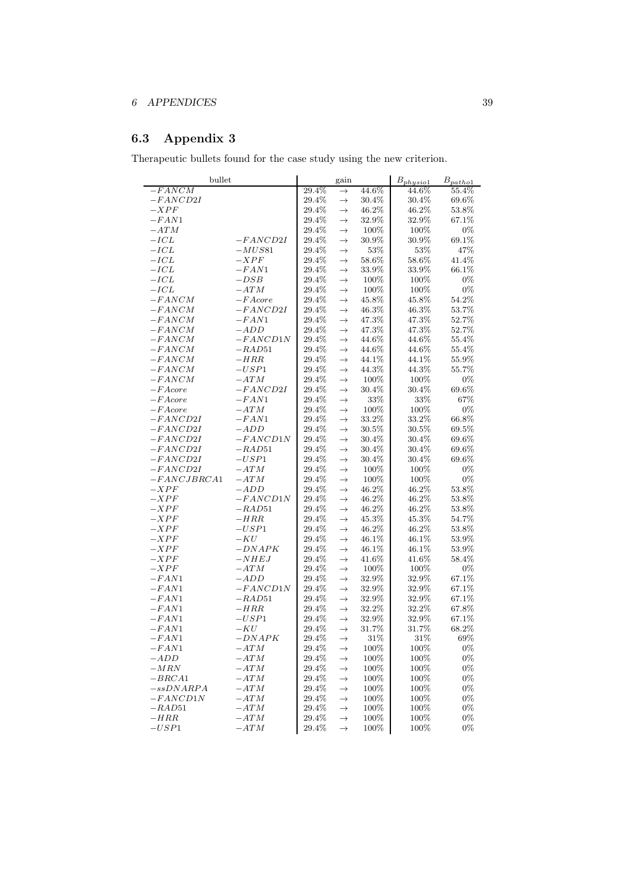# 6 APPENDICES 39

# <span id="page-38-0"></span>6.3 Appendix 3

Therapeutic bullets found for the case study using the new criterion.

| bullet        |            | gain     |               | $B_{physio1}$ | $B_{\underline{patho1}}$ |       |
|---------------|------------|----------|---------------|---------------|--------------------------|-------|
| $-FANCM$      |            | 29.4%    | $\rightarrow$ | 44.6%         | $44.6\%$                 | 55.4% |
| $-FANCD2I$    |            | 29.4%    | $\rightarrow$ | 30.4%         | 30.4%                    | 69.6% |
| $-XPF$        |            | 29.4%    | $\rightarrow$ | 46.2%         | 46.2%                    | 53.8% |
| $-FAN1$       |            | 29.4%    | $\rightarrow$ | 32.9%         | 32.9%                    | 67.1% |
| $-ATM$        |            | 29.4%    | $\rightarrow$ | 100%          | 100%                     | $0\%$ |
| $-ICL$        | $-FANCD2I$ | 29.4%    | $\rightarrow$ | 30.9%         | $30.9\%$                 | 69.1% |
| $-ICL$        | $-MUS81$   | 29.4%    | $\rightarrow$ | 53%           | 53%                      | 47%   |
| $-ICL$        | $-XPF$     | 29.4%    | $\rightarrow$ | 58.6%         | 58.6%                    | 41.4% |
| $-ICL$        | $-FAN1$    | 29.4%    | $\rightarrow$ | 33.9%         | 33.9%                    | 66.1% |
| $-ICL$        | $-DSB$     | 29.4%    | $\rightarrow$ | 100%          | 100%                     | $0\%$ |
| $-ICL$        | $-ATM$     | 29.4%    | $\rightarrow$ | 100%          | 100%                     | $0\%$ |
| $-FANCM$      | $-FAcore$  | 29.4%    | $\rightarrow$ | $45.8\%$      | 45.8%                    | 54.2% |
| $-FANCM$      | $-FANCD2I$ | 29.4%    | $\rightarrow$ | 46.3%         | 46.3%                    | 53.7% |
| $-FANCM$      | $-FAN1$    | 29.4%    |               | 47.3%         | 47.3%                    | 52.7% |
|               | $-ADD$     |          | $\rightarrow$ |               |                          |       |
| $-FANCM$      | $-FANCD1N$ | 29.4%    | $\rightarrow$ | 47.3%         | 47.3%                    | 52.7% |
| $-FANCM$      |            | 29.4%    | $\rightarrow$ | 44.6%         | 44.6%                    | 55.4% |
| $-FANCM$      | $-RAD51$   | 29.4%    | $\rightarrow$ | 44.6%         | 44.6%                    | 55.4% |
| $-FANCM$      | $-HRR$     | 29.4%    | $\rightarrow$ | 44.1%         | 44.1%                    | 55.9% |
| $-FANCM$      | $-USP1$    | 29.4%    | $\rightarrow$ | 44.3%         | 44.3%                    | 55.7% |
| $-FANCM$      | $-ATM$     | 29.4%    | $\rightarrow$ | 100%          | 100%                     | $0\%$ |
| $-FAcore$     | $-FANCD2I$ | 29.4%    | $\rightarrow$ | 30.4%         | 30.4%                    | 69.6% |
| $-FAcore$     | $-FAN1$    | 29.4%    | $\rightarrow$ | 33%           | 33%                      | 67%   |
| $-FAcore$     | $-ATM$     | 29.4%    | $\rightarrow$ | 100%          | 100%                     | $0\%$ |
| $-FANCD2I$    | $-FAN1$    | 29.4%    | $\rightarrow$ | 33.2%         | 33.2%                    | 66.8% |
| $-FANCD2I$    | $-ADD$     | 29.4%    | $\rightarrow$ | 30.5%         | 30.5%                    | 69.5% |
| $-FANCD2I$    | $-FANCD1N$ | 29.4%    | $\rightarrow$ | 30.4%         | 30.4%                    | 69.6% |
| $-FANCD2I$    | $-RAD51$   | 29.4%    | $\rightarrow$ | $30.4\%$      | 30.4%                    | 69.6% |
| $-FANCD2I$    | $-USP1$    | 29.4%    | $\rightarrow$ | 30.4%         | 30.4%                    | 69.6% |
| $-FANCD2I$    | $-ATM$     | 29.4%    | $\rightarrow$ | 100%          | 100%                     | $0\%$ |
| $-FANCJBRCA1$ | $-ATM$     | 29.4%    | $\rightarrow$ | 100%          | 100%                     | $0\%$ |
| $-XPF$        | $-ADD$     | 29.4%    | $\rightarrow$ | 46.2%         | 46.2%                    | 53.8% |
| $-XPF$        | $-FANCD1N$ | 29.4%    | $\rightarrow$ | 46.2%         | 46.2%                    | 53.8% |
| $-XPF$        | $-RAD51$   | 29.4%    | $\rightarrow$ | 46.2%         | 46.2%                    | 53.8% |
| $-XPF$        | $-HRR$     | 29.4%    | $\rightarrow$ | 45.3%         | 45.3%                    | 54.7% |
| $-XPF$        | $-USP1$    | 29.4%    | $\rightarrow$ | 46.2%         | 46.2%                    | 53.8% |
| $-XPF$        | $-KU$      | 29.4%    | $\rightarrow$ | 46.1%         | 46.1%                    | 53.9% |
| $-XPF$        | $-DNAPK$   | 29.4%    | $\rightarrow$ | 46.1%         | 46.1%                    | 53.9% |
| $-XPF$        | $-NHEJ$    | 29.4%    | $\rightarrow$ | 41.6%         | 41.6%                    | 58.4% |
| $-XPF$        | $-ATM$     | 29.4%    | $\rightarrow$ | 100%          | 100%                     | $0\%$ |
| $-FAN1$       | $-ADD$     | 29.4%    | $\rightarrow$ | 32.9%         | 32.9%                    | 67.1% |
| $-FAN1$       | $-FANCD1N$ | 29.4%    | $\rightarrow$ | 32.9%         | 32.9%                    | 67.1% |
| $-FAN1$       | $-RAD51$   | 29.4%    | $\rightarrow$ | 32.9%         | 32.9%                    | 67.1% |
| $-FAN1$       | $-HRR$     | 29.4%    | $\rightarrow$ | 32.2%         | 32.2%                    | 67.8% |
| $-FAN1$       | $-USP1$    | 29.4%    | $\rightarrow$ | 32.9%         | 32.9%                    | 67.1% |
| $-FAN1$       | $-KU$      | 29.4%    | $\rightarrow$ | 31.7%         | 31.7%                    | 68.2% |
| $-FAN1$       | $-DNAPK$   | 29.4%    | $\rightarrow$ | 31%           | 31%                      | 69%   |
| $-FAN1$       | $-ATM$     | $29.4\%$ | $\rightarrow$ | 100%          | 100%                     | $0\%$ |
| $-ADD$        | $-ATM$     | 29.4%    | $\rightarrow$ | 100%          | 100%                     | $0\%$ |
| $-MRN$        | $-ATM$     | 29.4%    |               | 100%          | 100%                     | $0\%$ |
| $-BRCA1$      |            | 29.4%    | $\rightarrow$ | 100%          | 100%                     | $0\%$ |
|               | $-ATM$     |          | $\rightarrow$ |               |                          |       |
| $- s sDNARPA$ | $-ATM$     | 29.4%    | $\rightarrow$ | 100%          | 100%                     | $0\%$ |
| $-FANCD1N$    | $-ATM$     | 29.4%    | $\rightarrow$ | 100%          | 100%                     | $0\%$ |
| $-RAD51$      | $-ATM$     | 29.4%    | $\rightarrow$ | 100%          | 100%                     | $0\%$ |
| $-HRR$        | $-ATM$     | 29.4%    | $\rightarrow$ | 100%          | 100%                     | $0\%$ |
| $-USP1$       | $-ATM$     | 29.4%    | $\rightarrow$ | $100\%$       | 100%                     | $0\%$ |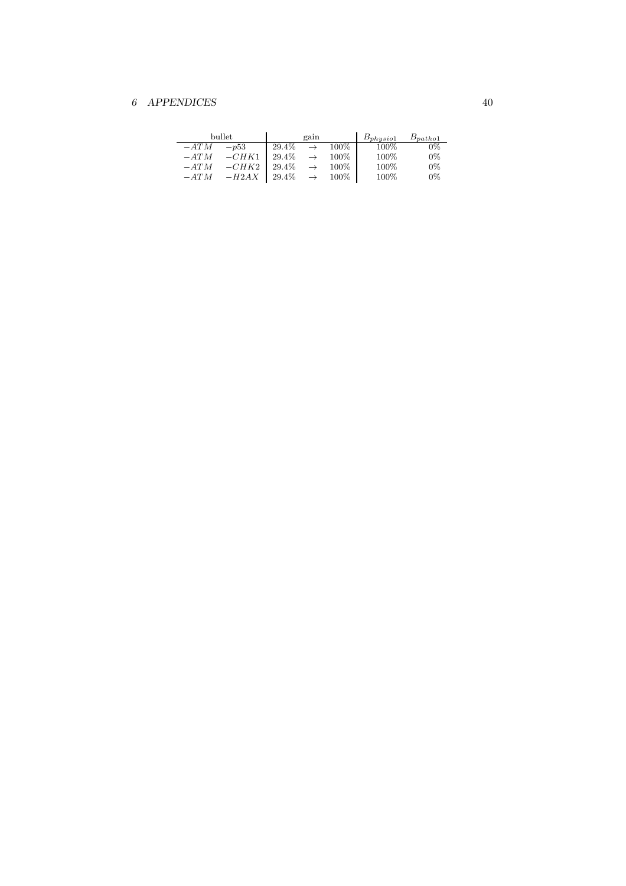# 6 APPENDICES 40

| bullet |         | gain     |               |         | $B_{physio1}$ | $B_{patho1}$ |
|--------|---------|----------|---------------|---------|---------------|--------------|
| $-ATM$ | $-p53$  | $29.4\%$ |               | $100\%$ | $100\%$       | $0\%$        |
| $-ATM$ | $-CHK1$ | 29.4%    | $\rightarrow$ | $100\%$ | $100\%$       | $0\%$        |
| $-ATM$ | $-CHK2$ | 29.4%    | $\rightarrow$ | $100\%$ | 100%          | $0\%$        |
| $-ATM$ | $-H2AX$ | 29.4%    |               | $100\%$ | 100\%         | $0\%$        |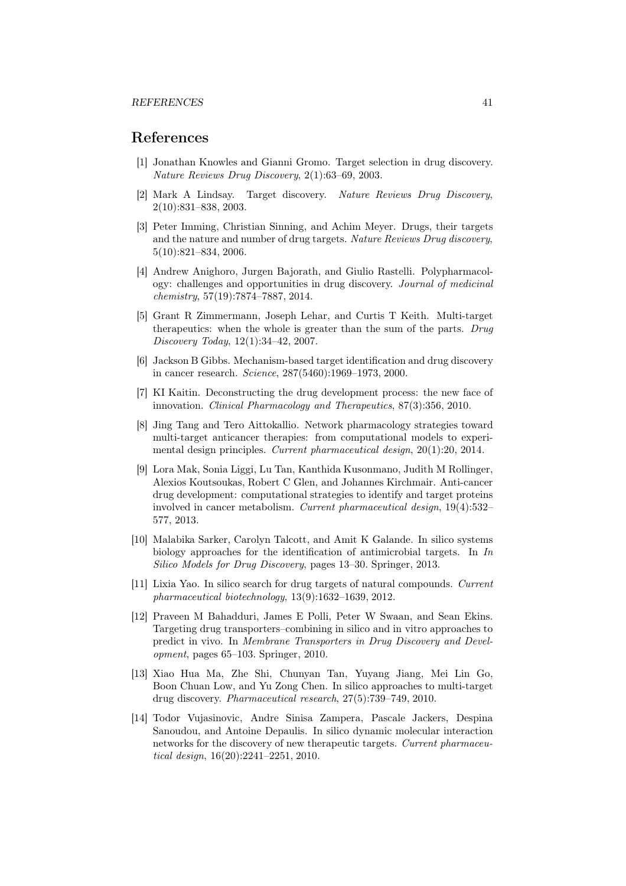#### REFERENCES 41

# <span id="page-40-0"></span>References

- [1] Jonathan Knowles and Gianni Gromo. Target selection in drug discovery. *Nature Reviews Drug Discovery*, 2(1):63–69, 2003.
- <span id="page-40-2"></span><span id="page-40-1"></span>[2] Mark A Lindsay. Target discovery. *Nature Reviews Drug Discovery*, 2(10):831–838, 2003.
- [3] Peter Imming, Christian Sinning, and Achim Meyer. Drugs, their targets and the nature and number of drug targets. *Nature Reviews Drug discovery*, 5(10):821–834, 2006.
- <span id="page-40-3"></span>[4] Andrew Anighoro, Jurgen Bajorath, and Giulio Rastelli. Polypharmacology: challenges and opportunities in drug discovery. *Journal of medicinal chemistry*, 57(19):7874–7887, 2014.
- <span id="page-40-4"></span>[5] Grant R Zimmermann, Joseph Lehar, and Curtis T Keith. Multi-target therapeutics: when the whole is greater than the sum of the parts. *Drug Discovery Today*, 12(1):34–42, 2007.
- <span id="page-40-5"></span>[6] Jackson B Gibbs. Mechanism-based target identification and drug discovery in cancer research. *Science*, 287(5460):1969–1973, 2000.
- <span id="page-40-6"></span>[7] KI Kaitin. Deconstructing the drug development process: the new face of innovation. *Clinical Pharmacology and Therapeutics*, 87(3):356, 2010.
- <span id="page-40-7"></span>[8] Jing Tang and Tero Aittokallio. Network pharmacology strategies toward multi-target anticancer therapies: from computational models to experimental design principles. *Current pharmaceutical design*, 20(1):20, 2014.
- [9] Lora Mak, Sonia Liggi, Lu Tan, Kanthida Kusonmano, Judith M Rollinger, Alexios Koutsoukas, Robert C Glen, and Johannes Kirchmair. Anti-cancer drug development: computational strategies to identify and target proteins involved in cancer metabolism. *Current pharmaceutical design*, 19(4):532– 577, 2013.
- [10] Malabika Sarker, Carolyn Talcott, and Amit K Galande. In silico systems biology approaches for the identification of antimicrobial targets. In *In Silico Models for Drug Discovery*, pages 13–30. Springer, 2013.
- [11] Lixia Yao. In silico search for drug targets of natural compounds. *Current pharmaceutical biotechnology*, 13(9):1632–1639, 2012.
- [12] Praveen M Bahadduri, James E Polli, Peter W Swaan, and Sean Ekins. Targeting drug transporters–combining in silico and in vitro approaches to predict in vivo. In *Membrane Transporters in Drug Discovery and Development*, pages 65–103. Springer, 2010.
- [13] Xiao Hua Ma, Zhe Shi, Chunyan Tan, Yuyang Jiang, Mei Lin Go, Boon Chuan Low, and Yu Zong Chen. In silico approaches to multi-target drug discovery. *Pharmaceutical research*, 27(5):739–749, 2010.
- [14] Todor Vujasinovic, Andre Sinisa Zampera, Pascale Jackers, Despina Sanoudou, and Antoine Depaulis. In silico dynamic molecular interaction networks for the discovery of new therapeutic targets. *Current pharmaceutical design*, 16(20):2241–2251, 2010.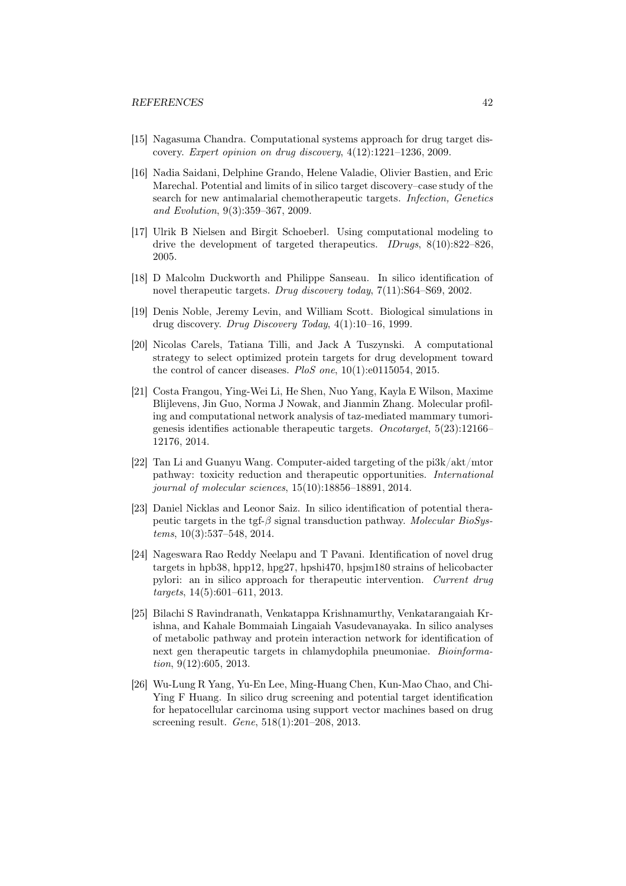- [15] Nagasuma Chandra. Computational systems approach for drug target discovery. *Expert opinion on drug discovery*, 4(12):1221–1236, 2009.
- [16] Nadia Saidani, Delphine Grando, Helene Valadie, Olivier Bastien, and Eric Marechal. Potential and limits of in silico target discovery–case study of the search for new antimalarial chemotherapeutic targets. *Infection, Genetics and Evolution*, 9(3):359–367, 2009.
- [17] Ulrik B Nielsen and Birgit Schoeberl. Using computational modeling to drive the development of targeted therapeutics. *IDrugs*, 8(10):822–826, 2005.
- [18] D Malcolm Duckworth and Philippe Sanseau. In silico identification of novel therapeutic targets. *Drug discovery today*, 7(11):S64–S69, 2002.
- <span id="page-41-0"></span>[19] Denis Noble, Jeremy Levin, and William Scott. Biological simulations in drug discovery. *Drug Discovery Today*, 4(1):10–16, 1999.
- <span id="page-41-1"></span>[20] Nicolas Carels, Tatiana Tilli, and Jack A Tuszynski. A computational strategy to select optimized protein targets for drug development toward the control of cancer diseases. *PloS one*, 10(1):e0115054, 2015.
- [21] Costa Frangou, Ying-Wei Li, He Shen, Nuo Yang, Kayla E Wilson, Maxime Blijlevens, Jin Guo, Norma J Nowak, and Jianmin Zhang. Molecular profiling and computational network analysis of taz-mediated mammary tumorigenesis identifies actionable therapeutic targets. *Oncotarget*, 5(23):12166– 12176, 2014.
- [22] Tan Li and Guanyu Wang. Computer-aided targeting of the pi3k/akt/mtor pathway: toxicity reduction and therapeutic opportunities. *International journal of molecular sciences*, 15(10):18856–18891, 2014.
- [23] Daniel Nicklas and Leonor Saiz. In silico identification of potential therapeutic targets in the tgf-β signal transduction pathway. *Molecular BioSystems*, 10(3):537–548, 2014.
- [24] Nageswara Rao Reddy Neelapu and T Pavani. Identification of novel drug targets in hpb38, hpp12, hpg27, hpshi470, hpsjm180 strains of helicobacter pylori: an in silico approach for therapeutic intervention. *Current drug targets*, 14(5):601–611, 2013.
- [25] Bilachi S Ravindranath, Venkatappa Krishnamurthy, Venkatarangaiah Krishna, and Kahale Bommaiah Lingaiah Vasudevanayaka. In silico analyses of metabolic pathway and protein interaction network for identification of next gen therapeutic targets in chlamydophila pneumoniae. *Bioinformation*, 9(12):605, 2013.
- [26] Wu-Lung R Yang, Yu-En Lee, Ming-Huang Chen, Kun-Mao Chao, and Chi-Ying F Huang. In silico drug screening and potential target identification for hepatocellular carcinoma using support vector machines based on drug screening result. *Gene*, 518(1):201–208, 2013.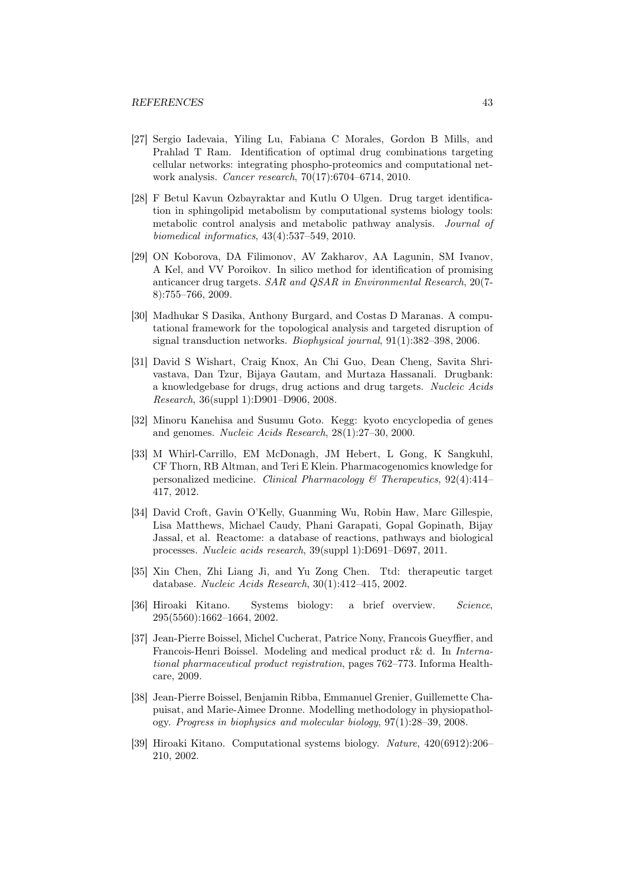- [27] Sergio Iadevaia, Yiling Lu, Fabiana C Morales, Gordon B Mills, and Prahlad T Ram. Identification of optimal drug combinations targeting cellular networks: integrating phospho-proteomics and computational network analysis. *Cancer research*, 70(17):6704–6714, 2010.
- [28] F Betul Kavun Ozbayraktar and Kutlu O Ulgen. Drug target identification in sphingolipid metabolism by computational systems biology tools: metabolic control analysis and metabolic pathway analysis. *Journal of biomedical informatics*, 43(4):537–549, 2010.
- [29] ON Koborova, DA Filimonov, AV Zakharov, AA Lagunin, SM Ivanov, A Kel, and VV Poroikov. In silico method for identification of promising anticancer drug targets. *SAR and QSAR in Environmental Research*, 20(7- 8):755–766, 2009.
- <span id="page-42-0"></span>[30] Madhukar S Dasika, Anthony Burgard, and Costas D Maranas. A computational framework for the topological analysis and targeted disruption of signal transduction networks. *Biophysical journal*, 91(1):382–398, 2006.
- <span id="page-42-1"></span>[31] David S Wishart, Craig Knox, An Chi Guo, Dean Cheng, Savita Shrivastava, Dan Tzur, Bijaya Gautam, and Murtaza Hassanali. Drugbank: a knowledgebase for drugs, drug actions and drug targets. *Nucleic Acids Research*, 36(suppl 1):D901–D906, 2008.
- <span id="page-42-2"></span>[32] Minoru Kanehisa and Susumu Goto. Kegg: kyoto encyclopedia of genes and genomes. *Nucleic Acids Research*, 28(1):27–30, 2000.
- <span id="page-42-3"></span>[33] M Whirl-Carrillo, EM McDonagh, JM Hebert, L Gong, K Sangkuhl, CF Thorn, RB Altman, and Teri E Klein. Pharmacogenomics knowledge for personalized medicine. *Clinical Pharmacology & Therapeutics*, 92(4):414– 417, 2012.
- <span id="page-42-4"></span>[34] David Croft, Gavin O'Kelly, Guanming Wu, Robin Haw, Marc Gillespie, Lisa Matthews, Michael Caudy, Phani Garapati, Gopal Gopinath, Bijay Jassal, et al. Reactome: a database of reactions, pathways and biological processes. *Nucleic acids research*, 39(suppl 1):D691–D697, 2011.
- <span id="page-42-5"></span>[35] Xin Chen, Zhi Liang Ji, and Yu Zong Chen. Ttd: therapeutic target database. *Nucleic Acids Research*, 30(1):412–415, 2002.
- <span id="page-42-6"></span>[36] Hiroaki Kitano. Systems biology: a brief overview. *Science*, 295(5560):1662–1664, 2002.
- <span id="page-42-7"></span>[37] Jean-Pierre Boissel, Michel Cucherat, Patrice Nony, Francois Gueyffier, and Francois-Henri Boissel. Modeling and medical product r& d. In *International pharmaceutical product registration*, pages 762–773. Informa Healthcare, 2009.
- [38] Jean-Pierre Boissel, Benjamin Ribba, Emmanuel Grenier, Guillemette Chapuisat, and Marie-Aimee Dronne. Modelling methodology in physiopathology. *Progress in biophysics and molecular biology*, 97(1):28–39, 2008.
- <span id="page-42-8"></span>[39] Hiroaki Kitano. Computational systems biology. *Nature*, 420(6912):206– 210, 2002.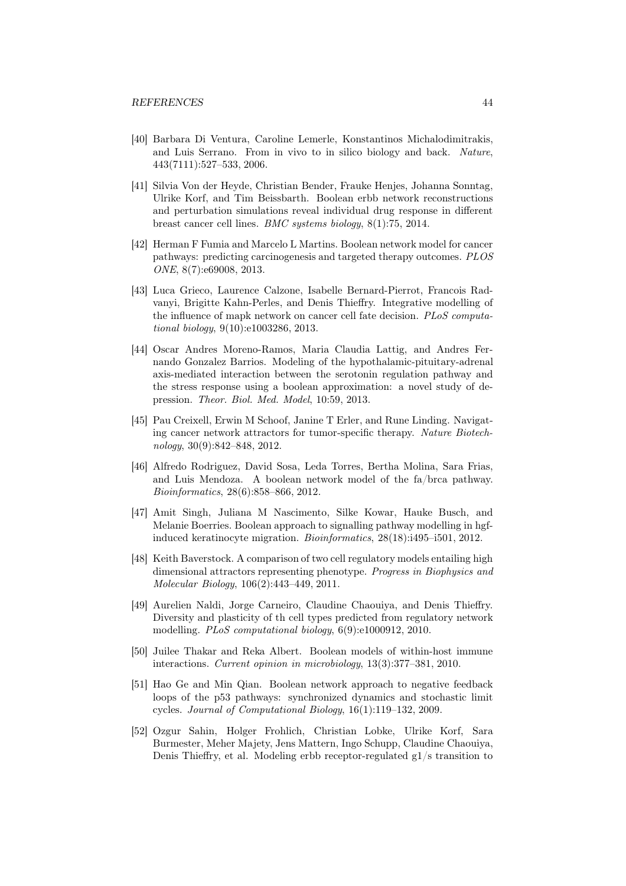- <span id="page-43-0"></span>[40] Barbara Di Ventura, Caroline Lemerle, Konstantinos Michalodimitrakis, and Luis Serrano. From in vivo to in silico biology and back. *Nature*, 443(7111):527–533, 2006.
- <span id="page-43-1"></span>[41] Silvia Von der Heyde, Christian Bender, Frauke Henjes, Johanna Sonntag, Ulrike Korf, and Tim Beissbarth. Boolean erbb network reconstructions and perturbation simulations reveal individual drug response in different breast cancer cell lines. *BMC systems biology*, 8(1):75, 2014.
- <span id="page-43-3"></span>[42] Herman F Fumia and Marcelo L Martins. Boolean network model for cancer pathways: predicting carcinogenesis and targeted therapy outcomes. *PLOS ONE*, 8(7):e69008, 2013.
- [43] Luca Grieco, Laurence Calzone, Isabelle Bernard-Pierrot, Francois Radvanyi, Brigitte Kahn-Perles, and Denis Thieffry. Integrative modelling of the influence of mapk network on cancer cell fate decision. *PLoS computational biology*, 9(10):e1003286, 2013.
- [44] Oscar Andres Moreno-Ramos, Maria Claudia Lattig, and Andres Fernando Gonzalez Barrios. Modeling of the hypothalamic-pituitary-adrenal axis-mediated interaction between the serotonin regulation pathway and the stress response using a boolean approximation: a novel study of depression. *Theor. Biol. Med. Model*, 10:59, 2013.
- [45] Pau Creixell, Erwin M Schoof, Janine T Erler, and Rune Linding. Navigating cancer network attractors for tumor-specific therapy. *Nature Biotechnology*, 30(9):842–848, 2012.
- <span id="page-43-2"></span>[46] Alfredo Rodriguez, David Sosa, Leda Torres, Bertha Molina, Sara Frias, and Luis Mendoza. A boolean network model of the fa/brca pathway. *Bioinformatics*, 28(6):858–866, 2012.
- [47] Amit Singh, Juliana M Nascimento, Silke Kowar, Hauke Busch, and Melanie Boerries. Boolean approach to signalling pathway modelling in hgfinduced keratinocyte migration. *Bioinformatics*, 28(18):i495–i501, 2012.
- [48] Keith Baverstock. A comparison of two cell regulatory models entailing high dimensional attractors representing phenotype. *Progress in Biophysics and Molecular Biology*, 106(2):443–449, 2011.
- [49] Aurelien Naldi, Jorge Carneiro, Claudine Chaouiya, and Denis Thieffry. Diversity and plasticity of th cell types predicted from regulatory network modelling. *PLoS computational biology*, 6(9):e1000912, 2010.
- [50] Juilee Thakar and Reka Albert. Boolean models of within-host immune interactions. *Current opinion in microbiology*, 13(3):377–381, 2010.
- [51] Hao Ge and Min Qian. Boolean network approach to negative feedback loops of the p53 pathways: synchronized dynamics and stochastic limit cycles. *Journal of Computational Biology*, 16(1):119–132, 2009.
- [52] Ozgur Sahin, Holger Frohlich, Christian Lobke, Ulrike Korf, Sara Burmester, Meher Majety, Jens Mattern, Ingo Schupp, Claudine Chaouiya, Denis Thieffry, et al. Modeling erbb receptor-regulated  $g1/s$  transition to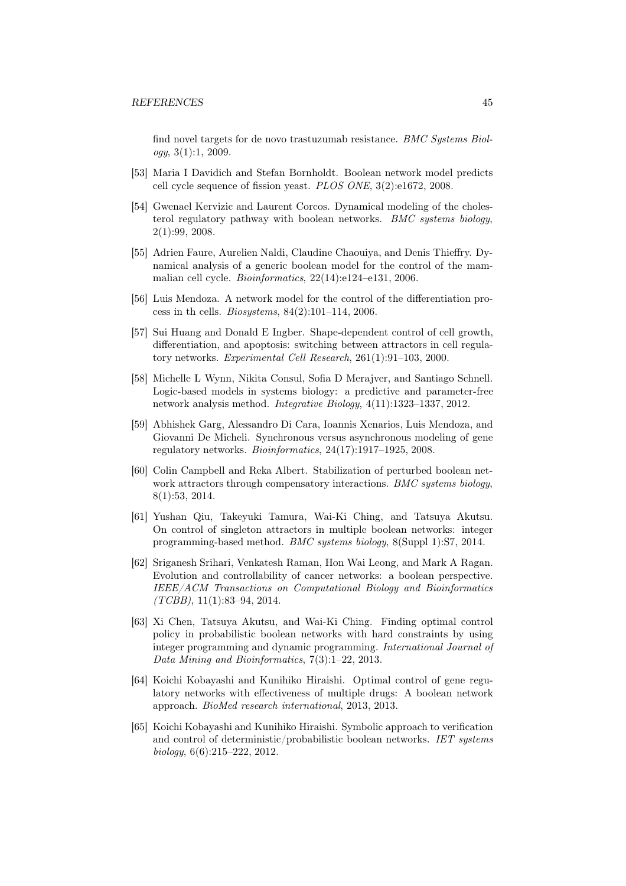find novel targets for de novo trastuzumab resistance. *BMC Systems Biology*, 3(1):1, 2009.

- [53] Maria I Davidich and Stefan Bornholdt. Boolean network model predicts cell cycle sequence of fission yeast. *PLOS ONE*, 3(2):e1672, 2008.
- [54] Gwenael Kervizic and Laurent Corcos. Dynamical modeling of the cholesterol regulatory pathway with boolean networks. *BMC systems biology*, 2(1):99, 2008.
- <span id="page-44-5"></span>[55] Adrien Faure, Aurelien Naldi, Claudine Chaouiya, and Denis Thieffry. Dynamical analysis of a generic boolean model for the control of the mammalian cell cycle. *Bioinformatics*, 22(14):e124–e131, 2006.
- [56] Luis Mendoza. A network model for the control of the differentiation process in th cells. *Biosystems*, 84(2):101–114, 2006.
- <span id="page-44-0"></span>[57] Sui Huang and Donald E Ingber. Shape-dependent control of cell growth, differentiation, and apoptosis: switching between attractors in cell regulatory networks. *Experimental Cell Research*, 261(1):91–103, 2000.
- <span id="page-44-1"></span>[58] Michelle L Wynn, Nikita Consul, Sofia D Merajver, and Santiago Schnell. Logic-based models in systems biology: a predictive and parameter-free network analysis method. *Integrative Biology*, 4(11):1323–1337, 2012.
- <span id="page-44-2"></span>[59] Abhishek Garg, Alessandro Di Cara, Ioannis Xenarios, Luis Mendoza, and Giovanni De Micheli. Synchronous versus asynchronous modeling of gene regulatory networks. *Bioinformatics*, 24(17):1917–1925, 2008.
- <span id="page-44-3"></span>[60] Colin Campbell and Reka Albert. Stabilization of perturbed boolean network attractors through compensatory interactions. *BMC systems biology*, 8(1):53, 2014.
- [61] Yushan Qiu, Takeyuki Tamura, Wai-Ki Ching, and Tatsuya Akutsu. On control of singleton attractors in multiple boolean networks: integer programming-based method. *BMC systems biology*, 8(Suppl 1):S7, 2014.
- [62] Sriganesh Srihari, Venkatesh Raman, Hon Wai Leong, and Mark A Ragan. Evolution and controllability of cancer networks: a boolean perspective. *IEEE/ACM Transactions on Computational Biology and Bioinformatics (TCBB)*, 11(1):83–94, 2014.
- [63] Xi Chen, Tatsuya Akutsu, and Wai-Ki Ching. Finding optimal control policy in probabilistic boolean networks with hard constraints by using integer programming and dynamic programming. *International Journal of Data Mining and Bioinformatics*, 7(3):1–22, 2013.
- [64] Koichi Kobayashi and Kunihiko Hiraishi. Optimal control of gene regulatory networks with effectiveness of multiple drugs: A boolean network approach. *BioMed research international*, 2013, 2013.
- <span id="page-44-4"></span>[65] Koichi Kobayashi and Kunihiko Hiraishi. Symbolic approach to verification and control of deterministic/probabilistic boolean networks. *IET systems biology*, 6(6):215–222, 2012.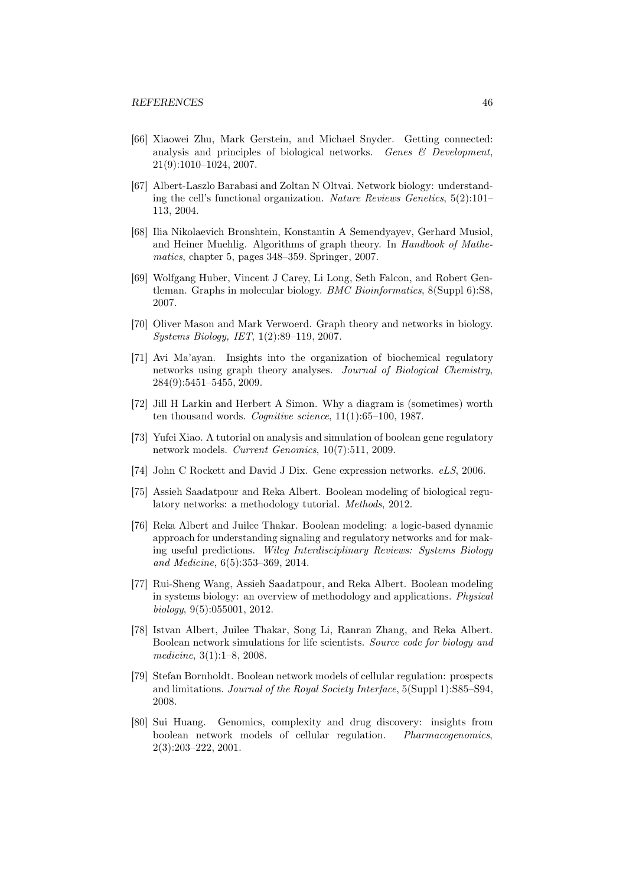- <span id="page-45-0"></span>[66] Xiaowei Zhu, Mark Gerstein, and Michael Snyder. Getting connected: analysis and principles of biological networks. *Genes & Development*, 21(9):1010–1024, 2007.
- <span id="page-45-1"></span>[67] Albert-Laszlo Barabasi and Zoltan N Oltvai. Network biology: understanding the cell's functional organization. *Nature Reviews Genetics*, 5(2):101– 113, 2004.
- <span id="page-45-2"></span>[68] Ilia Nikolaevich Bronshtein, Konstantin A Semendyayev, Gerhard Musiol, and Heiner Muehlig. Algorithms of graph theory. In *Handbook of Mathematics*, chapter 5, pages 348–359. Springer, 2007.
- [69] Wolfgang Huber, Vincent J Carey, Li Long, Seth Falcon, and Robert Gentleman. Graphs in molecular biology. *BMC Bioinformatics*, 8(Suppl 6):S8, 2007.
- <span id="page-45-3"></span>[70] Oliver Mason and Mark Verwoerd. Graph theory and networks in biology. *Systems Biology, IET*, 1(2):89–119, 2007.
- <span id="page-45-4"></span>[71] Avi Ma'ayan. Insights into the organization of biochemical regulatory networks using graph theory analyses. *Journal of Biological Chemistry*, 284(9):5451–5455, 2009.
- <span id="page-45-5"></span>[72] Jill H Larkin and Herbert A Simon. Why a diagram is (sometimes) worth ten thousand words. *Cognitive science*, 11(1):65–100, 1987.
- <span id="page-45-6"></span>[73] Yufei Xiao. A tutorial on analysis and simulation of boolean gene regulatory network models. *Current Genomics*, 10(7):511, 2009.
- <span id="page-45-8"></span><span id="page-45-7"></span>[74] John C Rockett and David J Dix. Gene expression networks. *eLS*, 2006.
- [75] Assieh Saadatpour and Reka Albert. Boolean modeling of biological regulatory networks: a methodology tutorial. *Methods*, 2012.
- <span id="page-45-9"></span>[76] Reka Albert and Juilee Thakar. Boolean modeling: a logic-based dynamic approach for understanding signaling and regulatory networks and for making useful predictions. *Wiley Interdisciplinary Reviews: Systems Biology and Medicine*, 6(5):353–369, 2014.
- [77] Rui-Sheng Wang, Assieh Saadatpour, and Reka Albert. Boolean modeling in systems biology: an overview of methodology and applications. *Physical biology*, 9(5):055001, 2012.
- [78] Istvan Albert, Juilee Thakar, Song Li, Ranran Zhang, and Reka Albert. Boolean network simulations for life scientists. *Source code for biology and medicine*, 3(1):1–8, 2008.
- [79] Stefan Bornholdt. Boolean network models of cellular regulation: prospects and limitations. *Journal of the Royal Society Interface*, 5(Suppl 1):S85–S94, 2008.
- [80] Sui Huang. Genomics, complexity and drug discovery: insights from boolean network models of cellular regulation. *Pharmacogenomics*, 2(3):203–222, 2001.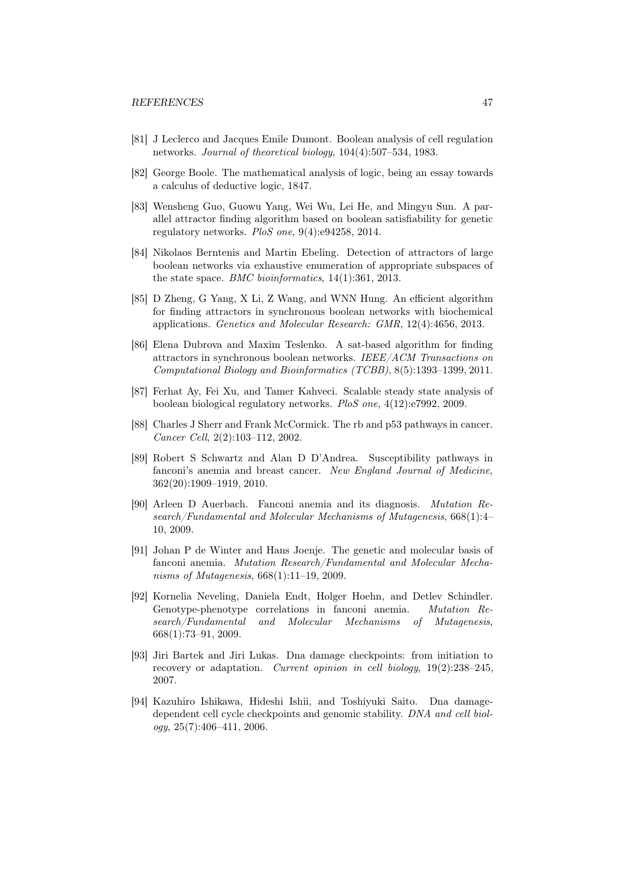- <span id="page-46-0"></span>[81] J Leclerco and Jacques Emile Dumont. Boolean analysis of cell regulation networks. *Journal of theoretical biology*, 104(4):507–534, 1983.
- <span id="page-46-2"></span><span id="page-46-1"></span>[82] George Boole. The mathematical analysis of logic, being an essay towards a calculus of deductive logic, 1847.
- [83] Wensheng Guo, Guowu Yang, Wei Wu, Lei He, and Mingyu Sun. A parallel attractor finding algorithm based on boolean satisfiability for genetic regulatory networks. *PloS one*, 9(4):e94258, 2014.
- [84] Nikolaos Berntenis and Martin Ebeling. Detection of attractors of large boolean networks via exhaustive enumeration of appropriate subspaces of the state space. *BMC bioinformatics*, 14(1):361, 2013.
- [85] D Zheng, G Yang, X Li, Z Wang, and WNN Hung. An efficient algorithm for finding attractors in synchronous boolean networks with biochemical applications. *Genetics and Molecular Research: GMR*, 12(4):4656, 2013.
- [86] Elena Dubrova and Maxim Teslenko. A sat-based algorithm for finding attractors in synchronous boolean networks. *IEEE/ACM Transactions on Computational Biology and Bioinformatics (TCBB)*, 8(5):1393–1399, 2011.
- <span id="page-46-3"></span>[87] Ferhat Ay, Fei Xu, and Tamer Kahveci. Scalable steady state analysis of boolean biological regulatory networks. *PloS one*, 4(12):e7992, 2009.
- <span id="page-46-4"></span>[88] Charles J Sherr and Frank McCormick. The rb and p53 pathways in cancer. *Cancer Cell*, 2(2):103–112, 2002.
- <span id="page-46-5"></span>[89] Robert S Schwartz and Alan D D'Andrea. Susceptibility pathways in fanconi's anemia and breast cancer. *New England Journal of Medicine*, 362(20):1909–1919, 2010.
- [90] Arleen D Auerbach. Fanconi anemia and its diagnosis. *Mutation Research/Fundamental and Molecular Mechanisms of Mutagenesis*, 668(1):4– 10, 2009.
- <span id="page-46-6"></span>[91] Johan P de Winter and Hans Joenje. The genetic and molecular basis of fanconi anemia. *Mutation Research/Fundamental and Molecular Mechanisms of Mutagenesis*, 668(1):11–19, 2009.
- <span id="page-46-7"></span>[92] Kornelia Neveling, Daniela Endt, Holger Hoehn, and Detlev Schindler. Genotype-phenotype correlations in fanconi anemia. *Mutation Research/Fundamental and Molecular Mechanisms of Mutagenesis*, 668(1):73–91, 2009.
- <span id="page-46-8"></span>[93] Jiri Bartek and Jiri Lukas. Dna damage checkpoints: from initiation to recovery or adaptation. *Current opinion in cell biology*, 19(2):238–245, 2007.
- <span id="page-46-9"></span>[94] Kazuhiro Ishikawa, Hideshi Ishii, and Toshiyuki Saito. Dna damagedependent cell cycle checkpoints and genomic stability. *DNA and cell biology*, 25(7):406–411, 2006.